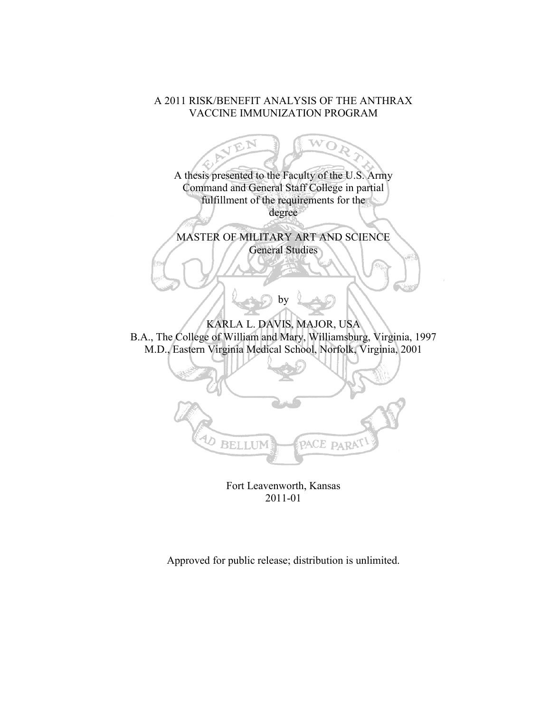## A 2011 RISK/BENEFIT ANALYSIS OF THE ANTHRAX VACCINE IMMUNIZATION PROGRAM



Fort Leavenworth, Kansas 2011-01

Approved for public release; distribution is unlimited.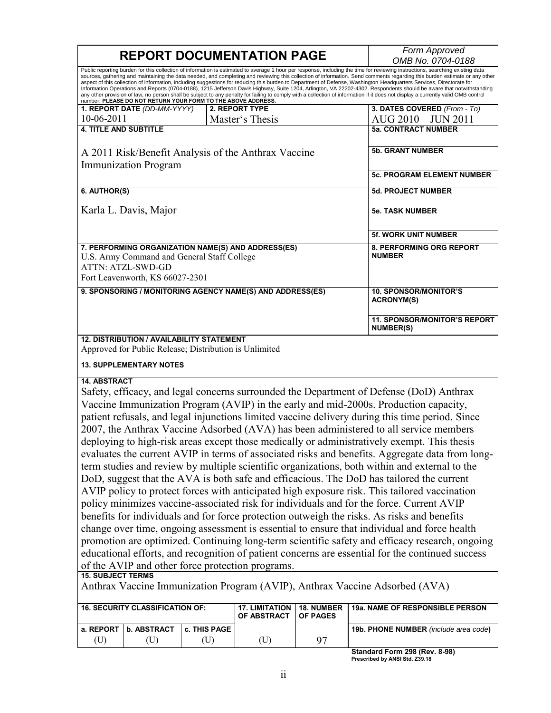| <b>REPORT DOCUMENTATION PAGE</b>                                                                                                                                                                                                                                                                                                                                                                                                                                                                                                                                  |                                                                                                                                                                                                     |                       | Form Approved     |                                                                                                                                                                                                                                                                                                                                                                                                                                                                                                                                                                                                                                                                                                                                                                                                                                                                                                                                                                                              |
|-------------------------------------------------------------------------------------------------------------------------------------------------------------------------------------------------------------------------------------------------------------------------------------------------------------------------------------------------------------------------------------------------------------------------------------------------------------------------------------------------------------------------------------------------------------------|-----------------------------------------------------------------------------------------------------------------------------------------------------------------------------------------------------|-----------------------|-------------------|----------------------------------------------------------------------------------------------------------------------------------------------------------------------------------------------------------------------------------------------------------------------------------------------------------------------------------------------------------------------------------------------------------------------------------------------------------------------------------------------------------------------------------------------------------------------------------------------------------------------------------------------------------------------------------------------------------------------------------------------------------------------------------------------------------------------------------------------------------------------------------------------------------------------------------------------------------------------------------------------|
|                                                                                                                                                                                                                                                                                                                                                                                                                                                                                                                                                                   | OMB No. 0704-0188<br>Public reporting burden for this collection of information is estimated to average 1 hour per response, including the time for reviewing instructions, searching existing data |                       |                   |                                                                                                                                                                                                                                                                                                                                                                                                                                                                                                                                                                                                                                                                                                                                                                                                                                                                                                                                                                                              |
| aspect of this collection of information, including suggestions for reducing this burden to Department of Defense, Washington Headquarters Services, Directorate for<br>number. PLEASE DO NOT RETURN YOUR FORM TO THE ABOVE ADDRESS.                                                                                                                                                                                                                                                                                                                              |                                                                                                                                                                                                     |                       |                   | sources, gathering and maintaining the data needed, and completing and reviewing this collection of information. Send comments regarding this burden estimate or any other<br>Information Operations and Reports (0704-0188), 1215 Jefferson Davis Highway, Suite 1204, Arlington, VA 22202-4302. Respondents should be aware that notwithstanding<br>any other provision of law, no person shall be subject to any penalty for failing to comply with a collection of information if it does not display a currently valid OMB control                                                                                                                                                                                                                                                                                                                                                                                                                                                      |
| 1. REPORT DATE (DD-MM-YYYY)                                                                                                                                                                                                                                                                                                                                                                                                                                                                                                                                       |                                                                                                                                                                                                     | 2. REPORT TYPE        |                   | 3. DATES COVERED (From - To)                                                                                                                                                                                                                                                                                                                                                                                                                                                                                                                                                                                                                                                                                                                                                                                                                                                                                                                                                                 |
| 10-06-2011                                                                                                                                                                                                                                                                                                                                                                                                                                                                                                                                                        |                                                                                                                                                                                                     | Master's Thesis       |                   | AUG 2010 - JUN 2011                                                                                                                                                                                                                                                                                                                                                                                                                                                                                                                                                                                                                                                                                                                                                                                                                                                                                                                                                                          |
| <b>4. TITLE AND SUBTITLE</b>                                                                                                                                                                                                                                                                                                                                                                                                                                                                                                                                      |                                                                                                                                                                                                     |                       |                   | <b>5a. CONTRACT NUMBER</b>                                                                                                                                                                                                                                                                                                                                                                                                                                                                                                                                                                                                                                                                                                                                                                                                                                                                                                                                                                   |
| A 2011 Risk/Benefit Analysis of the Anthrax Vaccine<br><b>Immunization Program</b>                                                                                                                                                                                                                                                                                                                                                                                                                                                                                |                                                                                                                                                                                                     |                       |                   | <b>5b. GRANT NUMBER</b>                                                                                                                                                                                                                                                                                                                                                                                                                                                                                                                                                                                                                                                                                                                                                                                                                                                                                                                                                                      |
|                                                                                                                                                                                                                                                                                                                                                                                                                                                                                                                                                                   |                                                                                                                                                                                                     |                       |                   | <b>5c. PROGRAM ELEMENT NUMBER</b>                                                                                                                                                                                                                                                                                                                                                                                                                                                                                                                                                                                                                                                                                                                                                                                                                                                                                                                                                            |
| 6. AUTHOR(S)                                                                                                                                                                                                                                                                                                                                                                                                                                                                                                                                                      |                                                                                                                                                                                                     |                       |                   | <b>5d. PROJECT NUMBER</b>                                                                                                                                                                                                                                                                                                                                                                                                                                                                                                                                                                                                                                                                                                                                                                                                                                                                                                                                                                    |
| Karla L. Davis, Major                                                                                                                                                                                                                                                                                                                                                                                                                                                                                                                                             |                                                                                                                                                                                                     |                       |                   | <b>5e. TASK NUMBER</b>                                                                                                                                                                                                                                                                                                                                                                                                                                                                                                                                                                                                                                                                                                                                                                                                                                                                                                                                                                       |
|                                                                                                                                                                                                                                                                                                                                                                                                                                                                                                                                                                   |                                                                                                                                                                                                     |                       |                   | <b>5f. WORK UNIT NUMBER</b>                                                                                                                                                                                                                                                                                                                                                                                                                                                                                                                                                                                                                                                                                                                                                                                                                                                                                                                                                                  |
| 7. PERFORMING ORGANIZATION NAME(S) AND ADDRESS(ES)<br>U.S. Army Command and General Staff College<br><b>ATTN: ATZL-SWD-GD</b><br>Fort Leavenworth, KS 66027-2301                                                                                                                                                                                                                                                                                                                                                                                                  |                                                                                                                                                                                                     |                       |                   | <b>8. PERFORMING ORG REPORT</b><br><b>NUMBER</b>                                                                                                                                                                                                                                                                                                                                                                                                                                                                                                                                                                                                                                                                                                                                                                                                                                                                                                                                             |
| 9. SPONSORING / MONITORING AGENCY NAME(S) AND ADDRESS(ES)                                                                                                                                                                                                                                                                                                                                                                                                                                                                                                         |                                                                                                                                                                                                     |                       |                   | <b>10. SPONSOR/MONITOR'S</b><br><b>ACRONYM(S)</b>                                                                                                                                                                                                                                                                                                                                                                                                                                                                                                                                                                                                                                                                                                                                                                                                                                                                                                                                            |
|                                                                                                                                                                                                                                                                                                                                                                                                                                                                                                                                                                   |                                                                                                                                                                                                     |                       |                   | <b>11. SPONSOR/MONITOR'S REPORT</b><br><b>NUMBER(S)</b>                                                                                                                                                                                                                                                                                                                                                                                                                                                                                                                                                                                                                                                                                                                                                                                                                                                                                                                                      |
| 12. DISTRIBUTION / AVAILABILITY STATEMENT<br>Approved for Public Release; Distribution is Unlimited                                                                                                                                                                                                                                                                                                                                                                                                                                                               |                                                                                                                                                                                                     |                       |                   |                                                                                                                                                                                                                                                                                                                                                                                                                                                                                                                                                                                                                                                                                                                                                                                                                                                                                                                                                                                              |
| <b>13. SUPPLEMENTARY NOTES</b>                                                                                                                                                                                                                                                                                                                                                                                                                                                                                                                                    |                                                                                                                                                                                                     |                       |                   |                                                                                                                                                                                                                                                                                                                                                                                                                                                                                                                                                                                                                                                                                                                                                                                                                                                                                                                                                                                              |
| <b>14. ABSTRACT</b><br>Vaccine Immunization Program (AVIP) in the early and mid-2000s. Production capacity,<br>DoD, suggest that the AVA is both safe and efficacious. The DoD has tailored the current<br>policy minimizes vaccine-associated risk for individuals and for the force. Current AVIP<br>benefits for individuals and for force protection outweigh the risks. As risks and benefits<br>of the AVIP and other force protection programs.<br><b>15. SUBJECT TERMS</b><br>Anthrax Vaccine Immunization Program (AVIP), Anthrax Vaccine Adsorbed (AVA) |                                                                                                                                                                                                     |                       |                   | Safety, efficacy, and legal concerns surrounded the Department of Defense (DoD) Anthrax<br>patient refusals, and legal injunctions limited vaccine delivery during this time period. Since<br>2007, the Anthrax Vaccine Adsorbed (AVA) has been administered to all service members<br>deploying to high-risk areas except those medically or administratively exempt. This thesis<br>evaluates the current AVIP in terms of associated risks and benefits. Aggregate data from long-<br>term studies and review by multiple scientific organizations, both within and external to the<br>AVIP policy to protect forces with anticipated high exposure risk. This tailored vaccination<br>change over time, ongoing assessment is essential to ensure that individual and force health<br>promotion are optimized. Continuing long-term scientific safety and efficacy research, ongoing<br>educational efforts, and recognition of patient concerns are essential for the continued success |
| <b>16. SECURITY CLASSIFICATION OF:</b>                                                                                                                                                                                                                                                                                                                                                                                                                                                                                                                            |                                                                                                                                                                                                     | <b>17. LIMITATION</b> | <b>18. NUMBER</b> | 19a. NAME OF RESPONSIBLE PERSON                                                                                                                                                                                                                                                                                                                                                                                                                                                                                                                                                                                                                                                                                                                                                                                                                                                                                                                                                              |
|                                                                                                                                                                                                                                                                                                                                                                                                                                                                                                                                                                   |                                                                                                                                                                                                     | OF ABSTRACT           | OF PAGES          |                                                                                                                                                                                                                                                                                                                                                                                                                                                                                                                                                                                                                                                                                                                                                                                                                                                                                                                                                                                              |

| 19b. PHONE NUMBER (include area code)                           |  | l c. THIS PAGE l | <b>Ib. ABSTRACT</b> | a. REPORT |
|-----------------------------------------------------------------|--|------------------|---------------------|-----------|
|                                                                 |  |                  |                     |           |
| Standard Form 298 (Rev. 8-98)<br>Prescribed by ANSI Std. Z39.18 |  |                  |                     |           |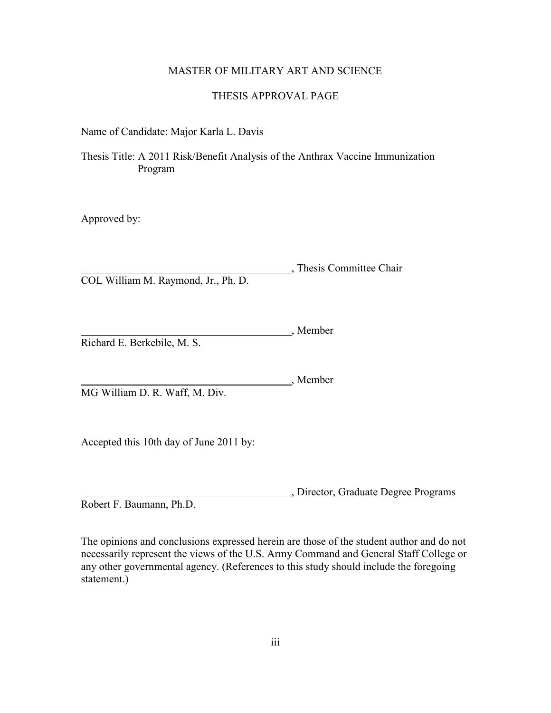## MASTER OF MILITARY ART AND SCIENCE

## THESIS APPROVAL PAGE

<span id="page-2-0"></span>Name of Candidate: Major Karla L. Davis

Thesis Title: A 2011 Risk/Benefit Analysis of the Anthrax Vaccine Immunization Program

Approved by:

, Thesis Committee Chair COL William M. Raymond, Jr., Ph. D.

**Member**, Member Richard E. Berkebile, M. S.

Member MG William D. R. Waff, M. Div.

Accepted this 10th day of June 2011 by:

, Director, Graduate Degree Programs

Robert F. Baumann, Ph.D.

The opinions and conclusions expressed herein are those of the student author and do not necessarily represent the views of the U.S. Army Command and General Staff College or any other governmental agency. (References to this study should include the foregoing statement.)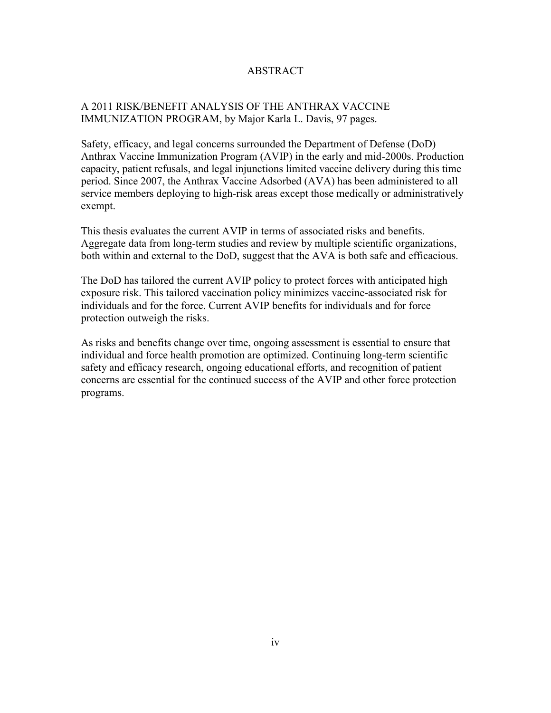## ABSTRACT

## <span id="page-3-0"></span>A 2011 RISK/BENEFIT ANALYSIS OF THE ANTHRAX VACCINE IMMUNIZATION PROGRAM, by Major Karla L. Davis, 97 pages.

Safety, efficacy, and legal concerns surrounded the Department of Defense (DoD) Anthrax Vaccine Immunization Program (AVIP) in the early and mid-2000s. Production capacity, patient refusals, and legal injunctions limited vaccine delivery during this time period. Since 2007, the Anthrax Vaccine Adsorbed (AVA) has been administered to all service members deploying to high-risk areas except those medically or administratively exempt.

This thesis evaluates the current AVIP in terms of associated risks and benefits. Aggregate data from long-term studies and review by multiple scientific organizations, both within and external to the DoD, suggest that the AVA is both safe and efficacious.

The DoD has tailored the current AVIP policy to protect forces with anticipated high exposure risk. This tailored vaccination policy minimizes vaccine-associated risk for individuals and for the force. Current AVIP benefits for individuals and for force protection outweigh the risks.

As risks and benefits change over time, ongoing assessment is essential to ensure that individual and force health promotion are optimized. Continuing long-term scientific safety and efficacy research, ongoing educational efforts, and recognition of patient concerns are essential for the continued success of the AVIP and other force protection programs.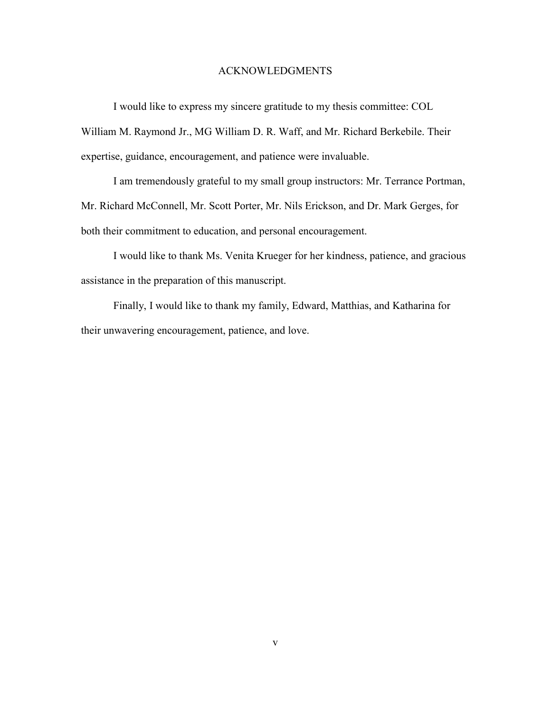## ACKNOWLEDGMENTS

<span id="page-4-0"></span>I would like to express my sincere gratitude to my thesis committee: COL William M. Raymond Jr., MG William D. R. Waff, and Mr. Richard Berkebile. Their expertise, guidance, encouragement, and patience were invaluable.

I am tremendously grateful to my small group instructors: Mr. Terrance Portman, Mr. Richard McConnell, Mr. Scott Porter, Mr. Nils Erickson, and Dr. Mark Gerges, for both their commitment to education, and personal encouragement.

I would like to thank Ms. Venita Krueger for her kindness, patience, and gracious assistance in the preparation of this manuscript.

Finally, I would like to thank my family, Edward, Matthias, and Katharina for their unwavering encouragement, patience, and love.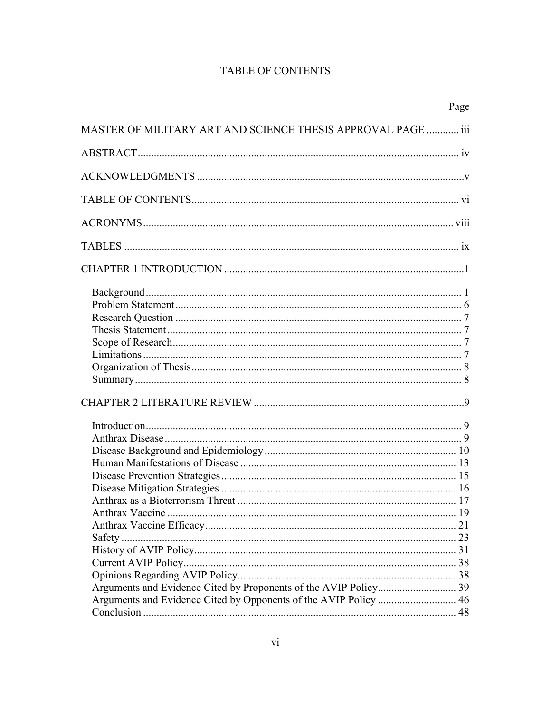# **TABLE OF CONTENTS**

<span id="page-5-0"></span>

|                                                                  | Page |
|------------------------------------------------------------------|------|
| MASTER OF MILITARY ART AND SCIENCE THESIS APPROVAL PAGE  iii     |      |
|                                                                  |      |
|                                                                  |      |
|                                                                  |      |
|                                                                  |      |
|                                                                  |      |
|                                                                  |      |
|                                                                  |      |
|                                                                  |      |
|                                                                  |      |
|                                                                  |      |
|                                                                  |      |
|                                                                  |      |
|                                                                  |      |
|                                                                  |      |
|                                                                  |      |
|                                                                  |      |
|                                                                  |      |
|                                                                  |      |
|                                                                  |      |
|                                                                  |      |
|                                                                  |      |
|                                                                  |      |
| Arguments and Evidence Cited by Opponents of the AVIP Policy  46 |      |
|                                                                  |      |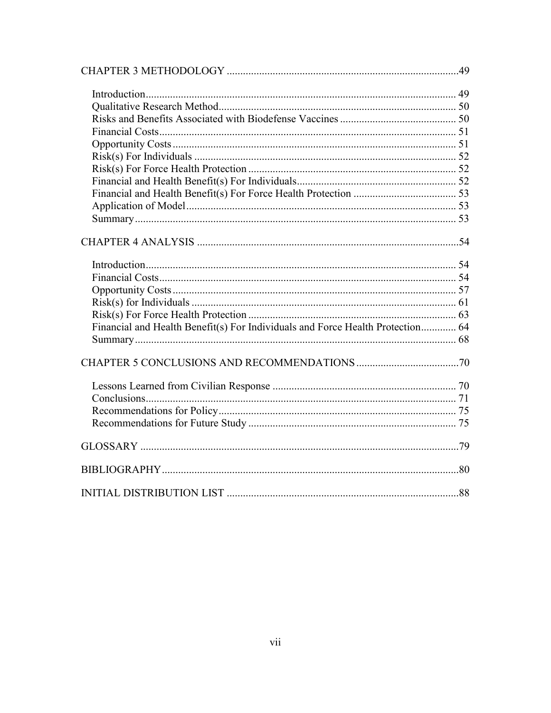| Financial and Health Benefit(s) For Individuals and Force Health Protection 64 |     |
|--------------------------------------------------------------------------------|-----|
|                                                                                |     |
|                                                                                |     |
|                                                                                |     |
|                                                                                |     |
|                                                                                |     |
|                                                                                |     |
|                                                                                |     |
|                                                                                |     |
|                                                                                | .88 |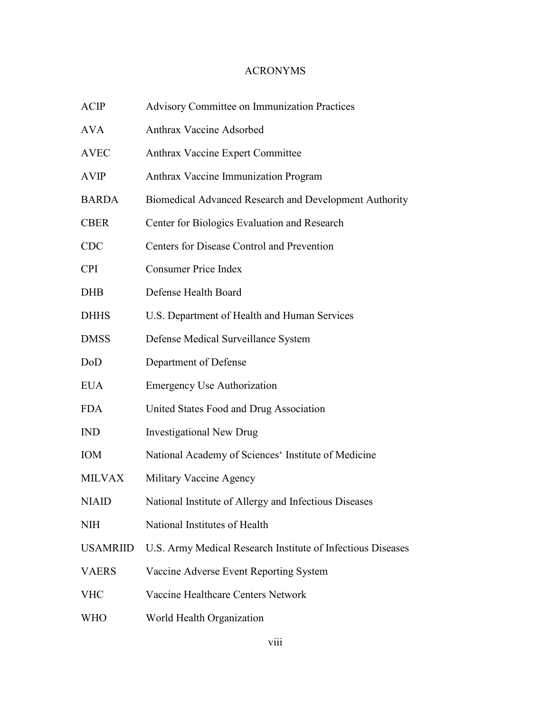# <span id="page-7-0"></span>ACRONYMS

| ACIP                   | <b>Advisory Committee on Immunization Practices</b>         |
|------------------------|-------------------------------------------------------------|
| AVA                    | Anthrax Vaccine Adsorbed                                    |
| <b>AVEC</b>            | Anthrax Vaccine Expert Committee                            |
| AVIP                   | Anthrax Vaccine Immunization Program                        |
| <b>BARDA</b>           | Biomedical Advanced Research and Development Authority      |
| <b>CBER</b>            | Center for Biologics Evaluation and Research                |
| CDC                    | Centers for Disease Control and Prevention                  |
| CPI                    | <b>Consumer Price Index</b>                                 |
| DHB                    | Defense Health Board                                        |
| DHHS                   | U.S. Department of Health and Human Services                |
| <b>DMSS</b>            | Defense Medical Surveillance System                         |
| DoD                    | Department of Defense                                       |
| <b>EUA</b>             | <b>Emergency Use Authorization</b>                          |
| FDA                    | United States Food and Drug Association                     |
| $\mathbb{N}\mathbb{D}$ | <b>Investigational New Drug</b>                             |
| IOM                    | National Academy of Sciences' Institute of Medicine         |
| MILVAX                 | Military Vaccine Agency                                     |
| NIAID                  | National Institute of Allergy and Infectious Diseases       |
| NIH                    | National Institutes of Health                               |
| <b>USAMRIID</b>        | U.S. Army Medical Research Institute of Infectious Diseases |
| <b>VAERS</b>           | Vaccine Adverse Event Reporting System                      |
| VHC                    | Vaccine Healthcare Centers Network                          |
| WHO                    | World Health Organization                                   |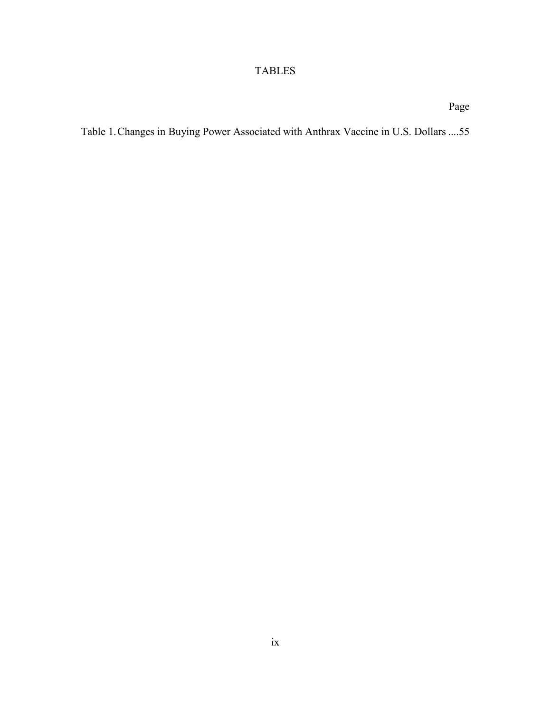# TABLES

Page

```
Table 1.Changes in Buying Power Associated with Anthrax Vaccine in U.S. Dollars ....55
```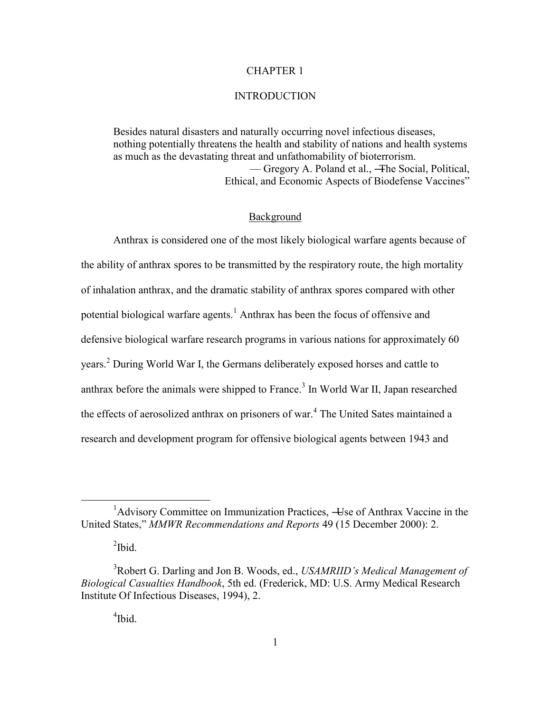#### CHAPTER 1

### INTRODUCTION

<span id="page-9-0"></span>Besides natural disasters and naturally occurring novel infectious diseases, nothing potentially threatens the health and stability of nations and health systems as much as the devastating threat and unfathomability of bioterrorism. — Gregory A. Poland et al., ―The Social, Political, Ethical, and Economic Aspects of Biodefense Vaccines"

#### Background

<span id="page-9-1"></span>Anthrax is considered one of the most likely biological warfare agents because of the ability of anthrax spores to be transmitted by the respiratory route, the high mortality of inhalation anthrax, and the dramatic stability of anthrax spores compared with other potential biological warfare agents.<sup>1</sup> Anthrax has been the focus of offensive and defensive biological warfare research programs in various nations for approximately 60 years.<sup>2</sup> During World War I, the Germans deliberately exposed horses and cattle to anthrax before the animals were shipped to France.<sup>3</sup> In World War II, Japan researched the effects of aerosolized anthrax on prisoners of war.<sup>4</sup> The United Sates maintained a research and development program for offensive biological agents between 1943 and

 $\overline{a}$ 

<sup>&</sup>lt;sup>1</sup>Advisory Committee on Immunization Practices, —Use of Anthrax Vaccine in the United States," *MMWR Recommendations and Reports* 49 (15 December 2000): 2.

 $\mathrm{^{2}Ibid.}$ 

<sup>3</sup>Robert G. Darling and Jon B. Woods, ed., *USAMRIID's Medical Management of Biological Casualties Handbook*, 5th ed. (Frederick, MD: U.S. Army Medical Research Institute Of Infectious Diseases, 1994), 2.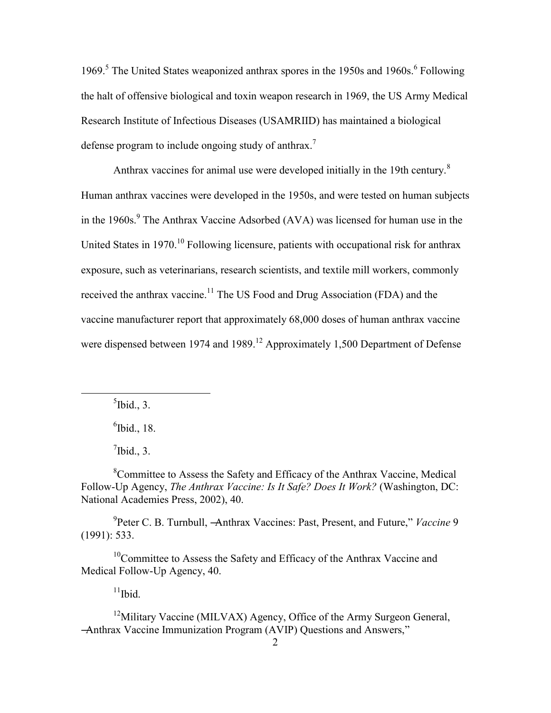1969.<sup>5</sup> The United States weaponized anthrax spores in the 1950s and 1960s.<sup>6</sup> Following the halt of offensive biological and toxin weapon research in 1969, the US Army Medical Research Institute of Infectious Diseases (USAMRIID) has maintained a biological defense program to include ongoing study of anthrax.<sup>7</sup>

Anthrax vaccines for animal use were developed initially in the 19th century.<sup>8</sup> Human anthrax vaccines were developed in the 1950s, and were tested on human subjects in the 1960s. $9$  The Anthrax Vaccine Adsorbed (AVA) was licensed for human use in the United States in 1970.<sup>10</sup> Following licensure, patients with occupational risk for anthrax exposure, such as veterinarians, research scientists, and textile mill workers, commonly received the anthrax vaccine.<sup>11</sup> The US Food and Drug Association (FDA) and the vaccine manufacturer report that approximately 68,000 doses of human anthrax vaccine were dispensed between 1974 and 1989.<sup>12</sup> Approximately 1,500 Department of Defense

 $<sup>5</sup>$  Ibid., 3.</sup>

 $\overline{a}$ 

6 Ibid., 18.

 $^7$ Ibid., 3.

<sup>8</sup>Committee to Assess the Safety and Efficacy of the Anthrax Vaccine, Medical Follow-Up Agency, *The Anthrax Vaccine: Is It Safe? Does It Work?* (Washington, DC: National Academies Press, 2002), 40.

<sup>9</sup> Peter C. B. Turnbull, -Anthrax Vaccines: Past, Present, and Future," *Vaccine* 9 (1991): 533.

<sup>10</sup>Committee to Assess the Safety and Efficacy of the Anthrax Vaccine and Medical Follow-Up Agency, 40.

 $11$ Ibid.

<sup>12</sup>Military Vaccine (MILVAX) Agency, Office of the Army Surgeon General, -Anthrax Vaccine Immunization Program (AVIP) Questions and Answers,"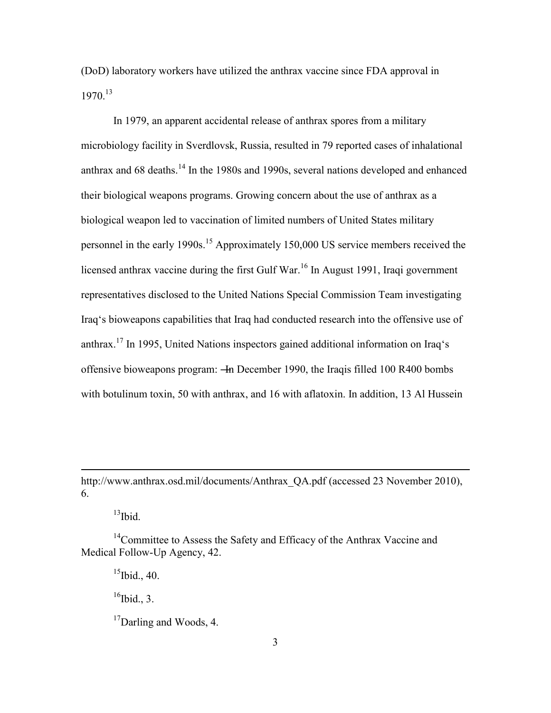(DoD) laboratory workers have utilized the anthrax vaccine since FDA approval in  $1970^{13}$ 

In 1979, an apparent accidental release of anthrax spores from a military microbiology facility in Sverdlovsk, Russia, resulted in 79 reported cases of inhalational anthrax and 68 deaths.<sup>14</sup> In the 1980s and 1990s, several nations developed and enhanced their biological weapons programs. Growing concern about the use of anthrax as a biological weapon led to vaccination of limited numbers of United States military personnel in the early 1990s.<sup>15</sup> Approximately 150,000 US service members received the licensed anthrax vaccine during the first Gulf War.<sup>16</sup> In August 1991, Iraqi government representatives disclosed to the United Nations Special Commission Team investigating Iraq's bioweapons capabilities that Iraq had conducted research into the offensive use of anthrax.<sup>17</sup> In 1995, United Nations inspectors gained additional information on Iraq's offensive bioweapons program: —In December 1990, the Iraqis filled 100 R400 bombs with botulinum toxin, 50 with anthrax, and 16 with aflatoxin. In addition, 13 Al Hussein

http://www.anthrax.osd.mil/documents/Anthrax\_QA.pdf (accessed 23 November 2010), 6.

 $13$ Ibid.

 $\overline{a}$ 

<sup>14</sup>Committee to Assess the Safety and Efficacy of the Anthrax Vaccine and Medical Follow-Up Agency, 42.

 $15$ Ibid., 40.

 $16$ Ibid., 3.

<sup>17</sup>Darling and Woods, 4.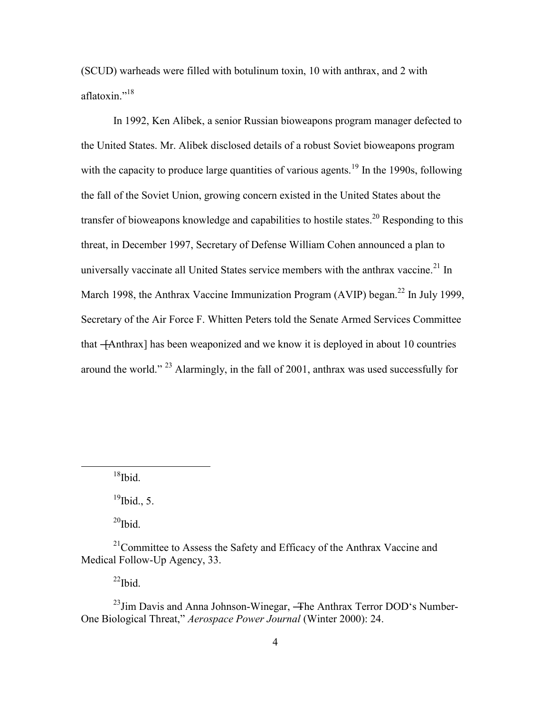(SCUD) warheads were filled with botulinum toxin, 10 with anthrax, and 2 with aflatoxin."<sup>18</sup>

In 1992, Ken Alibek, a senior Russian bioweapons program manager defected to the United States. Mr. Alibek disclosed details of a robust Soviet bioweapons program with the capacity to produce large quantities of various agents.<sup>19</sup> In the 1990s, following the fall of the Soviet Union, growing concern existed in the United States about the transfer of bioweapons knowledge and capabilities to hostile states.<sup>20</sup> Responding to this threat, in December 1997, Secretary of Defense William Cohen announced a plan to universally vaccinate all United States service members with the anthrax vaccine.<sup>21</sup> In March 1998, the Anthrax Vaccine Immunization Program (AVIP) began.<sup>22</sup> In July 1999, Secretary of the Air Force F. Whitten Peters told the Senate Armed Services Committee that ―[Anthrax] has been weaponized and we know it is deployed in about 10 countries around the world."<sup>23</sup> Alarmingly, in the fall of 2001, anthrax was used successfully for

 $18$ Ibid.

 $\overline{a}$ 

 $^{19}$ Ibid., 5.

 $^{20}$ Ibid.

<sup>21</sup>Committee to Assess the Safety and Efficacy of the Anthrax Vaccine and Medical Follow-Up Agency, 33.

 $^{22}$ Ibid.

 $^{23}$ Jim Davis and Anna Johnson-Winegar,  $\overline{a}$ -The Anthrax Terror DOD's Number-One Biological Threat," Aerospace Power Journal (Winter 2000): 24.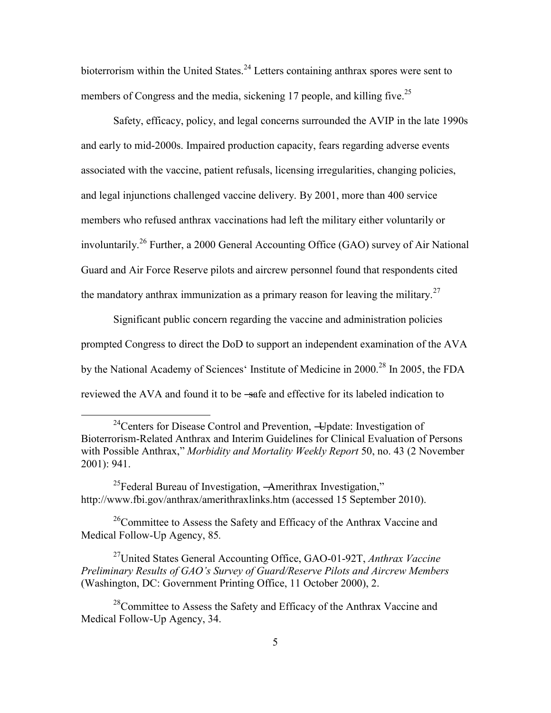bioterrorism within the United States.<sup>24</sup> Letters containing anthrax spores were sent to members of Congress and the media, sickening 17 people, and killing five.<sup>25</sup>

Safety, efficacy, policy, and legal concerns surrounded the AVIP in the late 1990s and early to mid-2000s. Impaired production capacity, fears regarding adverse events associated with the vaccine, patient refusals, licensing irregularities, changing policies, and legal injunctions challenged vaccine delivery. By 2001, more than 400 service members who refused anthrax vaccinations had left the military either voluntarily or involuntarily.<sup>26</sup> Further, a 2000 General Accounting Office (GAO) survey of Air National Guard and Air Force Reserve pilots and aircrew personnel found that respondents cited the mandatory anthrax immunization as a primary reason for leaving the military.<sup>27</sup>

Significant public concern regarding the vaccine and administration policies prompted Congress to direct the DoD to support an independent examination of the AVA by the National Academy of Sciences' Institute of Medicine in 2000.<sup>28</sup> In 2005, the FDA reviewed the AVA and found it to be —safe and effective for its labeled indication to

<sup>25</sup> Federal Bureau of Investigation,  $\rightarrow$  merithrax Investigation." <http://www.fbi.gov/anthrax/amerithraxlinks.htm> (accessed 15 September 2010).

 $\overline{a}$ 

<sup>26</sup>Committee to Assess the Safety and Efficacy of the Anthrax Vaccine and Medical Follow-Up Agency, 85*.*

<sup>27</sup>United States General Accounting Office, GAO-01-92T, *Anthrax Vaccine Preliminary Results of GAO's Survey of Guard/Reserve Pilots and Aircrew Members*  (Washington, DC: Government Printing Office, 11 October 2000), 2.

 $^{24}$ Centers for Disease Control and Prevention,  $-\text{Update}$ : Investigation of Bioterrorism-Related Anthrax and Interim Guidelines for Clinical Evaluation of Persons with Possible Anthrax," *Morbidity and Mortality Weekly Report* 50, no. 43 (2 November 2001): 941.

 $^{28}$ Committee to Assess the Safety and Efficacy of the Anthrax Vaccine and Medical Follow-Up Agency, 34.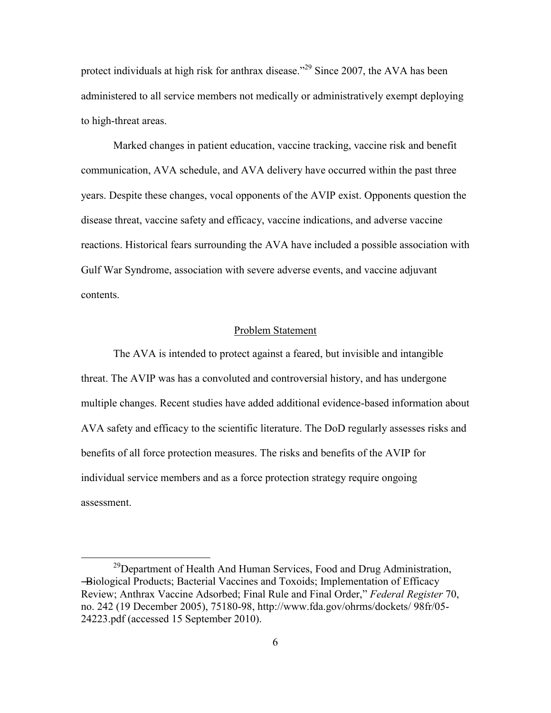protect individuals at high risk for anthrax disease."<sup>29</sup> Since 2007, the AVA has been administered to all service members not medically or administratively exempt deploying to high-threat areas.

Marked changes in patient education, vaccine tracking, vaccine risk and benefit communication, AVA schedule, and AVA delivery have occurred within the past three years. Despite these changes, vocal opponents of the AVIP exist. Opponents question the disease threat, vaccine safety and efficacy, vaccine indications, and adverse vaccine reactions. Historical fears surrounding the AVA have included a possible association with Gulf War Syndrome, association with severe adverse events, and vaccine adjuvant contents.

### Problem Statement

<span id="page-14-0"></span>The AVA is intended to protect against a feared, but invisible and intangible threat. The AVIP was has a convoluted and controversial history, and has undergone multiple changes. Recent studies have added additional evidence-based information about AVA safety and efficacy to the scientific literature. The DoD regularly assesses risks and benefits of all force protection measures. The risks and benefits of the AVIP for individual service members and as a force protection strategy require ongoing assessment.

 $\overline{a}$ 

<sup>&</sup>lt;sup>29</sup>Department of Health And Human Services, Food and Drug Administration, ―Biological Products; Bacterial Vaccines and Toxoids; Implementation of Efficacy Review; Anthrax Vaccine Adsorbed; Final Rule and Final Order," *Federal Register* 70, no. 242 (19 December 2005), 75180-98, http://www.fda.gov/ohrms/dockets/ 98fr/05- 24223.pdf (accessed 15 September 2010).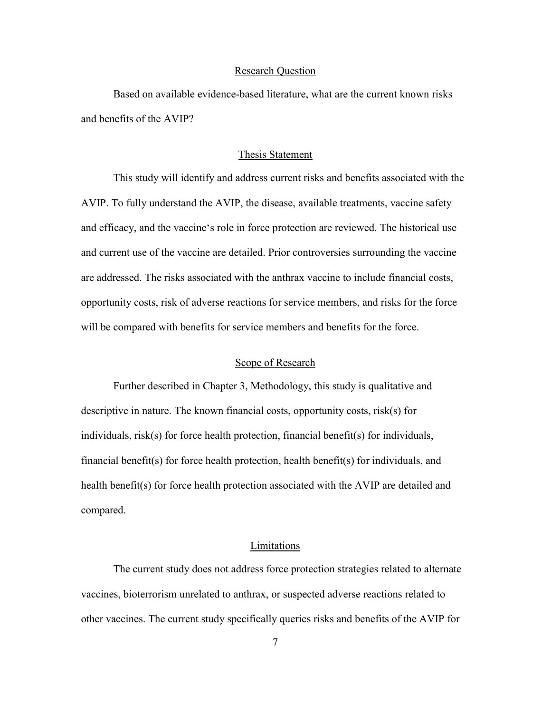#### Research Question

<span id="page-15-0"></span>Based on available evidence-based literature, what are the current known risks and benefits of the AVIP?

#### Thesis Statement

<span id="page-15-1"></span>This study will identify and address current risks and benefits associated with the AVIP. To fully understand the AVIP, the disease, available treatments, vaccine safety and efficacy, and the vaccine's role in force protection are reviewed. The historical use and current use of the vaccine are detailed. Prior controversies surrounding the vaccine are addressed. The risks associated with the anthrax vaccine to include financial costs, opportunity costs, risk of adverse reactions for service members, and risks for the force will be compared with benefits for service members and benefits for the force.

### Scope of Research

<span id="page-15-2"></span>Further described in Chapter 3, Methodology, this study is qualitative and descriptive in nature. The known financial costs, opportunity costs, risk(s) for individuals, risk(s) for force health protection, financial benefit(s) for individuals, financial benefit(s) for force health protection, health benefit(s) for individuals, and health benefit(s) for force health protection associated with the AVIP are detailed and compared.

## Limitations

<span id="page-15-3"></span>The current study does not address force protection strategies related to alternate vaccines, bioterrorism unrelated to anthrax, or suspected adverse reactions related to other vaccines. The current study specifically queries risks and benefits of the AVIP for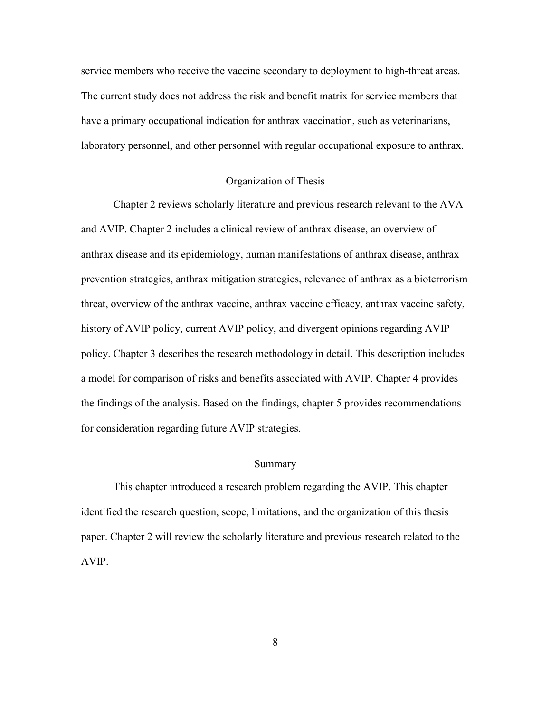service members who receive the vaccine secondary to deployment to high-threat areas. The current study does not address the risk and benefit matrix for service members that have a primary occupational indication for anthrax vaccination, such as veterinarians, laboratory personnel, and other personnel with regular occupational exposure to anthrax.

#### Organization of Thesis

<span id="page-16-0"></span>Chapter 2 reviews scholarly literature and previous research relevant to the AVA and AVIP. Chapter 2 includes a clinical review of anthrax disease, an overview of anthrax disease and its epidemiology, human manifestations of anthrax disease, anthrax prevention strategies, anthrax mitigation strategies, relevance of anthrax as a bioterrorism threat, overview of the anthrax vaccine, anthrax vaccine efficacy, anthrax vaccine safety, history of AVIP policy, current AVIP policy, and divergent opinions regarding AVIP policy. Chapter 3 describes the research methodology in detail. This description includes a model for comparison of risks and benefits associated with AVIP. Chapter 4 provides the findings of the analysis. Based on the findings, chapter 5 provides recommendations for consideration regarding future AVIP strategies.

#### Summary

<span id="page-16-1"></span>This chapter introduced a research problem regarding the AVIP. This chapter identified the research question, scope, limitations, and the organization of this thesis paper. Chapter 2 will review the scholarly literature and previous research related to the AVIP.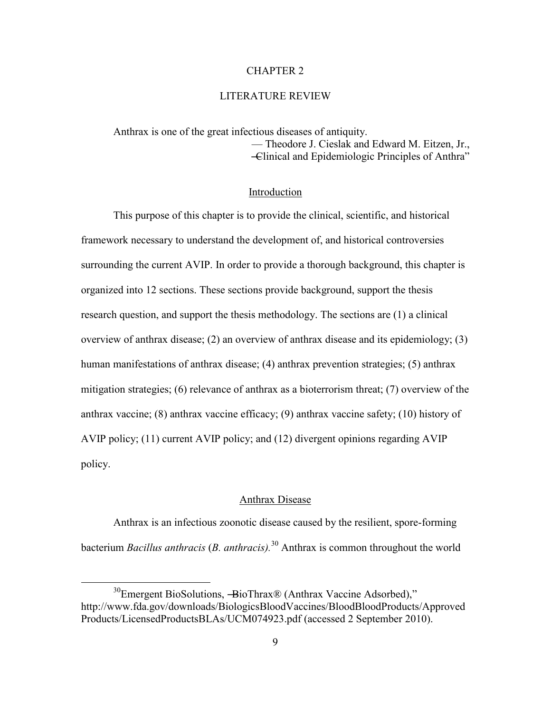#### CHAPTER 2

## LITERATURE REVIEW

<span id="page-17-0"></span>Anthrax is one of the great infectious diseases of antiquity. — Theodore J. Cieslak and Edward M. Eitzen, Jr., ―Clinical and Epidemiologic Principles of Anthra‖

#### Introduction

<span id="page-17-1"></span>This purpose of this chapter is to provide the clinical, scientific, and historical framework necessary to understand the development of, and historical controversies surrounding the current AVIP. In order to provide a thorough background, this chapter is organized into 12 sections. These sections provide background, support the thesis research question, and support the thesis methodology. The sections are (1) a clinical overview of anthrax disease; (2) an overview of anthrax disease and its epidemiology; (3) human manifestations of anthrax disease; (4) anthrax prevention strategies; (5) anthrax mitigation strategies; (6) relevance of anthrax as a bioterrorism threat; (7) overview of the anthrax vaccine; (8) anthrax vaccine efficacy; (9) anthrax vaccine safety; (10) history of AVIP policy; (11) current AVIP policy; and (12) divergent opinions regarding AVIP policy.

#### Anthrax Disease

<span id="page-17-2"></span>Anthrax is an infectious zoonotic disease caused by the resilient, spore-forming bacterium *Bacillus anthracis* (*B. anthracis).*<sup>30</sup> Anthrax is common throughout the world

 $\overline{a}$ 

 $30$ Emergent BioSolutions,  $\rightarrow$ BioThrax® (Anthrax Vaccine Adsorbed)," http://www.fda.gov/downloads/BiologicsBloodVaccines/BloodBloodProducts/Approved Products/LicensedProductsBLAs/UCM074923.pdf (accessed 2 September 2010).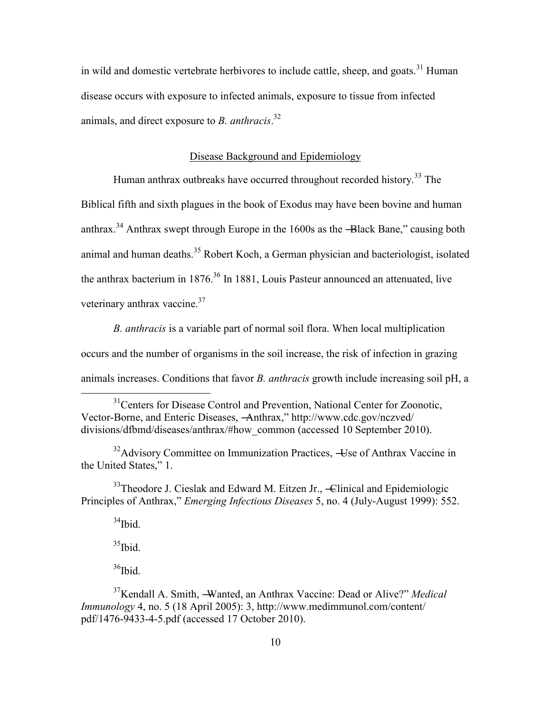in wild and domestic vertebrate herbivores to include cattle, sheep, and goats.<sup>31</sup> Human disease occurs with exposure to infected animals, exposure to tissue from infected animals, and direct exposure to *B. anthracis*. 32

## Disease Background and Epidemiology

<span id="page-18-0"></span>Human anthrax outbreaks have occurred throughout recorded history.<sup>33</sup> The Biblical fifth and sixth plagues in the book of Exodus may have been bovine and human anthrax.<sup>34</sup> Anthrax swept through Europe in the  $1600s$  as the -Black Bane," causing both animal and human deaths.<sup>35</sup> Robert Koch, a German physician and bacteriologist, isolated the anthrax bacterium in  $1876^{36}$  In 1881, Louis Pasteur announced an attenuated, live veterinary anthrax vaccine. $37$ 

*B. anthracis* is a variable part of normal soil flora. When local multiplication occurs and the number of organisms in the soil increase, the risk of infection in grazing animals increases. Conditions that favor *B. anthracis* growth include increasing soil pH, a

 $33$ Theodore J. Cieslak and Edward M. Eitzen Jr., -Clinical and Epidemiologic Principles of Anthrax," *Emerging Infectious Diseases* 5, no. 4 (July-August 1999): 552.

 $34$ Ibid.

 $\overline{a}$ 

 $35$ Ibid.

 $36$ Ibid.

<sup>37</sup>Kendall A. Smith, -Wanted, an Anthrax Vaccine: Dead or Alive?" Medical *Immunology* 4, no. 5 (18 April 2005): 3, http://www.medimmunol.com/content/ pdf/1476-9433-4-5.pdf (accessed 17 October 2010).

<sup>&</sup>lt;sup>31</sup>Centers for Disease Control and Prevention, National Center for Zoonotic, Vector-Borne, and Enteric Diseases, -Anthrax," http://www.cdc.gov/nczved/ divisions/dfbmd/diseases/anthrax/#how\_common (accessed 10 September 2010).

 $32$ Advisory Committee on Immunization Practices,  $\overline{ }$  Use of Anthrax Vaccine in the United States," 1.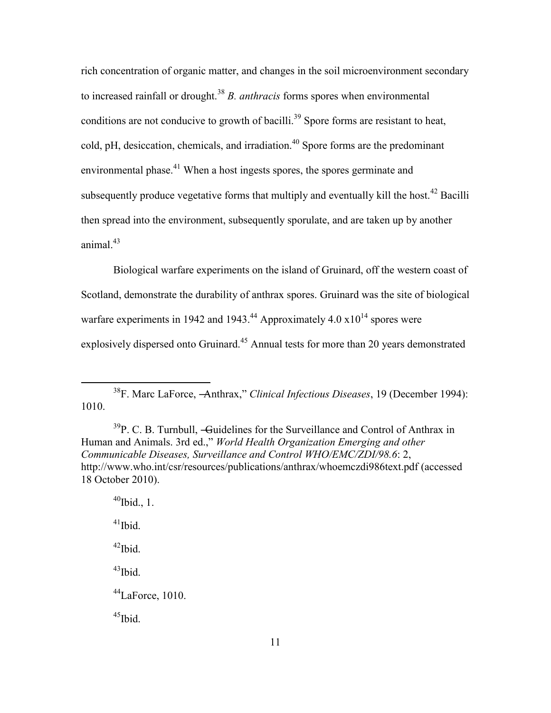rich concentration of organic matter, and changes in the soil microenvironment secondary to increased rainfall or drought.<sup>38</sup> *B. anthracis* forms spores when environmental conditions are not conducive to growth of bacilli.<sup>39</sup> Spore forms are resistant to heat, cold, pH, desiccation, chemicals, and irradiation.<sup>40</sup> Spore forms are the predominant environmental phase.<sup>41</sup> When a host ingests spores, the spores germinate and subsequently produce vegetative forms that multiply and eventually kill the host.<sup>42</sup> Bacilli then spread into the environment, subsequently sporulate, and are taken up by another animal $43$ 

Biological warfare experiments on the island of Gruinard, off the western coast of Scotland, demonstrate the durability of anthrax spores. Gruinard was the site of biological warfare experiments in 1942 and 1943.<sup>44</sup> Approximately 4.0  $\times$  10<sup>14</sup> spores were explosively dispersed onto Gruinard.<sup>45</sup> Annual tests for more than 20 years demonstrated

<sup>38</sup>F. Marc LaForce, -Anthrax," *Clinical Infectious Diseases*, 19 (December 1994): 1010.

 $39P$ . C. B. Turnbull, -Guidelines for the Surveillance and Control of Anthrax in Human and Animals. 3rd ed.," *World Health Organization Emerging and other Communicable Diseases, Surveillance and Control WHO/EMC/ZDI/98.6*: 2, http://www.who.int/csr/resources/publications/anthrax/whoemczdi986text.pdf (accessed 18 October 2010).

 $^{40}$ Ibid., 1.  $^{41}$ Ibid.  $^{42}$ Ibid.  $^{43}$ Ibid.  $^{44}$ LaForce, 1010.  $45$ Ibid.

 $\overline{a}$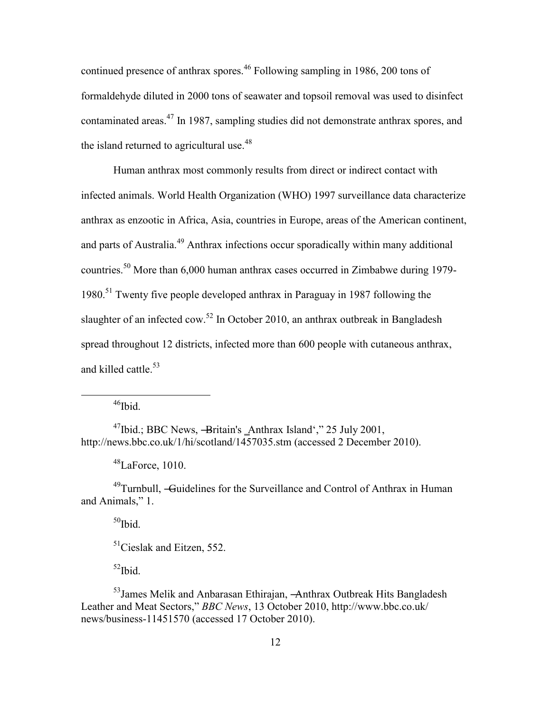continued presence of anthrax spores.<sup>46</sup> Following sampling in 1986, 200 tons of formaldehyde diluted in 2000 tons of seawater and topsoil removal was used to disinfect contaminated areas.<sup>47</sup> In 1987, sampling studies did not demonstrate anthrax spores, and the island returned to agricultural use.<sup>48</sup>

Human anthrax most commonly results from direct or indirect contact with infected animals. World Health Organization (WHO) 1997 surveillance data characterize anthrax as enzootic in Africa, Asia, countries in Europe, areas of the American continent, and parts of Australia.<sup>49</sup> Anthrax infections occur sporadically within many additional countries.<sup>50</sup> More than 6,000 human anthrax cases occurred in Zimbabwe during 1979- 1980.<sup>51</sup> Twenty five people developed anthrax in Paraguay in 1987 following the slaughter of an infected cow.<sup>52</sup> In October 2010, an anthrax outbreak in Bangladesh spread throughout 12 districts, infected more than 600 people with cutaneous anthrax, and killed cattle.<sup>53</sup>

 $46$ Ibid.

 $\overline{a}$ 

 $47$ Ibid.; BBC News, -Britain's  $\Delta$ Anthrax Island'," 25 July 2001, http://news.bbc.co.uk/1/hi/scotland/1457035.stm (accessed 2 December 2010).

 $48$ LaForce, 1010.

<sup>49</sup>Turnbull, —Guidelines for the Surveillance and Control of Anthrax in Human and Animals," 1.

 $50$ Ibid.

<sup>51</sup>Cieslak and Eitzen, 552.

 $52$ Ibid.

<sup>53</sup> James Melik and Anbarasan Ethirajan, —Anthrax Outbreak Hits Bangladesh Leather and Meat Sectors," *BBC News*, 13 October 2010, http://www.bbc.co.uk/ news/business-11451570 (accessed 17 October 2010).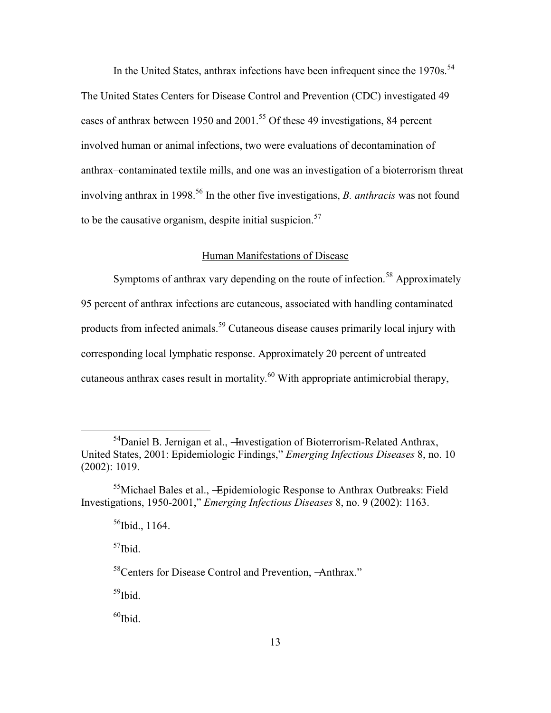In the United States, anthrax infections have been infrequent since the  $1970s$ .<sup>54</sup> The United States Centers for Disease Control and Prevention (CDC) investigated 49 cases of anthrax between 1950 and 2001.<sup>55</sup> Of these 49 investigations, 84 percent involved human or animal infections, two were evaluations of decontamination of anthrax*–*contaminated textile mills, and one was an investigation of a bioterrorism threat involving anthrax in 1998.<sup>56</sup> In the other five investigations, *B. anthracis* was not found to be the causative organism, despite initial suspicion. $57$ 

## Human Manifestations of Disease

<span id="page-21-0"></span>Symptoms of anthrax vary depending on the route of infection.<sup>58</sup> Approximately 95 percent of anthrax infections are cutaneous, associated with handling contaminated products from infected animals.<sup>59</sup> Cutaneous disease causes primarily local injury with corresponding local lymphatic response. Approximately 20 percent of untreated cutaneous anthrax cases result in mortality.<sup>60</sup> With appropriate antimicrobial therapy,

 $^{56}$ Ibid., 1164.

 $57$ Ibid.

 $\overline{a}$ 

<sup>58</sup>Centers for Disease Control and Prevention, -Anthrax."

<sup>59</sup>Ibid.

 $54$ Daniel B. Jernigan et al.,  $\frac{1}{2}$  Hnvestigation of Bioterrorism-Related Anthrax, United States, 2001: Epidemiologic Findings," *Emerging Infectious Diseases* 8, no. 10 (2002): 1019.

<sup>55</sup>Michael Bales et al., ―Epidemiologic Response to Anthrax Outbreaks: Field Investigations, 1950-2001,‖ *Emerging Infectious Diseases* 8, no. 9 (2002): 1163.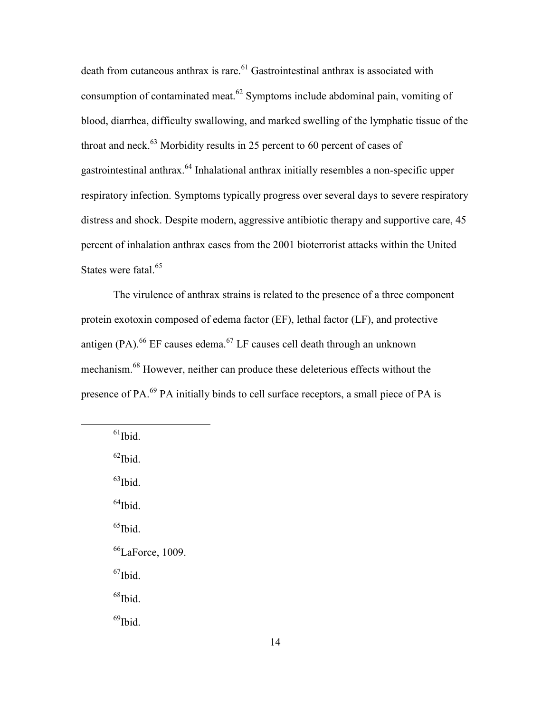death from cutaneous anthrax is rare. $61$  Gastrointestinal anthrax is associated with consumption of contaminated meat.<sup>62</sup> Symptoms include abdominal pain, vomiting of blood, diarrhea, difficulty swallowing, and marked swelling of the lymphatic tissue of the throat and neck. $63$  Morbidity results in 25 percent to 60 percent of cases of gastrointestinal anthrax.<sup>64</sup> Inhalational anthrax initially resembles a non-specific upper respiratory infection. Symptoms typically progress over several days to severe respiratory distress and shock. Despite modern, aggressive antibiotic therapy and supportive care, 45 percent of inhalation anthrax cases from the 2001 bioterrorist attacks within the United States were fatal.<sup>65</sup>

The virulence of anthrax strains is related to the presence of a three component protein exotoxin composed of edema factor (EF), lethal factor (LF), and protective antigen  $(PA)$ .<sup>66</sup> EF causes edema.<sup>67</sup> LF causes cell death through an unknown mechanism.<sup>68</sup> However, neither can produce these deleterious effects without the presence of PA.<sup>69</sup> PA initially binds to cell surface receptors, a small piece of PA is

 $^{61}$ Ibid.  $62$ Ibid.  $^{63}$ Ibid.  $^{64}$ Ibid.  $65$ Ibid. <sup>66</sup>LaForce, 1009.  $^{67}$ Ibid.  $68$ Ibid.  $^{69}$ Ibid.

 $\overline{a}$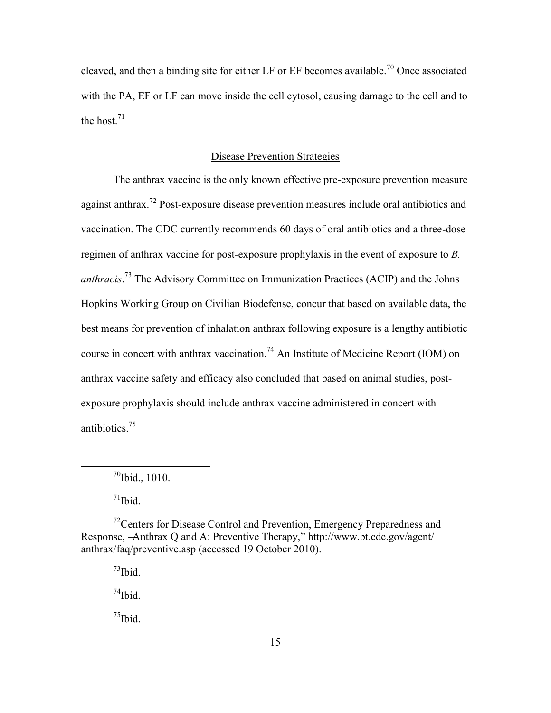cleaved, and then a binding site for either LF or EF becomes available.<sup>70</sup> Once associated with the PA, EF or LF can move inside the cell cytosol, causing damage to the cell and to the host  $71$ 

## Disease Prevention Strategies

<span id="page-23-0"></span>The anthrax vaccine is the only known effective pre-exposure prevention measure against anthrax.<sup>72</sup> Post-exposure disease prevention measures include oral antibiotics and vaccination. The CDC currently recommends 60 days of oral antibiotics and a three-dose regimen of anthrax vaccine for post-exposure prophylaxis in the event of exposure to *B. anthracis*. <sup>73</sup> The Advisory Committee on Immunization Practices (ACIP) and the Johns Hopkins Working Group on Civilian Biodefense, concur that based on available data, the best means for prevention of inhalation anthrax following exposure is a lengthy antibiotic course in concert with anthrax vaccination.<sup>74</sup> An Institute of Medicine Report (IOM) on anthrax vaccine safety and efficacy also concluded that based on animal studies, postexposure prophylaxis should include anthrax vaccine administered in concert with antibiotics.<sup>75</sup>

 $71$ Ibid.

 $\overline{a}$ 

 $72$ Centers for Disease Control and Prevention, Emergency Preparedness and Response, Anthrax Q and A: Preventive Therapy," http://www.bt.cdc.gov/agent/ anthrax/faq/preventive.asp (accessed 19 October 2010).

 $^{73}$ Ibid.  $^{74}$ Ibid.  $^{75}$ Ibid.

 $70$ Ibid., 1010.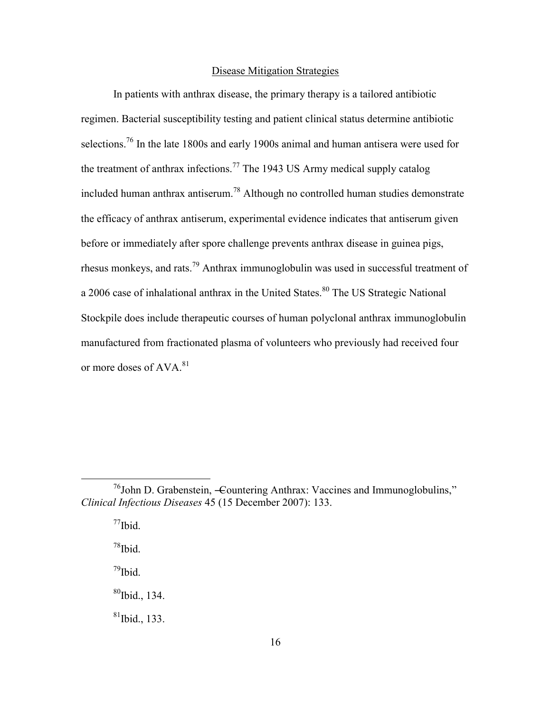## Disease Mitigation Strategies

<span id="page-24-0"></span>In patients with anthrax disease, the primary therapy is a tailored antibiotic regimen. Bacterial susceptibility testing and patient clinical status determine antibiotic selections.<sup>76</sup> In the late 1800s and early 1900s animal and human antisera were used for the treatment of anthrax infections.<sup>77</sup> The 1943 US Army medical supply catalog included human anthrax antiserum.<sup>78</sup> Although no controlled human studies demonstrate the efficacy of anthrax antiserum, experimental evidence indicates that antiserum given before or immediately after spore challenge prevents anthrax disease in guinea pigs, rhesus monkeys, and rats.<sup>79</sup> Anthrax immunoglobulin was used in successful treatment of a 2006 case of inhalational anthrax in the United States.<sup>80</sup> The US Strategic National Stockpile does include therapeutic courses of human polyclonal anthrax immunoglobulin manufactured from fractionated plasma of volunteers who previously had received four or more doses of AVA.<sup>81</sup>

 $^{77}$ Ibid.

 $\overline{a}$ 

<sup>78</sup>Ibid.

 $^{79}$ Ibid.

 $80$ Ibid., 134.

 $81$ Ibid., 133.

 $^{76}$ John D. Grabenstein, -Countering Anthrax: Vaccines and Immunoglobulins," *Clinical Infectious Diseases* 45 (15 December 2007): 133.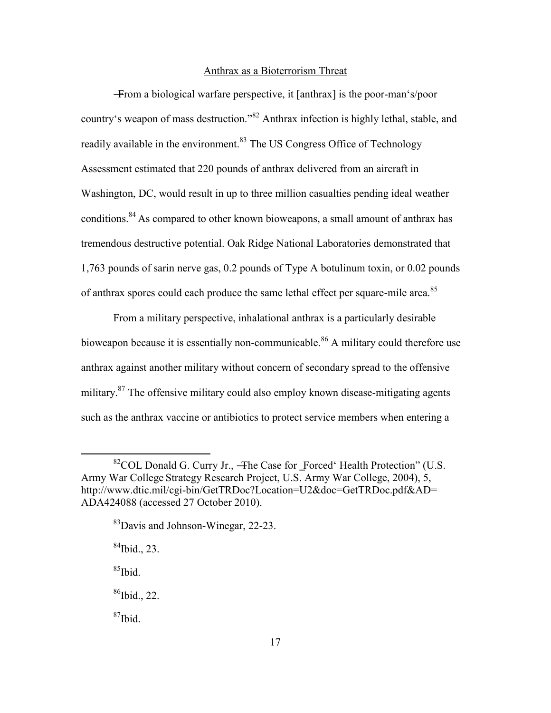## Anthrax as a Bioterrorism Threat

<span id="page-25-0"></span>―From a biological warfare perspective, it [anthrax] is the poor-man's/poor country's weapon of mass destruction."<sup>82</sup> Anthrax infection is highly lethal, stable, and readily available in the environment.<sup>83</sup> The US Congress Office of Technology Assessment estimated that 220 pounds of anthrax delivered from an aircraft in Washington, DC, would result in up to three million casualties pending ideal weather conditions.<sup>84</sup> As compared to other known bioweapons, a small amount of anthrax has tremendous destructive potential. Oak Ridge National Laboratories demonstrated that 1,763 pounds of sarin nerve gas, 0.2 pounds of Type A botulinum toxin, or 0.02 pounds of anthrax spores could each produce the same lethal effect per square-mile area.<sup>85</sup>

From a military perspective, inhalational anthrax is a particularly desirable bioweapon because it is essentially non-communicable.<sup>86</sup> A military could therefore use anthrax against another military without concern of secondary spread to the offensive military.<sup>87</sup> The offensive military could also employ known disease-mitigating agents such as the anthrax vaccine or antibiotics to protect service members when entering a

<sup>83</sup>Davis and Johnson-Winegar, 22-23.

 $^{84}$ Ibid., 23.

 $^{85}$ Ibid.

 $\overline{a}$ 

 $^{86}$ Ibid., 22.

 $82$ COL Donald G. Curry Jr.,  $\overline{ }$  The Case for Forced' Health Protection" (U.S. Army War College Strategy Research Project, U.S. Army War College, 2004), 5, http://www.dtic.mil/cgi-bin/GetTRDoc?Location=U2&doc=GetTRDoc.pdf&AD= ADA424088 (accessed 27 October 2010).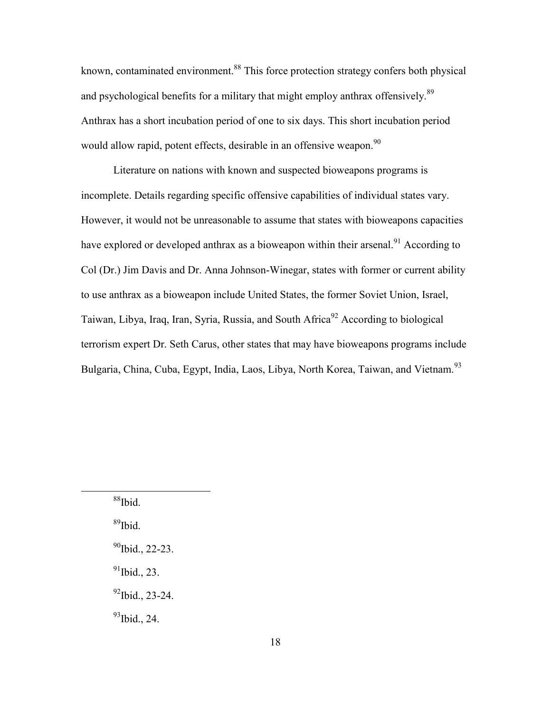known, contaminated environment.<sup>88</sup> This force protection strategy confers both physical and psychological benefits for a military that might employ anthrax offensively.<sup>89</sup> Anthrax has a short incubation period of one to six days. This short incubation period would allow rapid, potent effects, desirable in an offensive weapon.<sup>90</sup>

Literature on nations with known and suspected bioweapons programs is incomplete. Details regarding specific offensive capabilities of individual states vary. However, it would not be unreasonable to assume that states with bioweapons capacities have explored or developed anthrax as a bioweapon within their arsenal.<sup>91</sup> According to Col (Dr.) Jim Davis and Dr. Anna Johnson-Winegar, states with former or current ability to use anthrax as a bioweapon include United States, the former Soviet Union, Israel, Taiwan, Libya, Iraq, Iran, Syria, Russia, and South Africa<sup>92</sup> According to biological terrorism expert Dr. Seth Carus, other states that may have bioweapons programs include Bulgaria, China, Cuba, Egypt, India, Laos, Libya, North Korea, Taiwan, and Vietnam.<sup>93</sup>

<sup>88</sup>Ibid. <sup>89</sup>Ibid. <sup>90</sup>Ibid., 22-23.  $91$ Ibid., 23.  $^{92}$ Ibid., 23-24.

 $\overline{a}$ 

 $93$ Ibid., 24.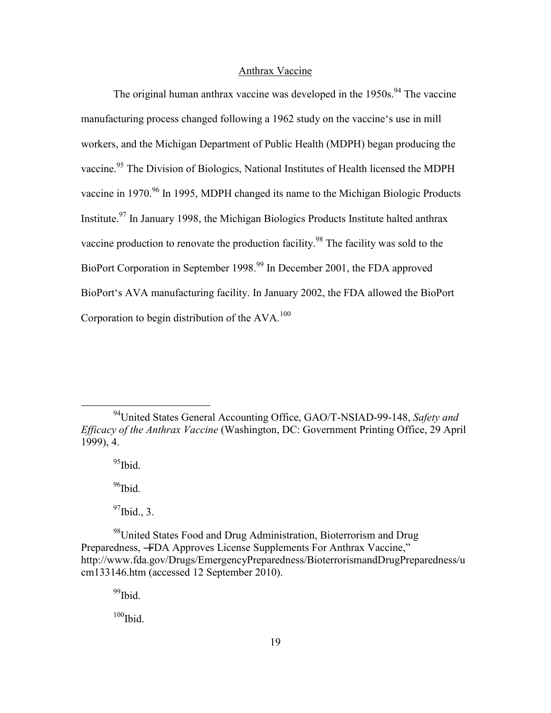#### Anthrax Vaccine

<span id="page-27-0"></span>The original human anthrax vaccine was developed in the  $1950s$ .<sup>94</sup> The vaccine manufacturing process changed following a 1962 study on the vaccine's use in mill workers, and the Michigan Department of Public Health (MDPH) began producing the vaccine.<sup>95</sup> The Division of Biologics, National Institutes of Health licensed the MDPH vaccine in 1970.<sup>96</sup> In 1995, MDPH changed its name to the Michigan Biologic Products Institute.<sup>97</sup> In January 1998, the Michigan Biologics Products Institute halted anthrax vaccine production to renovate the production facility.<sup>98</sup> The facility was sold to the BioPort Corporation in September 1998.<sup>99</sup> In December 2001, the FDA approved BioPort's AVA manufacturing facility. In January 2002, the FDA allowed the BioPort Corporation to begin distribution of the  $AVA$ <sup>100</sup>

 $95$ Ibid.

 $96$ Ibid.

 $^{97}$ Ibid., 3.

 $99$ Ibid.

 $\overline{a}$ <sup>94</sup>United States General Accounting Office, GAO/T-NSIAD-99-148, *Safety and Efficacy of the Anthrax Vaccine* (Washington, DC: Government Printing Office, 29 April 1999), 4.

<sup>&</sup>lt;sup>98</sup>United States Food and Drug Administration, Bioterrorism and Drug Preparedness, –FDA Approves License Supplements For Anthrax Vaccine," http://www.fda.gov/Drugs/EmergencyPreparedness/BioterrorismandDrugPreparedness/u cm133146.htm (accessed 12 September 2010).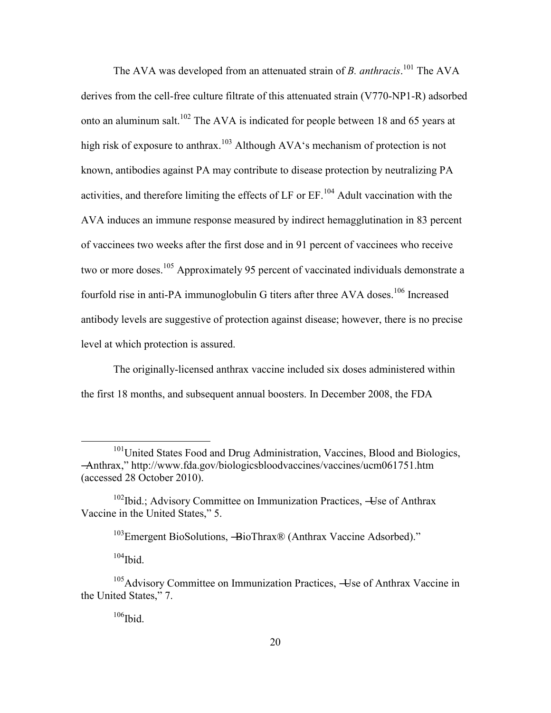The AVA was developed from an attenuated strain of *B. anthracis*. <sup>101</sup> The AVA derives from the cell-free culture filtrate of this attenuated strain (V770-NP1-R) adsorbed onto an aluminum salt.<sup>102</sup> The AVA is indicated for people between 18 and 65 years at high risk of exposure to anthrax.<sup>103</sup> Although AVA's mechanism of protection is not known, antibodies against PA may contribute to disease protection by neutralizing PA activities, and therefore limiting the effects of LF or EF.<sup>104</sup> Adult vaccination with the AVA induces an immune response measured by indirect hemagglutination in 83 percent of vaccinees two weeks after the first dose and in 91 percent of vaccinees who receive two or more doses.<sup>105</sup> Approximately 95 percent of vaccinated individuals demonstrate a fourfold rise in anti-PA immunoglobulin G titers after three AVA doses.<sup>106</sup> Increased antibody levels are suggestive of protection against disease; however, there is no precise level at which protection is assured.

The originally-licensed anthrax vaccine included six doses administered within the first 18 months, and subsequent annual boosters. In December 2008, the FDA

 $104$ Ibid.

 $\overline{a}$ 

<sup>&</sup>lt;sup>101</sup>United States Food and Drug Administration, Vaccines, Blood and Biologics, ―Anthrax,‖ http://www.fda.gov/biologicsbloodvaccines/vaccines/ucm061751.htm (accessed 28 October 2010).

 $102$ Ibid.; Advisory Committee on Immunization Practices,  $\overline{-}$ Use of Anthrax Vaccine in the United States," 5.

 $103$ Emergent BioSolutions,  $-\text{BioThrax} \otimes (\text{Anthrax vaccine Adsorbed})$ .

 $105$ Advisory Committee on Immunization Practices,  $\overline{ }$  Use of Anthrax Vaccine in the United States," 7.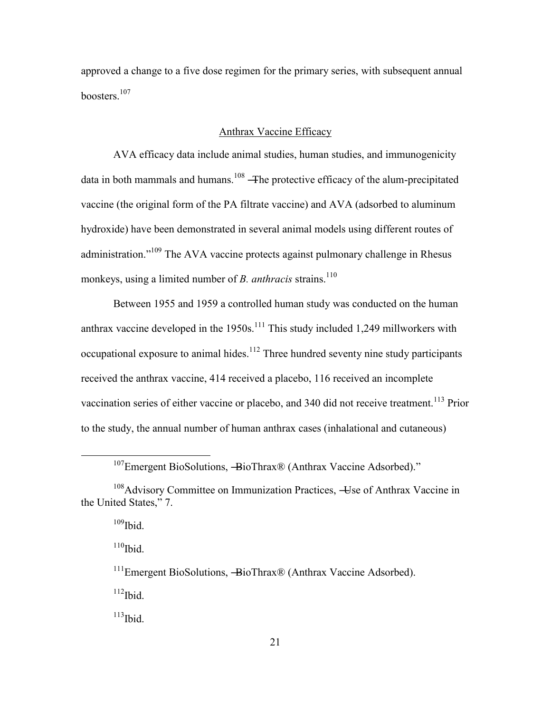approved a change to a five dose regimen for the primary series, with subsequent annual boosters.<sup>107</sup>

## Anthrax Vaccine Efficacy

<span id="page-29-0"></span>AVA efficacy data include animal studies, human studies, and immunogenicity data in both mammals and humans.<sup>108</sup> – The protective efficacy of the alum-precipitated vaccine (the original form of the PA filtrate vaccine) and AVA (adsorbed to aluminum hydroxide) have been demonstrated in several animal models using different routes of administration."<sup>109</sup> The AVA vaccine protects against pulmonary challenge in Rhesus monkeys, using a limited number of *B. anthracis* strains.<sup>110</sup>

Between 1955 and 1959 a controlled human study was conducted on the human anthrax vaccine developed in the  $1950s$ .<sup>111</sup> This study included 1,249 millworkers with occupational exposure to animal hides.<sup>112</sup> Three hundred seventy nine study participants received the anthrax vaccine, 414 received a placebo, 116 received an incomplete vaccination series of either vaccine or placebo, and 340 did not receive treatment.<sup>113</sup> Prior to the study, the annual number of human anthrax cases (inhalational and cutaneous)

 $109$ Ibid.

 $\overline{a}$ 

 $110$ Ibid.

 $107$ Emergent BioSolutions,  $\rightarrow$ BioThrax® (Anthrax Vaccine Adsorbed)."

<sup>&</sup>lt;sup>108</sup>Advisory Committee on Immunization Practices, —Use of Anthrax Vaccine in the United States," 7.

<sup>111</sup>Emergent BioSolutions, ―BioThrax® (Anthrax Vaccine Adsorbed).

 $112$ Ibid.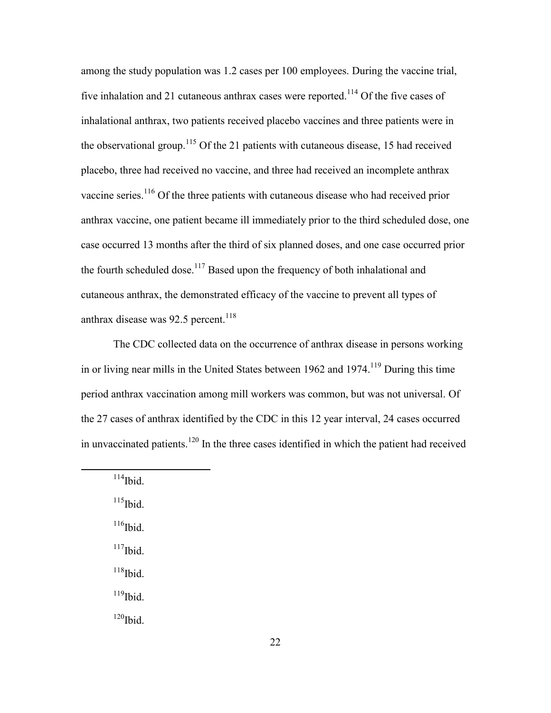among the study population was 1.2 cases per 100 employees. During the vaccine trial, five inhalation and 21 cutaneous anthrax cases were reported.<sup>114</sup> Of the five cases of inhalational anthrax, two patients received placebo vaccines and three patients were in the observational group.<sup>115</sup> Of the 21 patients with cutaneous disease, 15 had received placebo, three had received no vaccine, and three had received an incomplete anthrax vaccine series.<sup>116</sup> Of the three patients with cutaneous disease who had received prior anthrax vaccine, one patient became ill immediately prior to the third scheduled dose, one case occurred 13 months after the third of six planned doses, and one case occurred prior the fourth scheduled dose.<sup>117</sup> Based upon the frequency of both inhalational and cutaneous anthrax, the demonstrated efficacy of the vaccine to prevent all types of anthrax disease was  $92.5$  percent.<sup>118</sup>

The CDC collected data on the occurrence of anthrax disease in persons working in or living near mills in the United States between  $1962$  and  $1974$ <sup> $119$ </sup> During this time period anthrax vaccination among mill workers was common, but was not universal. Of the 27 cases of anthrax identified by the CDC in this 12 year interval, 24 cases occurred in unvaccinated patients. $120$  In the three cases identified in which the patient had received

 $114$ Ibid.

 $\overline{a}$ 

- $115$ Ibid.
- $116$ Ibid.
- $117$ Ibid.
- $118$ Ibid.
- $119$ Ibid.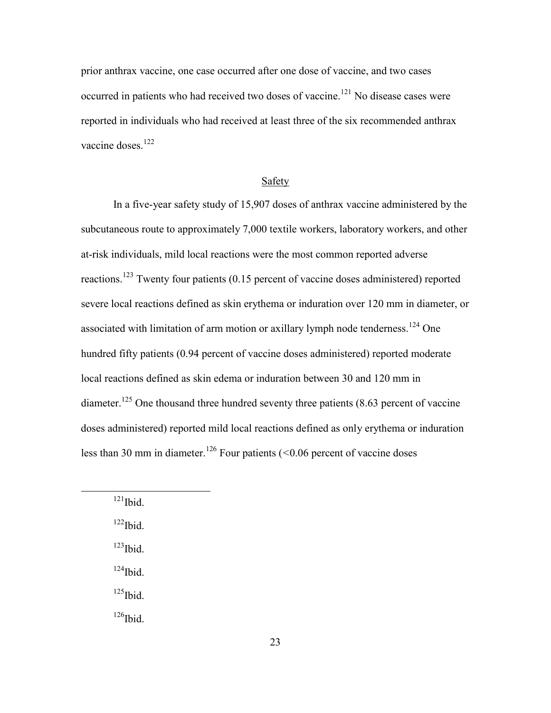prior anthrax vaccine, one case occurred after one dose of vaccine, and two cases occurred in patients who had received two doses of vaccine.<sup>121</sup> No disease cases were reported in individuals who had received at least three of the six recommended anthrax vaccine doses.<sup>122</sup>

#### Safety

<span id="page-31-0"></span>In a five-year safety study of 15,907 doses of anthrax vaccine administered by the subcutaneous route to approximately 7,000 textile workers, laboratory workers, and other at-risk individuals, mild local reactions were the most common reported adverse reactions.<sup>123</sup> Twenty four patients (0.15 percent of vaccine doses administered) reported severe local reactions defined as skin erythema or induration over 120 mm in diameter, or associated with limitation of arm motion or axillary lymph node tenderness.<sup>124</sup> One hundred fifty patients (0.94 percent of vaccine doses administered) reported moderate local reactions defined as skin edema or induration between 30 and 120 mm in diameter.<sup>125</sup> One thousand three hundred seventy three patients (8.63 percent of vaccine doses administered) reported mild local reactions defined as only erythema or induration less than 30 mm in diameter.<sup>126</sup> Four patients  $(< 0.06$  percent of vaccine doses

 $121$ Ibid.

 $\overline{a}$ 

 $122$  Ibid.

 $123$  Ibid.

 $124$  Ibid.

 $125$  Ibid.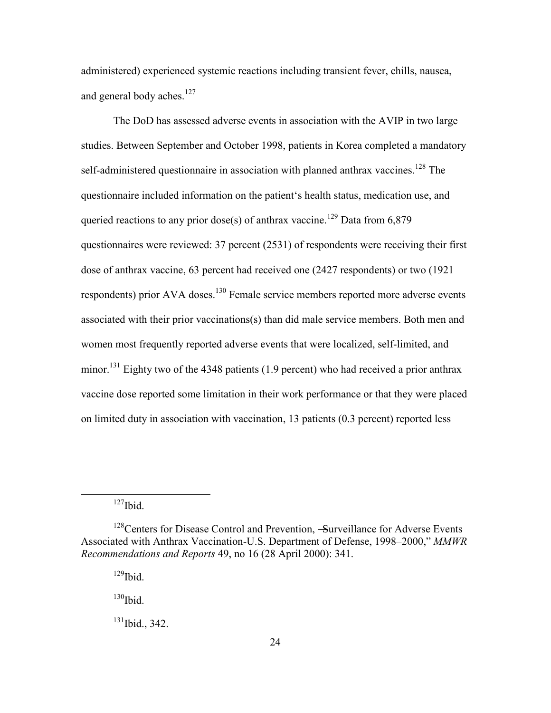administered) experienced systemic reactions including transient fever, chills, nausea, and general body aches.<sup>127</sup>

The DoD has assessed adverse events in association with the AVIP in two large studies. Between September and October 1998, patients in Korea completed a mandatory self-administered questionnaire in association with planned anthrax vaccines.<sup>128</sup> The questionnaire included information on the patient's health status, medication use, and queried reactions to any prior dose(s) of anthrax vaccine.<sup>129</sup> Data from 6,879 questionnaires were reviewed: 37 percent (2531) of respondents were receiving their first dose of anthrax vaccine, 63 percent had received one (2427 respondents) or two (1921 respondents) prior AVA doses.<sup>130</sup> Female service members reported more adverse events associated with their prior vaccinations(s) than did male service members. Both men and women most frequently reported adverse events that were localized, self-limited, and minor.<sup>131</sup> Eighty two of the 4348 patients (1.9 percent) who had received a prior anthrax vaccine dose reported some limitation in their work performance or that they were placed on limited duty in association with vaccination, 13 patients (0.3 percent) reported less

 $127$ Ibid.

 $\overline{a}$ 

 $129$ Ibid.

 $130$  Ibid.

 $131$  Ibid., 342.

 $128$ Centers for Disease Control and Prevention, -Surveillance for Adverse Events Associated with Anthrax Vaccination-U.S. Department of Defense, 1998–2000," *MMWR Recommendations and Reports* 49, no 16 (28 April 2000): 341.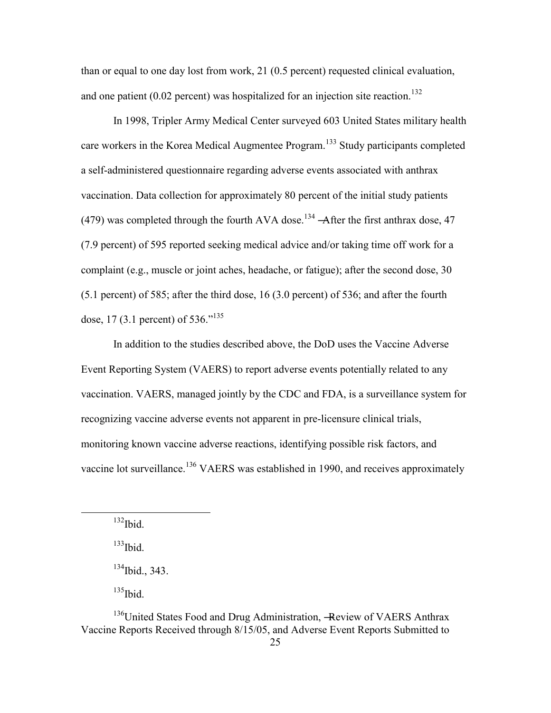than or equal to one day lost from work, 21 (0.5 percent) requested clinical evaluation, and one patient  $(0.02$  percent) was hospitalized for an injection site reaction.<sup>132</sup>

In 1998, Tripler Army Medical Center surveyed 603 United States military health care workers in the Korea Medical Augmentee Program.<sup>133</sup> Study participants completed a self-administered questionnaire regarding adverse events associated with anthrax vaccination. Data collection for approximately 80 percent of the initial study patients  $(479)$  was completed through the fourth AVA dose.<sup>134</sup> –After the first anthrax dose, 47 (7.9 percent) of 595 reported seeking medical advice and/or taking time off work for a complaint (e.g., muscle or joint aches, headache, or fatigue); after the second dose, 30 (5.1 percent) of 585; after the third dose, 16 (3.0 percent) of 536; and after the fourth dose, 17 (3.1 percent) of 536."<sup>135</sup>

In addition to the studies described above, the DoD uses the Vaccine Adverse Event Reporting System (VAERS) to report adverse events potentially related to any vaccination. VAERS, managed jointly by the CDC and FDA, is a surveillance system for recognizing vaccine adverse events not apparent in pre-licensure clinical trials, monitoring known vaccine adverse reactions, identifying possible risk factors, and vaccine lot surveillance.<sup>136</sup> VAERS was established in 1990, and receives approximately

 $\overline{a}$ 

 $133$ Ibid.

 $^{135}$ Ibid.

<sup>136</sup>United States Food and Drug Administration, –Review of VAERS Anthrax Vaccine Reports Received through 8/15/05, and Adverse Event Reports Submitted to

 $132$ Ibid.

 $134$  Ibid., 343.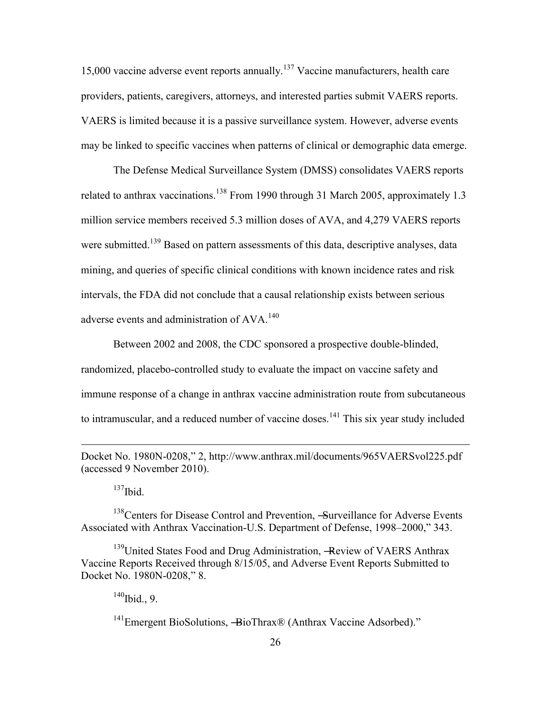15,000 vaccine adverse event reports annually.<sup>137</sup> Vaccine manufacturers, health care providers, patients, caregivers, attorneys, and interested parties submit VAERS reports. VAERS is limited because it is a passive surveillance system. However, adverse events may be linked to specific vaccines when patterns of clinical or demographic data emerge.

The Defense Medical Surveillance System (DMSS) consolidates VAERS reports related to anthrax vaccinations.<sup>138</sup> From 1990 through 31 March 2005, approximately 1.3 million service members received 5.3 million doses of AVA, and 4,279 VAERS reports were submitted.<sup>139</sup> Based on pattern assessments of this data, descriptive analyses, data mining, and queries of specific clinical conditions with known incidence rates and risk intervals, the FDA did not conclude that a causal relationship exists between serious adverse events and administration of  $AVA$ <sup>140</sup>

Between 2002 and 2008, the CDC sponsored a prospective double-blinded, randomized, placebo-controlled study to evaluate the impact on vaccine safety and immune response of a change in anthrax vaccine administration route from subcutaneous to intramuscular, and a reduced number of vaccine doses.<sup>141</sup> This six year study included

<sup>137</sup>Ibid.

 $\overline{a}$ 

<sup>138</sup>Centers for Disease Control and Prevention, -Surveillance for Adverse Events Associated with Anthrax Vaccination-U.S. Department of Defense, 1998–2000," 343.

<sup>139</sup>United States Food and Drug Administration, —Review of VAERS Anthrax Vaccine Reports Received through 8/15/05, and Adverse Event Reports Submitted to Docket No. 1980N-0208," 8.

 $140$  Ibid., 9.

<sup>141</sup>Emergent BioSolutions, -BioThrax® (Anthrax Vaccine Adsorbed)."

Docket No. 1980N-0208," 2, http://www.anthrax.mil/documents/965VAERSvol225.pdf (accessed 9 November 2010).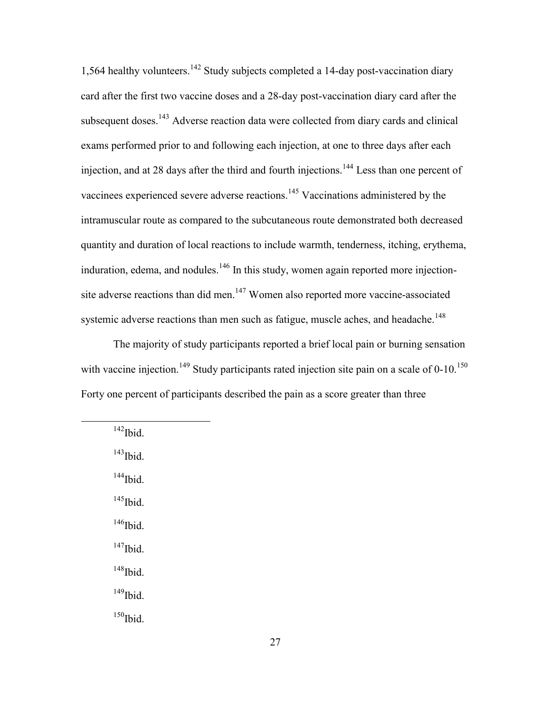1,564 healthy volunteers.<sup>142</sup> Study subjects completed a 14-day post-vaccination diary card after the first two vaccine doses and a 28-day post-vaccination diary card after the subsequent doses.<sup>143</sup> Adverse reaction data were collected from diary cards and clinical exams performed prior to and following each injection, at one to three days after each injection, and at 28 days after the third and fourth injections.<sup>144</sup> Less than one percent of vaccinees experienced severe adverse reactions.<sup>145</sup> Vaccinations administered by the intramuscular route as compared to the subcutaneous route demonstrated both decreased quantity and duration of local reactions to include warmth, tenderness, itching, erythema, induration, edema, and nodules.<sup>146</sup> In this study, women again reported more injectionsite adverse reactions than did men.<sup>147</sup> Women also reported more vaccine-associated systemic adverse reactions than men such as fatigue, muscle aches, and headache.<sup>148</sup>

The majority of study participants reported a brief local pain or burning sensation with vaccine injection.<sup>149</sup> Study participants rated injection site pain on a scale of  $0-10$ .<sup>150</sup> Forty one percent of participants described the pain as a score greater than three

 $142$ Ibid.

 $\overline{a}$ 

 $^{143}$ Ibid.

 $144$ Ibid.

 $145$ Ibid.

 $146$ Ibid.

 $147$ Ibid.

 $148$ Ibid.

 $149$ Ibid.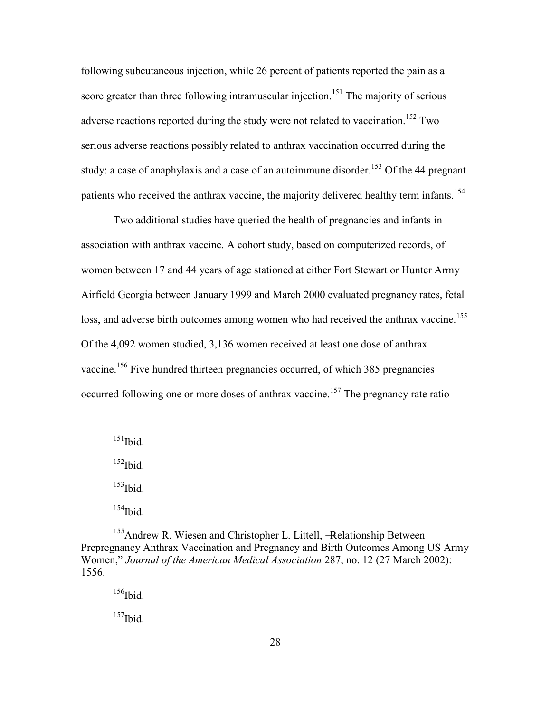following subcutaneous injection, while 26 percent of patients reported the pain as a score greater than three following intramuscular injection.<sup>151</sup> The majority of serious adverse reactions reported during the study were not related to vaccination.<sup>152</sup> Two serious adverse reactions possibly related to anthrax vaccination occurred during the study: a case of anaphylaxis and a case of an autoimmune disorder.<sup>153</sup> Of the 44 pregnant patients who received the anthrax vaccine, the majority delivered healthy term infants.<sup>154</sup>

Two additional studies have queried the health of pregnancies and infants in association with anthrax vaccine. A cohort study, based on computerized records, of women between 17 and 44 years of age stationed at either Fort Stewart or Hunter Army Airfield Georgia between January 1999 and March 2000 evaluated pregnancy rates, fetal loss, and adverse birth outcomes among women who had received the anthrax vaccine.<sup>155</sup> Of the 4,092 women studied, 3,136 women received at least one dose of anthrax vaccine.<sup>156</sup> Five hundred thirteen pregnancies occurred, of which 385 pregnancies occurred following one or more doses of anthrax vaccine.<sup>157</sup> The pregnancy rate ratio

 $151$  Ibid.

 $\overline{a}$ 

 $152$  Ibid.

 $153$  Ibid.

 $154$ Ibid.

<sup>155</sup>Andrew R. Wiesen and Christopher L. Littell, -Relationship Between Prepregnancy Anthrax Vaccination and Pregnancy and Birth Outcomes Among US Army Women," *Journal of the American Medical Association* 287, no. 12 (27 March 2002): 1556.

 $156$ Ibid.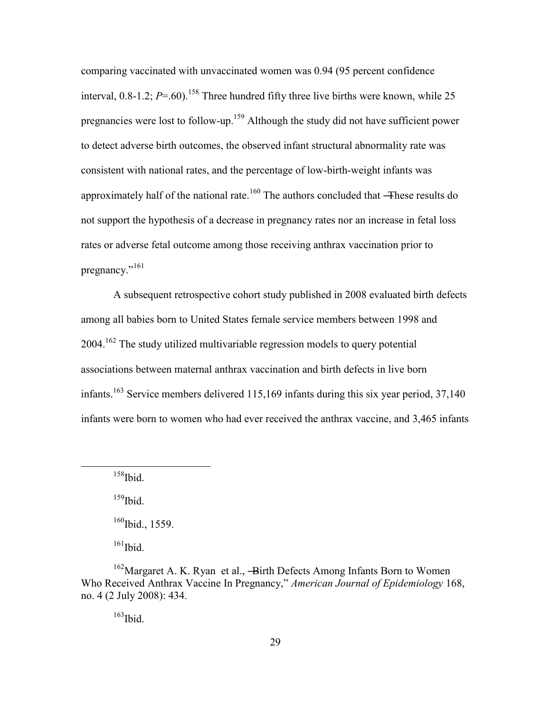comparing vaccinated with unvaccinated women was 0.94 (95 percent confidence interval,  $0.8-1.2$ ;  $P=.60$ ).<sup>158</sup> Three hundred fifty three live births were known, while 25 pregnancies were lost to follow-up.<sup>159</sup> Although the study did not have sufficient power to detect adverse birth outcomes, the observed infant structural abnormality rate was consistent with national rates, and the percentage of low-birth-weight infants was approximately half of the national rate.<sup>160</sup> The authors concluded that —These results do not support the hypothesis of a decrease in pregnancy rates nor an increase in fetal loss rates or adverse fetal outcome among those receiving anthrax vaccination prior to pregnancy."<sup>161</sup>

A subsequent retrospective cohort study published in 2008 evaluated birth defects among all babies born to United States female service members between 1998 and 2004.<sup>162</sup> The study utilized multivariable regression models to query potential associations between maternal anthrax vaccination and birth defects in live born infants.<sup>163</sup> Service members delivered 115,169 infants during this six year period, 37,140 infants were born to women who had ever received the anthrax vaccine, and 3,465 infants

 $158$ Ibid.

 $\overline{a}$ 

 $159$ Ibid.

<sup>160</sup>Ibid., 1559.

 $161$  Ibid.

<sup>162</sup>Margaret A. K. Ryan et al., -Birth Defects Among Infants Born to Women Who Received Anthrax Vaccine In Pregnancy," *American Journal of Epidemiology* 168, no. 4 (2 July 2008): 434.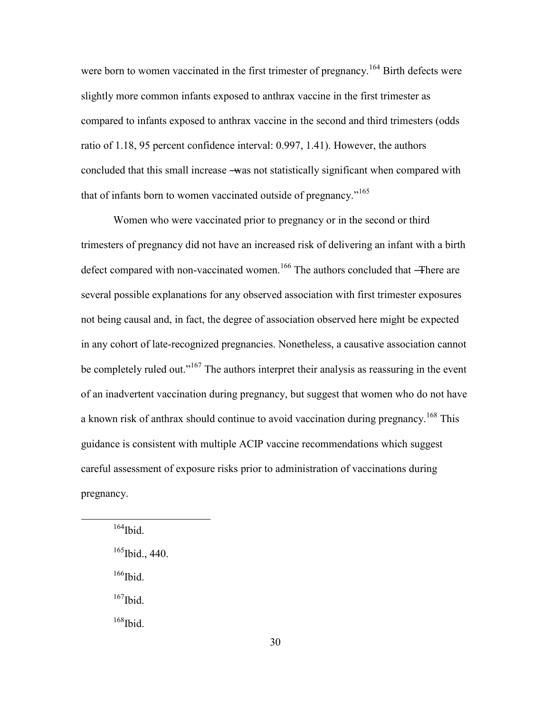were born to women vaccinated in the first trimester of pregnancy.<sup>164</sup> Birth defects were slightly more common infants exposed to anthrax vaccine in the first trimester as compared to infants exposed to anthrax vaccine in the second and third trimesters (odds ratio of 1.18, 95 percent confidence interval: 0.997, 1.41). However, the authors concluded that this small increase —was not statistically significant when compared with that of infants born to women vaccinated outside of pregnancy."<sup>165</sup>

Women who were vaccinated prior to pregnancy or in the second or third trimesters of pregnancy did not have an increased risk of delivering an infant with a birth defect compared with non-vaccinated women.<sup>166</sup> The authors concluded that —There are several possible explanations for any observed association with first trimester exposures not being causal and, in fact, the degree of association observed here might be expected in any cohort of late-recognized pregnancies. Nonetheless, a causative association cannot be completely ruled out."<sup>167</sup> The authors interpret their analysis as reassuring in the event of an inadvertent vaccination during pregnancy, but suggest that women who do not have a known risk of anthrax should continue to avoid vaccination during pregnancy.<sup>168</sup> This guidance is consistent with multiple ACIP vaccine recommendations which suggest careful assessment of exposure risks prior to administration of vaccinations during pregnancy.

 $164$ Ibid.

 $\overline{a}$ 

 $165$  Ibid., 440.

 $166$ Ibid.

 $167$ Ibid.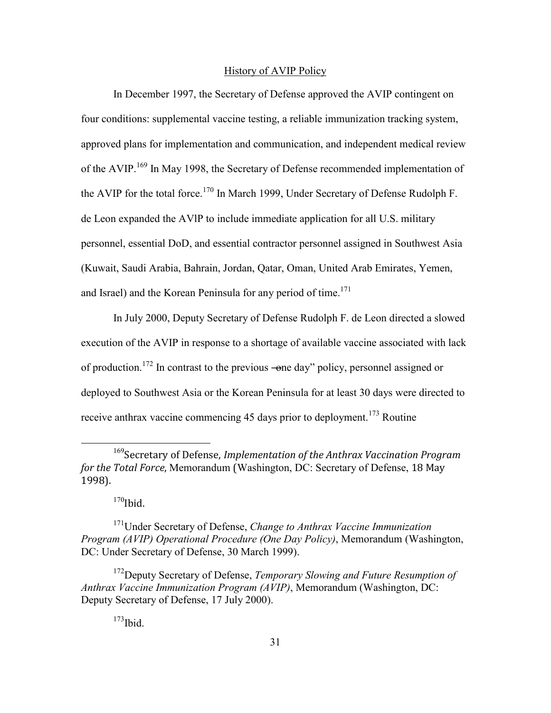### History of AVIP Policy

In December 1997, the Secretary of Defense approved the AVIP contingent on four conditions: supplemental vaccine testing, a reliable immunization tracking system, approved plans for implementation and communication, and independent medical review of the AVIP.<sup>169</sup> In May 1998, the Secretary of Defense recommended implementation of the AVIP for the total force.<sup>170</sup> In March 1999, Under Secretary of Defense Rudolph F. de Leon expanded the AVlP to include immediate application for all U.S. military personnel, essential DoD, and essential contractor personnel assigned in Southwest Asia (Kuwait, Saudi Arabia, Bahrain, Jordan, Qatar, Oman, United Arab Emirates, Yemen, and Israel) and the Korean Peninsula for any period of time.<sup>171</sup>

In July 2000, Deputy Secretary of Defense Rudolph F. de Leon directed a slowed execution of the AVIP in response to a shortage of available vaccine associated with lack of production.<sup>172</sup> In contrast to the previous —one day" policy, personnel assigned or deployed to Southwest Asia or the Korean Peninsula for at least 30 days were directed to receive anthrax vaccine commencing 45 days prior to deployment.<sup>173</sup> Routine

 $170$ Ibid.

<sup>169</sup>Secretary of Defense, *Implementation of the Anthrax Vaccination Program for the Total Force*, Memorandum (Washington, DC: Secretary of Defense, 18 May 1998).

<sup>171</sup>Under Secretary of Defense, *Change to Anthrax Vaccine Immunization Program (AVIP) Operational Procedure (One Day Policy)*, Memorandum (Washington, DC: Under Secretary of Defense, 30 March 1999).

<sup>172</sup>Deputy Secretary of Defense, *Temporary Slowing and Future Resumption of Anthrax Vaccine Immunization Program (AVIP)*, Memorandum (Washington, DC: Deputy Secretary of Defense, 17 July 2000).

 $173$  Ibid.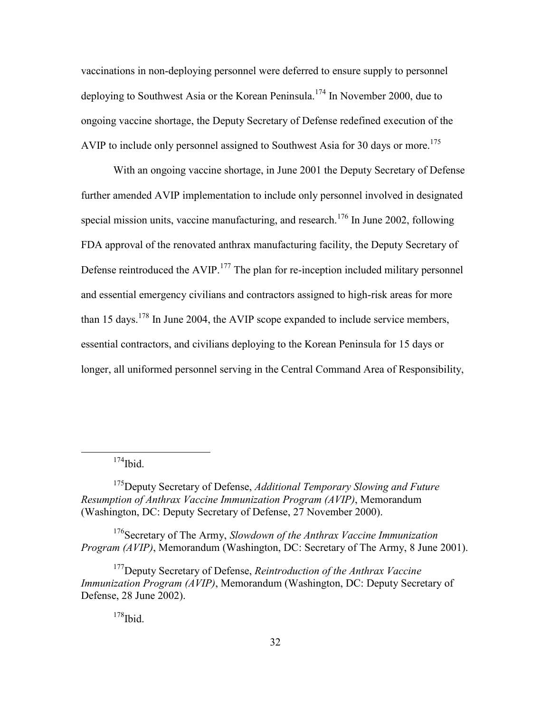vaccinations in non-deploying personnel were deferred to ensure supply to personnel deploying to Southwest Asia or the Korean Peninsula.<sup>174</sup> In November 2000, due to ongoing vaccine shortage, the Deputy Secretary of Defense redefined execution of the AVIP to include only personnel assigned to Southwest Asia for 30 days or more.<sup>175</sup>

With an ongoing vaccine shortage, in June 2001 the Deputy Secretary of Defense further amended AVIP implementation to include only personnel involved in designated special mission units, vaccine manufacturing, and research.<sup>176</sup> In June 2002, following FDA approval of the renovated anthrax manufacturing facility, the Deputy Secretary of Defense reintroduced the  $AVIP$ .<sup>177</sup> The plan for re-inception included military personnel and essential emergency civilians and contractors assigned to high-risk areas for more than 15 days.<sup>178</sup> In June 2004, the AVIP scope expanded to include service members, essential contractors, and civilians deploying to the Korean Peninsula for 15 days or longer, all uniformed personnel serving in the Central Command Area of Responsibility,

 $\overline{a}$ 

<sup>176</sup>Secretary of The Army, *Slowdown of the Anthrax Vaccine Immunization Program (AVIP)*, Memorandum (Washington, DC: Secretary of The Army, 8 June 2001).

 $174$  Ibid.

<sup>175</sup>Deputy Secretary of Defense, *Additional Temporary Slowing and Future Resumption of Anthrax Vaccine Immunization Program (AVIP)*, Memorandum (Washington, DC: Deputy Secretary of Defense, 27 November 2000).

<sup>177</sup>Deputy Secretary of Defense, *Reintroduction of the Anthrax Vaccine Immunization Program (AVIP)*, Memorandum (Washington, DC: Deputy Secretary of Defense, 28 June 2002).

 $178$ Ibid.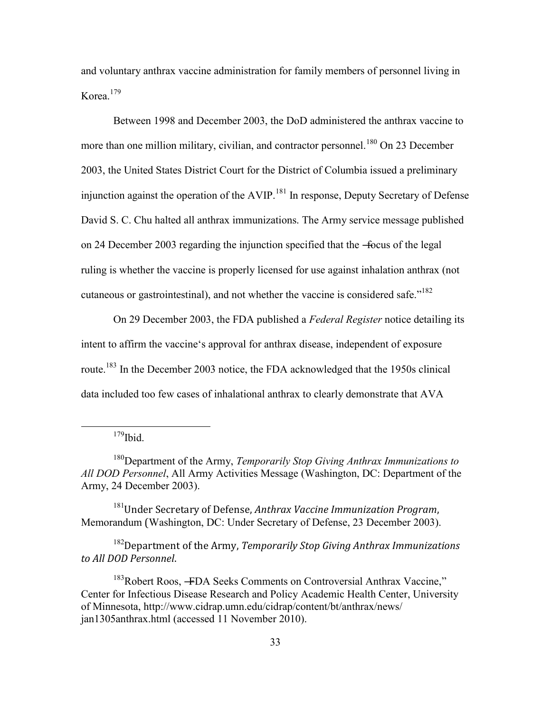and voluntary anthrax vaccine administration for family members of personnel living in Korea<sup>179</sup>

Between 1998 and December 2003, the DoD administered the anthrax vaccine to more than one million military, civilian, and contractor personnel.<sup>180</sup> On 23 December 2003, the United States District Court for the District of Columbia issued a preliminary injunction against the operation of the AVIP.<sup>181</sup> In response, Deputy Secretary of Defense David S. C. Chu halted all anthrax immunizations. The Army service message published on 24 December 2003 regarding the injunction specified that the ―focus of the legal ruling is whether the vaccine is properly licensed for use against inhalation anthrax (not cutaneous or gastrointestinal), and not whether the vaccine is considered safe."<sup>182</sup>

On 29 December 2003, the FDA published a *Federal Register* notice detailing its intent to affirm the vaccine's approval for anthrax disease, independent of exposure route.<sup>183</sup> In the December 2003 notice, the FDA acknowledged that the 1950s clinical data included too few cases of inhalational anthrax to clearly demonstrate that AVA

 $179$ Ibid.

 $\overline{a}$ 

<sup>181</sup>Under Secretary of Defense, *Anthrax Vaccine Immunization Program*, Memorandum (Washington, DC: Under Secretary of Defense, 23 December 2003).

<sup>182</sup>Department of the Army, *Temporarily Stop Giving Anthrax Immunizations to All DOD Personnel*.

<sup>183</sup>Robert Roos, –FDA Seeks Comments on Controversial Anthrax Vaccine," Center for Infectious Disease Research and Policy [Academic Health Center,](http://www.ahc.umn.edu/) [University](http://www1.umn.edu/twincities/index.php)  [of Minnesota,](http://www1.umn.edu/twincities/index.php) http://www.cidrap.umn.edu/cidrap/content/bt/anthrax/news/ jan1305anthrax.html (accessed 11 November 2010).

<sup>180</sup>Department of the Army, *Temporarily Stop Giving Anthrax Immunizations to All DOD Personnel*, All Army Activities Message (Washington, DC: Department of the Army, 24 December 2003).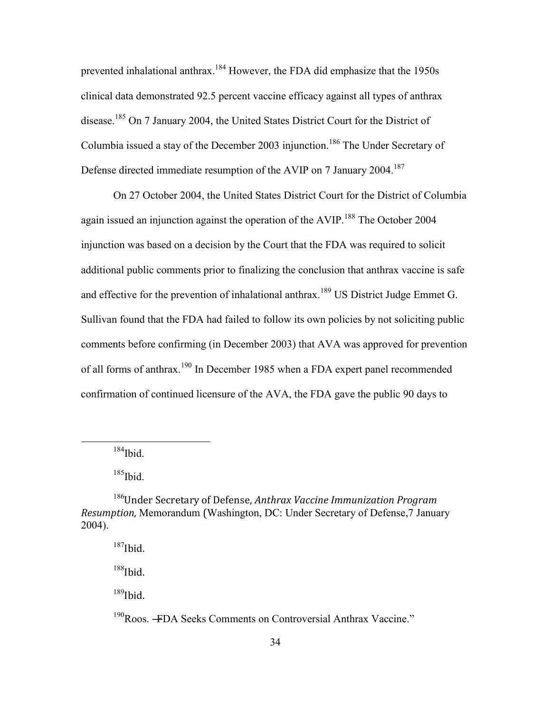prevented inhalational anthrax.<sup>184</sup> However, the FDA did emphasize that the 1950s clinical data demonstrated 92.5 percent vaccine efficacy against all types of anthrax disease.<sup>185</sup> On 7 January 2004, the United States District Court for the District of Columbia issued a stay of the December 2003 injunction.<sup>186</sup> The Under Secretary of Defense directed immediate resumption of the AVIP on 7 January 2004.<sup>187</sup>

On 27 October 2004, the United States District Court for the District of Columbia again issued an injunction against the operation of the AVIP.<sup>188</sup> The October 2004 injunction was based on a decision by the Court that the FDA was required to solicit additional public comments prior to finalizing the conclusion that anthrax vaccine is safe and effective for the prevention of inhalational anthrax.<sup>189</sup> US District Judge Emmet G. Sullivan found that the FDA had failed to follow its own policies by not soliciting public comments before confirming (in December 2003) that AVA was approved for prevention of all forms of anthrax.<sup>190</sup> In December 1985 when a FDA expert panel recommended confirmation of continued licensure of the AVA, the FDA gave the public 90 days to

 $184$ Ibid.

 $\overline{a}$ 

 $185$ Ibid.

 $188$ Ibid.

 $189$ Ibid.

<sup>190</sup>Roos. <del>- F</del>DA Seeks Comments on Controversial Anthrax Vaccine."

<sup>186</sup>Under Secretary of Defense, *Anthrax Vaccine Immunization Program Resumption*, Memorandum (Washington, DC: Under Secretary of Defense,7 January 2004).

 $187$ Ibid.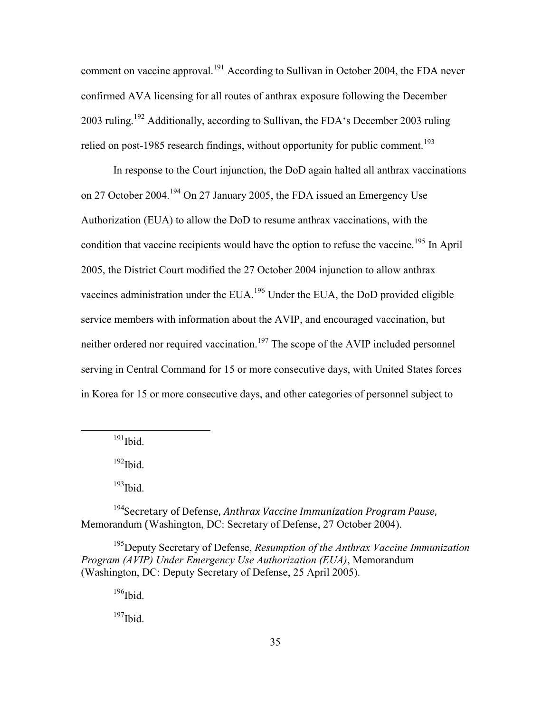comment on vaccine approval.<sup>191</sup> According to Sullivan in October 2004, the FDA never confirmed AVA licensing for all routes of anthrax exposure following the December 2003 ruling.<sup>192</sup> Additionally, according to Sullivan, the FDA's December 2003 ruling relied on post-1985 research findings, without opportunity for public comment.<sup>193</sup>

In response to the Court injunction, the DoD again halted all anthrax vaccinations on 27 October 2004.<sup>194</sup> On 27 January 2005, the FDA issued an Emergency Use Authorization (EUA) to allow the DoD to resume anthrax vaccinations, with the condition that vaccine recipients would have the option to refuse the vaccine.<sup>195</sup> In April 2005, the District Court modified the 27 October 2004 injunction to allow anthrax vaccines administration under the EUA.<sup>196</sup> Under the EUA, the DoD provided eligible service members with information about the AVIP, and encouraged vaccination, but neither ordered nor required vaccination.<sup>197</sup> The scope of the AVIP included personnel serving in Central Command for 15 or more consecutive days, with United States forces in Korea for 15 or more consecutive days, and other categories of personnel subject to

 $^{191}$ Ibid.

 $\overline{a}$ 

 $192$  Ibid.

 $193$  Ibid.

<sup>194</sup>Secretary of Defense, *Anthrax Vaccine Immunization Program Pause*, Memorandum (Washington, DC: Secretary of Defense, 27 October 2004).

<sup>195</sup>Deputy Secretary of Defense, *Resumption of the Anthrax Vaccine Immunization Program (AVIP) Under Emergency Use Authorization (EUA)*, Memorandum (Washington, DC: Deputy Secretary of Defense, 25 April 2005).

 $196$ Ibid.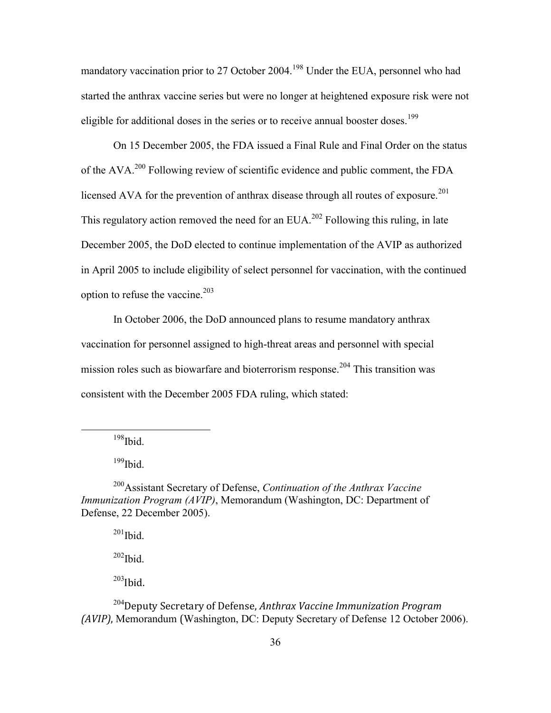mandatory vaccination prior to 27 October 2004.<sup>198</sup> Under the EUA, personnel who had started the anthrax vaccine series but were no longer at heightened exposure risk were not eligible for additional doses in the series or to receive annual booster doses.<sup>199</sup>

On 15 December 2005, the FDA issued a Final Rule and Final Order on the status of the AVA.<sup>200</sup> Following review of scientific evidence and public comment, the FDA licensed AVA for the prevention of anthrax disease through all routes of exposure.<sup>201</sup> This regulatory action removed the need for an EUA.<sup>202</sup> Following this ruling, in late December 2005, the DoD elected to continue implementation of the AVIP as authorized in April 2005 to include eligibility of select personnel for vaccination, with the continued option to refuse the vaccine. $203$ 

In October 2006, the DoD announced plans to resume mandatory anthrax vaccination for personnel assigned to high-threat areas and personnel with special mission roles such as biowarfare and bioterrorism response.<sup>204</sup> This transition was consistent with the December 2005 FDA ruling, which stated:

 $198$ Ibid.

 $\overline{a}$ 

 $199$ Ibid.

<sup>200</sup>Assistant Secretary of Defense, *Continuation of the Anthrax Vaccine Immunization Program (AVIP)*, Memorandum (Washington, DC: Department of Defense, 22 December 2005).

 $^{201}$ Ibid.

 $202$  Ibid.

 $203$ Ibid.

<sup>204</sup>Deputy Secretary of Defense, *Anthrax Vaccine Immunization Program (AVIP)*, Memorandum (Washington, DC: Deputy Secretary of Defense 12 October 2006).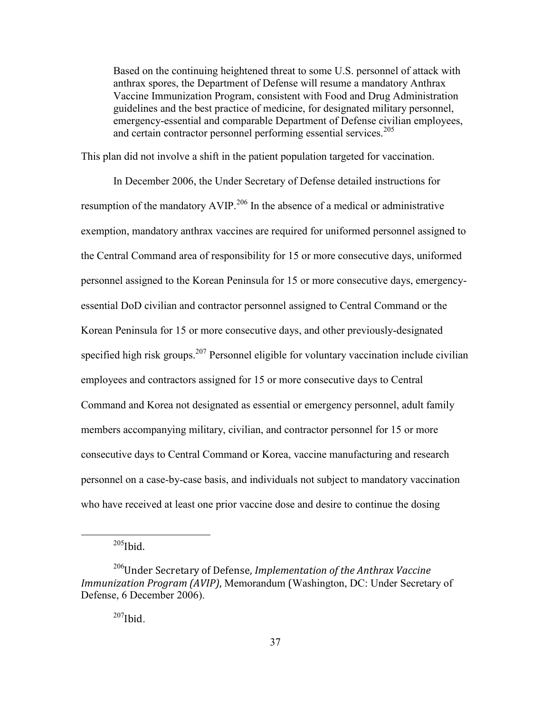Based on the continuing heightened threat to some U.S. personnel of attack with anthrax spores, the Department of Defense will resume a mandatory Anthrax Vaccine Immunization Program, consistent with Food and Drug Administration guidelines and the best practice of medicine, for designated military personnel, emergency-essential and comparable Department of Defense civilian employees, and certain contractor personnel performing essential services.<sup>205</sup>

This plan did not involve a shift in the patient population targeted for vaccination.

In December 2006, the Under Secretary of Defense detailed instructions for resumption of the mandatory AVIP.<sup>206</sup> In the absence of a medical or administrative exemption, mandatory anthrax vaccines are required for uniformed personnel assigned to the Central Command area of responsibility for 15 or more consecutive days, uniformed personnel assigned to the Korean Peninsula for 15 or more consecutive days, emergencyessential DoD civilian and contractor personnel assigned to Central Command or the Korean Peninsula for 15 or more consecutive days, and other previously-designated specified high risk groups.<sup>207</sup> Personnel eligible for voluntary vaccination include civilian employees and contractors assigned for 15 or more consecutive days to Central Command and Korea not designated as essential or emergency personnel, adult family members accompanying military, civilian, and contractor personnel for 15 or more consecutive days to Central Command or Korea, vaccine manufacturing and research personnel on a case-by-case basis, and individuals not subject to mandatory vaccination who have received at least one prior vaccine dose and desire to continue the dosing

 $205$  Ibid.

 $\overline{a}$ 

<sup>206</sup>Under Secretary of Defense, *Implementation of the Anthrax Vaccine Immunization Program (AVIP)*, Memorandum (Washington, DC: Under Secretary of Defense, 6 December 2006).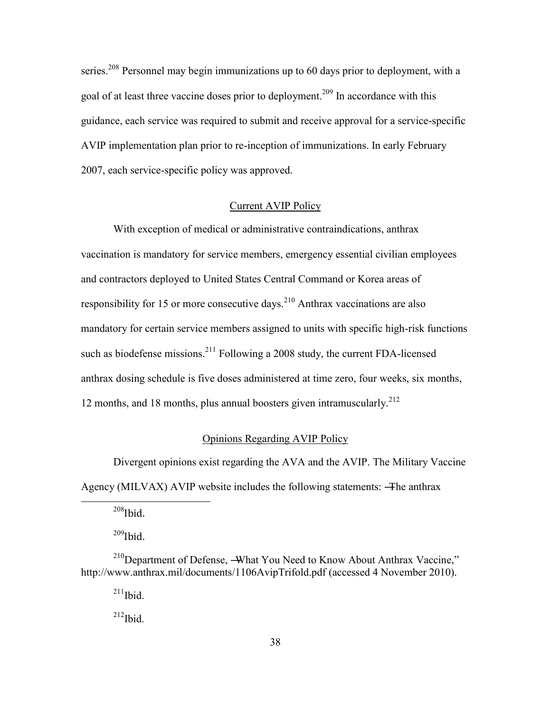series.<sup>208</sup> Personnel may begin immunizations up to 60 days prior to deployment, with a goal of at least three vaccine doses prior to deployment.<sup>209</sup> In accordance with this guidance, each service was required to submit and receive approval for a service-specific AVIP implementation plan prior to re-inception of immunizations. In early February 2007, each service-specific policy was approved.

### Current AVIP Policy

With exception of medical or administrative contraindications, anthrax vaccination is mandatory for service members, emergency essential civilian employees and contractors deployed to United States Central Command or Korea areas of responsibility for 15 or more consecutive days.<sup>210</sup> Anthrax vaccinations are also mandatory for certain service members assigned to units with specific high-risk functions such as biodefense missions.<sup>211</sup> Following a 2008 study, the current FDA-licensed anthrax dosing schedule is five doses administered at time zero, four weeks, six months, 12 months, and 18 months, plus annual boosters given intramuscularly.<sup>212</sup>

## Opinions Regarding AVIP Policy

Divergent opinions exist regarding the AVA and the AVIP. The Military Vaccine Agency (MILVAX) AVIP website includes the following statements: ―The anthrax

 $208$ Ibid.

 $\overline{a}$ 

 $209$ Ibid.

<sup>210</sup>Department of Defense, -What You Need to Know About Anthrax Vaccine," http://www.anthrax.mil/documents/1106AvipTrifold.pdf (accessed 4 November 2010).

 $^{211}$ Ibid.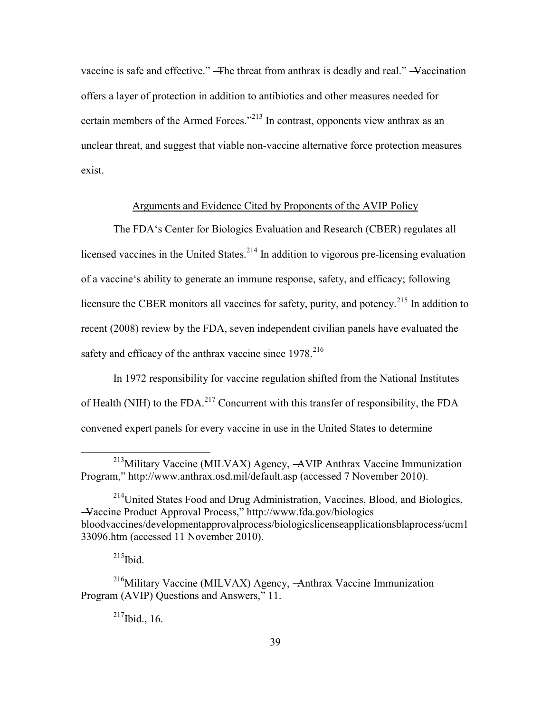vaccine is safe and effective." —The threat from anthrax is deadly and real." —Vaccination offers a layer of protection in addition to antibiotics and other measures needed for certain members of the Armed Forces. $^{213}$  In contrast, opponents view anthrax as an unclear threat, and suggest that viable non-vaccine alternative force protection measures exist.

## Arguments and Evidence Cited by Proponents of the AVIP Policy

The FDA's Center for Biologics Evaluation and Research (CBER) regulates all licensed vaccines in the United States.<sup>214</sup> In addition to vigorous pre-licensing evaluation of a vaccine's ability to generate an immune response, safety, and efficacy; following licensure the CBER monitors all vaccines for safety, purity, and potency.<sup>215</sup> In addition to recent (2008) review by the FDA, seven independent civilian panels have evaluated the safety and efficacy of the anthrax vaccine since  $1978^{216}$ 

In 1972 responsibility for vaccine regulation shifted from the National Institutes of Health (NIH) to the FDA.<sup>217</sup> Concurrent with this transfer of responsibility, the FDA convened expert panels for every vaccine in use in the United States to determine

 $^{215}$ Ibid.

 $\overline{a}$ 

 $^{217}$ Ibid., 16.

 $^{213}$ Military Vaccine (MILVAX) Agency,  $\rightarrow$  VIP Anthrax Vaccine Immunization Program," http://www.anthrax.osd.mil/default.asp (accessed 7 November 2010).

<sup>&</sup>lt;sup>214</sup>United States Food and Drug Administration, Vaccines, Blood, and Biologics, ―Vaccine Product Approval Process,‖ http://www.fda.gov/biologics bloodvaccines/developmentapprovalprocess/biologicslicenseapplicationsblaprocess/ucm1 33096.htm (accessed 11 November 2010).

 $^{216}$ Military Vaccine (MILVAX) Agency,  $\rightarrow$ Anthrax Vaccine Immunization Program (AVIP) Questions and Answers," 11.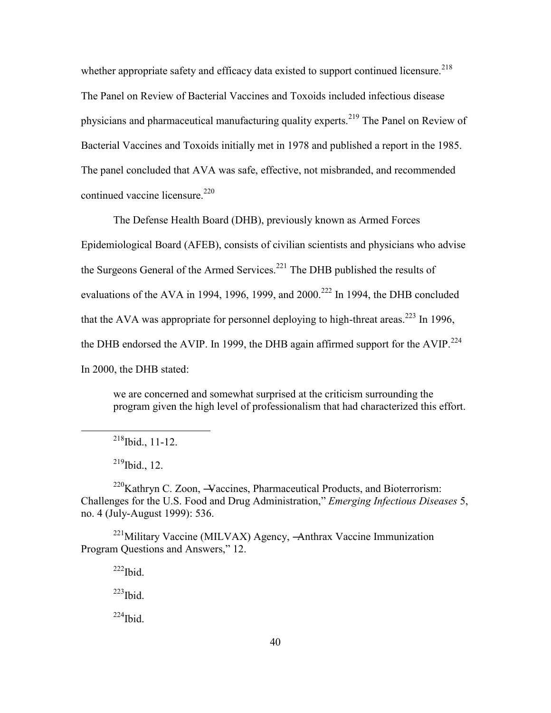whether appropriate safety and efficacy data existed to support continued licensure.<sup>218</sup> The Panel on Review of Bacterial Vaccines and Toxoids included infectious disease physicians and pharmaceutical manufacturing quality experts.<sup>219</sup> The Panel on Review of Bacterial Vaccines and Toxoids initially met in 1978 and published a report in the 1985. The panel concluded that AVA was safe, effective, not misbranded, and recommended continued vaccine licensure.<sup>220</sup>

The Defense Health Board (DHB), previously known as Armed Forces Epidemiological Board (AFEB), consists of civilian scientists and physicians who advise the Surgeons General of the Armed Services.<sup>221</sup> The DHB published the results of evaluations of the AVA in 1994, 1996, 1999, and  $2000.<sup>222</sup>$  In 1994, the DHB concluded that the AVA was appropriate for personnel deploying to high-threat areas.<sup>223</sup> In 1996, the DHB endorsed the AVIP. In 1999, the DHB again affirmed support for the AVIP.<sup>224</sup> In 2000, the DHB stated:

we are concerned and somewhat surprised at the criticism surrounding the program given the high level of professionalism that had characterized this effort.

 $^{218}$ Ibid., 11-12.

 $^{219}$ Ibid., 12.

 $\overline{a}$ 

 $220$ Kathryn C. Zoon,  $\rightarrow$  accines, Pharmaceutical Products, and Bioterrorism: Challenges for the U.S. Food and Drug Administration," *Emerging Infectious Diseases* 5, no. 4 (July-August 1999): 536.

 $^{221}$ Military Vaccine (MILVAX) Agency,  $\rightarrow$ Anthrax Vaccine Immunization Program Questions and Answers," 12.

 $^{222}$ Ibid.

 $223$ Ibid.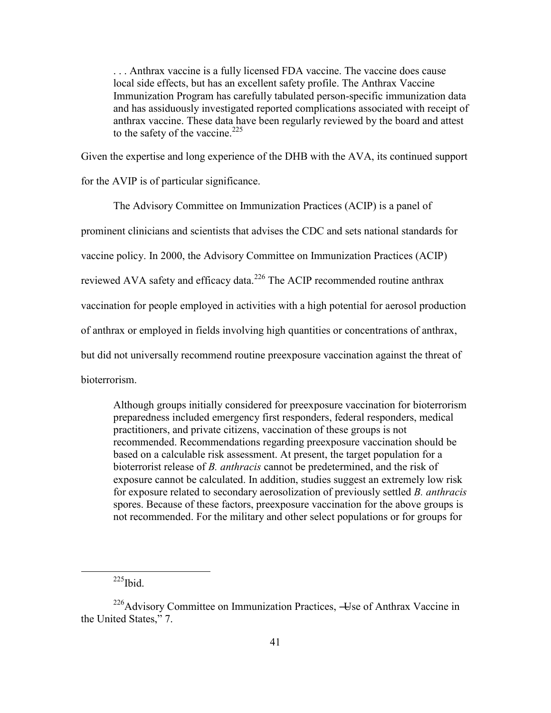. . . Anthrax vaccine is a fully licensed FDA vaccine. The vaccine does cause local side effects, but has an excellent safety profile. The Anthrax Vaccine Immunization Program has carefully tabulated person-specific immunization data and has assiduously investigated reported complications associated with receipt of anthrax vaccine. These data have been regularly reviewed by the board and attest to the safety of the vaccine.<sup>225</sup>

Given the expertise and long experience of the DHB with the AVA, its continued support for the AVIP is of particular significance.

The Advisory Committee on Immunization Practices (ACIP) is a panel of prominent clinicians and scientists that advises the CDC and sets national standards for vaccine policy. In 2000, the Advisory Committee on Immunization Practices (ACIP) reviewed AVA safety and efficacy data.<sup>226</sup> The ACIP recommended routine anthrax vaccination for people employed in activities with a high potential for aerosol production of anthrax or employed in fields involving high quantities or concentrations of anthrax, but did not universally recommend routine preexposure vaccination against the threat of bioterrorism.

Although groups initially considered for preexposure vaccination for bioterrorism preparedness included emergency first responders, federal responders, medical practitioners, and private citizens, vaccination of these groups is not recommended. Recommendations regarding preexposure vaccination should be based on a calculable risk assessment. At present, the target population for a bioterrorist release of *B. anthracis* cannot be predetermined, and the risk of exposure cannot be calculated. In addition, studies suggest an extremely low risk for exposure related to secondary aerosolization of previously settled *B. anthracis* spores. Because of these factors, preexposure vaccination for the above groups is not recommended. For the military and other select populations or for groups for

 $225$ Thid.

<sup>&</sup>lt;sup>226</sup>Advisory Committee on Immunization Practices, —Use of Anthrax Vaccine in the United States," 7.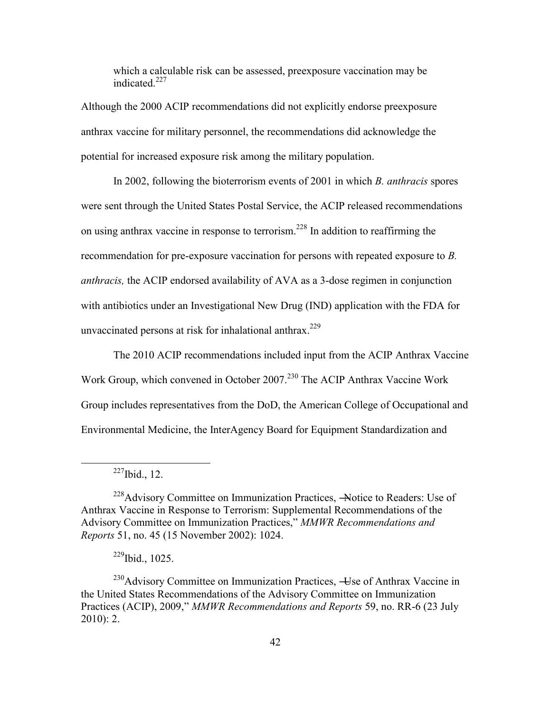which a calculable risk can be assessed, preexposure vaccination may be indicated<sup>227</sup>

Although the 2000 ACIP recommendations did not explicitly endorse preexposure anthrax vaccine for military personnel, the recommendations did acknowledge the potential for increased exposure risk among the military population.

In 2002, following the bioterrorism events of 2001 in which *B. anthracis* spores were sent through the United States Postal Service, the ACIP released recommendations on using anthrax vaccine in response to terrorism.<sup>228</sup> In addition to reaffirming the recommendation for pre-exposure vaccination for persons with repeated exposure to *B. anthracis,* the ACIP endorsed availability of AVA as a 3-dose regimen in conjunction with antibiotics under an Investigational New Drug (IND) application with the FDA for unvaccinated persons at risk for inhalational anthrax.<sup>229</sup>

The 2010 ACIP recommendations included input from the ACIP Anthrax Vaccine Work Group, which convened in October 2007.<sup>230</sup> The ACIP Anthrax Vaccine Work Group includes representatives from the DoD, the American College of Occupational and Environmental Medicine, the InterAgency Board for Equipment Standardization and

 $\overline{a}$ 

 $^{229}$ Ibid., 1025.

<sup>230</sup>Advisory Committee on Immunization Practices, –Use of Anthrax Vaccine in the United States Recommendations of the Advisory Committee on Immunization Practices (ACIP), 2009," *MMWR Recommendations and Reports* 59, no. RR-6 (23 July 2010): 2.

 $^{227}$ Ibid., 12.

<sup>&</sup>lt;sup>228</sup>Advisory Committee on Immunization Practices, —Notice to Readers: Use of Anthrax Vaccine in Response to Terrorism: Supplemental Recommendations of the Advisory Committee on Immunization Practices," MMWR Recommendations and *Reports* 51, no. 45 (15 November 2002): 1024.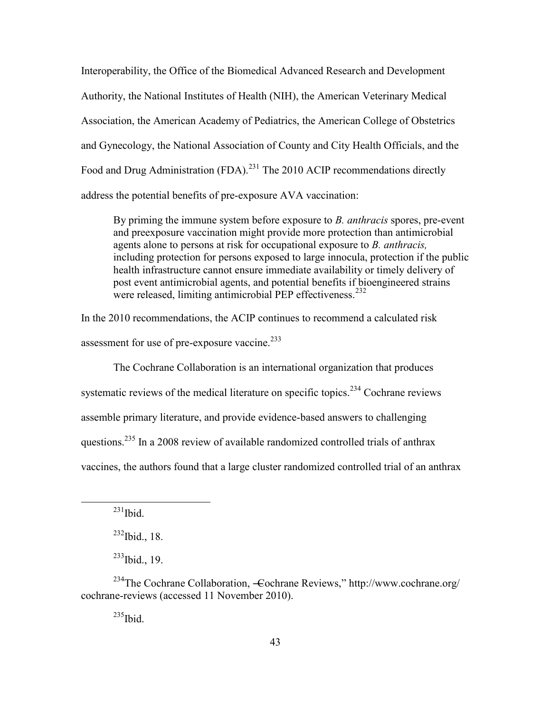Interoperability, the Office of the Biomedical Advanced Research and Development Authority, the National Institutes of Health (NIH), the American Veterinary Medical Association, the American Academy of Pediatrics, the American College of Obstetrics and Gynecology, the National Association of County and City Health Officials, and the Food and Drug Administration (FDA).<sup>231</sup> The 2010 ACIP recommendations directly address the potential benefits of pre-exposure AVA vaccination:

By priming the immune system before exposure to *B. anthracis* spores, pre-event and preexposure vaccination might provide more protection than antimicrobial agents alone to persons at risk for occupational exposure to *B. anthracis,*  including protection for persons exposed to large innocula, protection if the public health infrastructure cannot ensure immediate availability or timely delivery of post event antimicrobial agents, and potential benefits if bioengineered strains were released, limiting antimicrobial PEP effectiveness.<sup>232</sup>

In the 2010 recommendations, the ACIP continues to recommend a calculated risk assessment for use of pre-exposure vaccine.<sup>233</sup>

The Cochrane Collaboration is an international organization that produces systematic reviews of the medical literature on specific topics.<sup>234</sup> Cochrane reviews assemble primary literature, and provide evidence-based answers to challenging questions.<sup>235</sup> In a 2008 review of available randomized controlled trials of anthrax vaccines, the authors found that a large cluster randomized controlled trial of an anthrax

 $^{231}$ Ibid.

 $\overline{a}$ 

 $^{235}$ Ibid.

 $^{232}$ Ibid., 18.

 $^{233}$ Ibid., 19.

<sup>&</sup>lt;sup>234</sup>The Cochrane Collaboration, —Cochrane Reviews," http://www.cochrane.org/ cochrane-reviews (accessed 11 November 2010).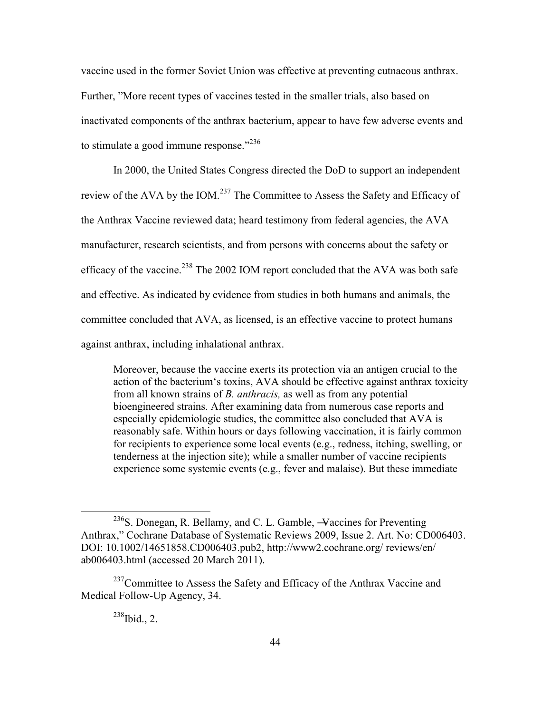vaccine used in the former Soviet Union was effective at preventing cutnaeous anthrax. Further, "More recent types of vaccines tested in the smaller trials, also based on inactivated components of the anthrax bacterium, appear to have few adverse events and to stimulate a good immune response."<sup>236</sup>

In 2000, the United States Congress directed the DoD to support an independent review of the AVA by the IOM.<sup>237</sup> The Committee to Assess the Safety and Efficacy of the Anthrax Vaccine reviewed data; heard testimony from federal agencies, the AVA manufacturer, research scientists, and from persons with concerns about the safety or efficacy of the vaccine.<sup>238</sup> The 2002 IOM report concluded that the AVA was both safe and effective. As indicated by evidence from studies in both humans and animals, the committee concluded that AVA, as licensed, is an effective vaccine to protect humans against anthrax, including inhalational anthrax.

Moreover, because the vaccine exerts its protection via an antigen crucial to the action of the bacterium's toxins, AVA should be effective against anthrax toxicity from all known strains of *B. anthracis,* as well as from any potential bioengineered strains. After examining data from numerous case reports and especially epidemiologic studies, the committee also concluded that AVA is reasonably safe. Within hours or days following vaccination, it is fairly common for recipients to experience some local events (e.g., redness, itching, swelling, or tenderness at the injection site); while a smaller number of vaccine recipients experience some systemic events (e.g., fever and malaise). But these immediate

 $236$ S. Donegan, R. Bellamy, and C. L. Gamble,  $\rightarrow$  accines for Preventing Anthrax," Cochrane Database of Systematic Reviews 2009, Issue 2. Art. No: CD006403. DOI: 10.1002/14651858.CD006403.pub2, http://www2.cochrane.org/ reviews/en/ ab006403.html (accessed 20 March 2011).

<sup>&</sup>lt;sup>237</sup>Committee to Assess the Safety and Efficacy of the Anthrax Vaccine and Medical Follow-Up Agency, 34.

 $238$ Ibid., 2.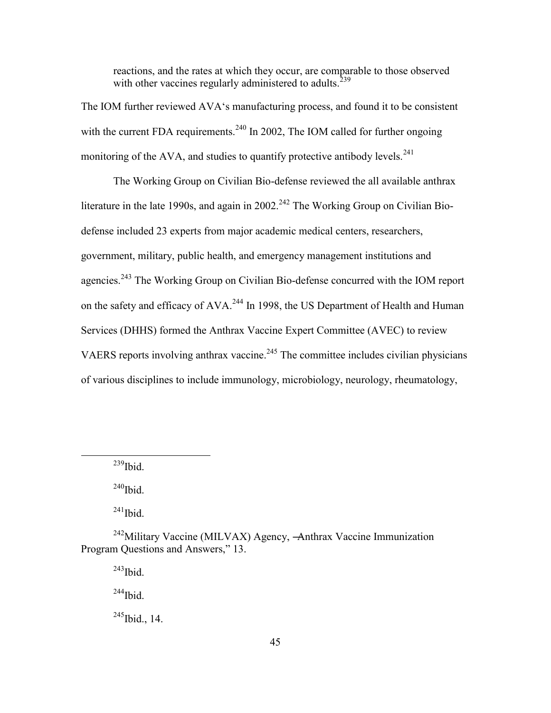reactions, and the rates at which they occur, are comparable to those observed with other vaccines regularly administered to adults.<sup>239</sup>

The IOM further reviewed AVA's manufacturing process, and found it to be consistent with the current FDA requirements.<sup>240</sup> In 2002, The IOM called for further ongoing monitoring of the AVA, and studies to quantify protective antibody levels. $^{241}$ 

The Working Group on Civilian Bio-defense reviewed the all available anthrax literature in the late 1990s, and again in  $2002<sup>242</sup>$  The Working Group on Civilian Biodefense included 23 experts from major academic medical centers, researchers, government, military, public health, and emergency management institutions and agencies.<sup>243</sup> The Working Group on Civilian Bio-defense concurred with the IOM report on the safety and efficacy of AVA.<sup>244</sup> In 1998, the US Department of Health and Human Services (DHHS) formed the Anthrax Vaccine Expert Committee (AVEC) to review VAERS reports involving anthrax vaccine.<sup>245</sup> The committee includes civilian physicians of various disciplines to include immunology, microbiology, neurology, rheumatology,

 $^{239}$ Ibid.

 $\overline{a}$ 

 $240$ Ibid.

 $^{241}$ Ibid.

 $242$ Military Vaccine (MILVAX) Agency,  $\rightarrow$ Anthrax Vaccine Immunization Program Questions and Answers," 13.

 $^{243}$ Ibid.

 $244$ Ibid.

 $245$ Ibid., 14.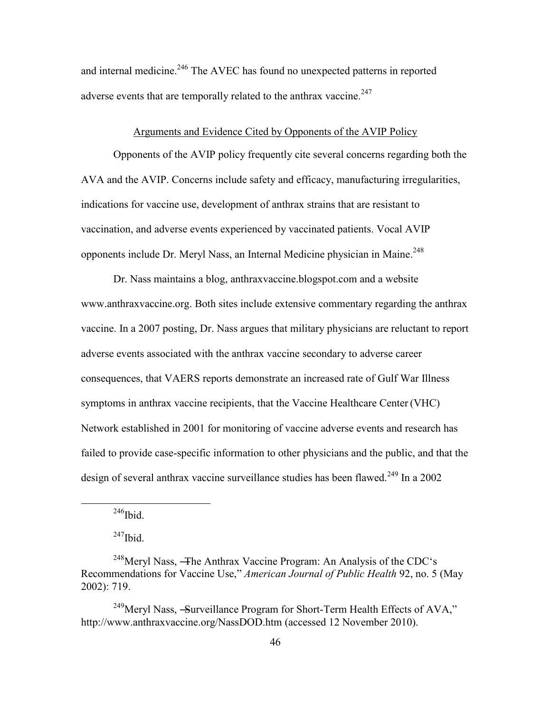and internal medicine.<sup>246</sup> The AVEC has found no unexpected patterns in reported adverse events that are temporally related to the anthrax vaccine.<sup>247</sup>

## Arguments and Evidence Cited by Opponents of the AVIP Policy

Opponents of the AVIP policy frequently cite several concerns regarding both the AVA and the AVIP. Concerns include safety and efficacy, manufacturing irregularities, indications for vaccine use, development of anthrax strains that are resistant to vaccination, and adverse events experienced by vaccinated patients. Vocal AVIP opponents include Dr. Meryl Nass, an Internal Medicine physician in Maine.<sup>248</sup>

Dr. Nass maintains a blog, anthraxvaccine.blogspot.com and a website www.anthraxvaccine.org. Both sites include extensive commentary regarding the anthrax vaccine. In a 2007 posting, Dr. Nass argues that military physicians are reluctant to report adverse events associated with the anthrax vaccine secondary to adverse career consequences, that VAERS reports demonstrate an increased rate of Gulf War Illness symptoms in anthrax vaccine recipients, that the Vaccine Healthcare Center (VHC) Network established in 2001 for monitoring of vaccine adverse events and research has failed to provide case-specific information to other physicians and the public, and that the design of several anthrax vaccine surveillance studies has been flawed.<sup>249</sup> In a 2002

 $^{246}$ Ibid.

 $\overline{a}$ 

 $^{247}$ Ibid.

<sup>&</sup>lt;sup>248</sup>Meryl Nass, —The Anthrax Vaccine Program: An Analysis of the CDC's Recommendations for Vaccine Use," *American Journal of Public Health* 92, no. 5 (May 2002): 719.

<sup>&</sup>lt;sup>249</sup>Meryl Nass, -Surveillance Program for Short-Term Health Effects of AVA," http://www.anthraxvaccine.org/NassDOD.htm (accessed 12 November 2010).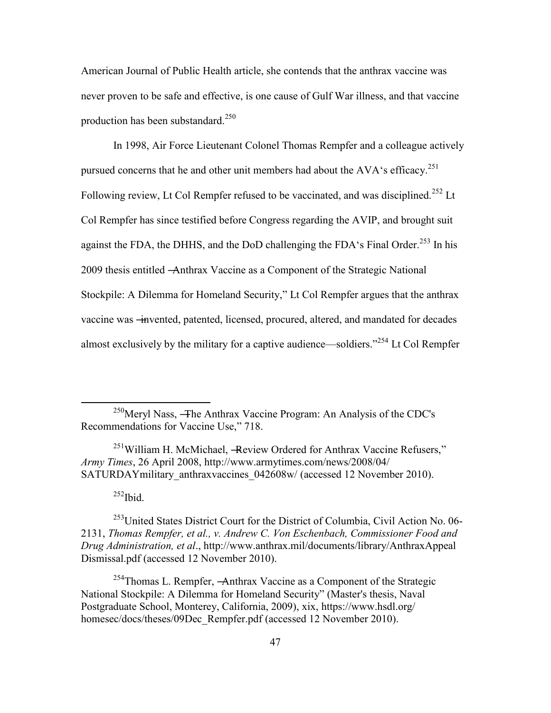American Journal of Public Health article, she contends that the anthrax vaccine was never proven to be safe and effective, is one cause of Gulf War illness, and that vaccine production has been substandard.<sup>250</sup>

In 1998, Air Force Lieutenant Colonel Thomas Rempfer and a colleague actively pursued concerns that he and other unit members had about the  $AVA$ 's efficacy.<sup>251</sup> Following review, Lt Col Rempfer refused to be vaccinated, and was disciplined.<sup>252</sup> Lt Col Rempfer has since testified before Congress regarding the AVIP, and brought suit against the FDA, the DHHS, and the DoD challenging the FDA's Final Order.<sup>253</sup> In his 2009 thesis entitled ―Anthrax Vaccine as a Component of the Strategic National Stockpile: A Dilemma for Homeland Security," Lt Col Rempfer argues that the anthrax vaccine was —invented, patented, licensed, procured, altered, and mandated for decades almost exclusively by the military for a captive audience—soldiers.<sup> $254$ </sup> Lt Col Rempfer

<sup>250</sup>Meryl Nass, ―The Anthrax Vaccine Program: An Analysis of the CDC's Recommendations for Vaccine Use," 718.

<sup>251</sup>William H. McMichael, -Review Ordered for Anthrax Vaccine Refusers," *Army Times*, 26 April 2008, http://www.armytimes.com/news/2008/04/ SATURDAYmilitary\_anthraxvaccines\_042608w/ (accessed 12 November 2010).

 $252$ Ibid.

 $\overline{a}$ 

<sup>253</sup>United States District Court for the District of Columbia, Civil Action No. 06-2131, *Thomas Rempfer, et al., v. Andrew C. Von Eschenbach, Commissioner Food and Drug Administration, et al*., http://www.anthrax.mil/documents/library/AnthraxAppeal Dismissal.pdf (accessed 12 November 2010).

<sup>254</sup>Thomas L. Rempfer, -Anthrax Vaccine as a Component of the Strategic National Stockpile: A Dilemma for Homeland Security" (Master's thesis, Naval Postgraduate School, Monterey, California, 2009), xix, https://www.hsdl.org/ homesec/docs/theses/09Dec\_Rempfer.pdf (accessed 12 November 2010).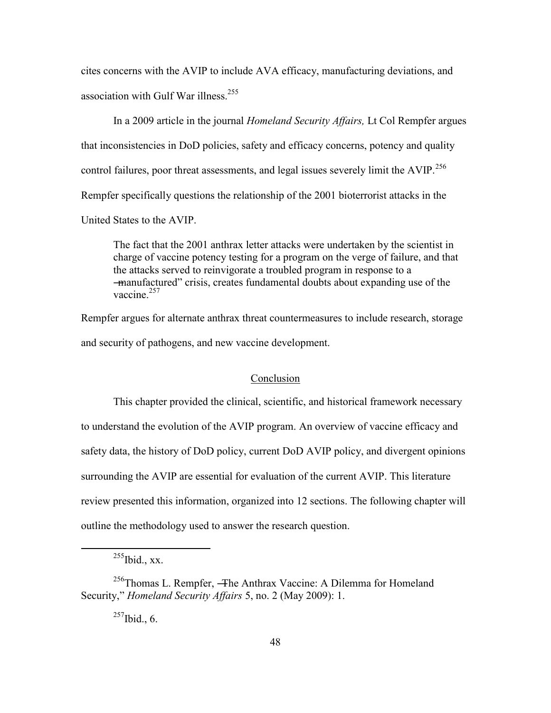cites concerns with the AVIP to include AVA efficacy, manufacturing deviations, and association with Gulf War illness.<sup>255</sup>

In a 2009 article in the journal *Homeland Security Affairs,* Lt Col Rempfer argues that inconsistencies in DoD policies, safety and efficacy concerns, potency and quality control failures, poor threat assessments, and legal issues severely limit the AVIP.<sup>256</sup> Rempfer specifically questions the relationship of the 2001 bioterrorist attacks in the United States to the AVIP.

The fact that the 2001 anthrax letter attacks were undertaken by the scientist in charge of vaccine potency testing for a program on the verge of failure, and that the attacks served to reinvigorate a troubled program in response to a ―manufactured‖ crisis, creates fundamental doubts about expanding use of the vaccine.<sup>257</sup>

Rempfer argues for alternate anthrax threat countermeasures to include research, storage and security of pathogens, and new vaccine development.

## Conclusion

This chapter provided the clinical, scientific, and historical framework necessary to understand the evolution of the AVIP program. An overview of vaccine efficacy and safety data, the history of DoD policy, current DoD AVIP policy, and divergent opinions surrounding the AVIP are essential for evaluation of the current AVIP. This literature review presented this information, organized into 12 sections. The following chapter will outline the methodology used to answer the research question.

 $^{255}$ Ibid., xx.

 $\overline{a}$ 

 $257$ Ibid., 6.

<sup>&</sup>lt;sup>256</sup>Thomas L. Rempfer, —The Anthrax Vaccine: A Dilemma for Homeland Security," *Homeland Security Affairs* 5, no. 2 (May 2009): 1.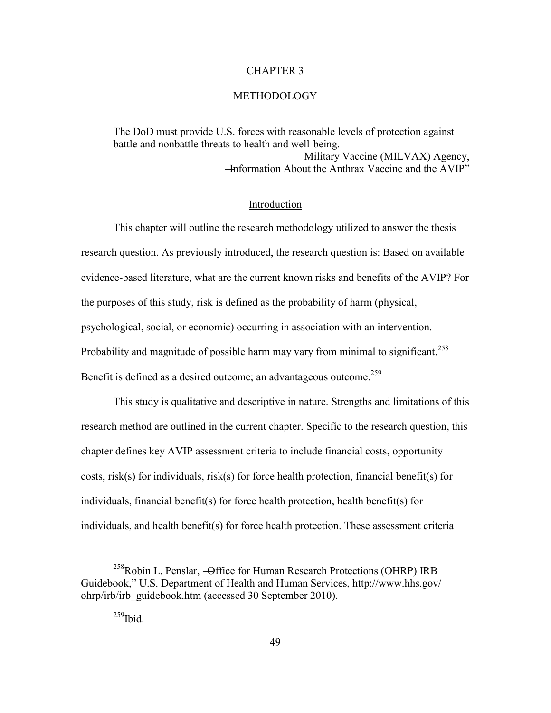### CHAPTER 3

### METHODOLOGY

The DoD must provide U.S. forces with reasonable levels of protection against battle and nonbattle threats to health and well-being. — Military Vaccine (MILVAX) Agency, Hnformation About the Anthrax Vaccine and the AVIP"

### Introduction

This chapter will outline the research methodology utilized to answer the thesis research question. As previously introduced, the research question is: Based on available evidence-based literature, what are the current known risks and benefits of the AVIP? For the purposes of this study, risk is defined as the probability of harm (physical, psychological, social, or economic) occurring in association with an intervention. Probability and magnitude of possible harm may vary from minimal to significant.<sup>258</sup> Benefit is defined as a desired outcome; an advantageous outcome.<sup>259</sup>

This study is qualitative and descriptive in nature. Strengths and limitations of this research method are outlined in the current chapter. Specific to the research question, this chapter defines key AVIP assessment criteria to include financial costs, opportunity costs, risk(s) for individuals, risk(s) for force health protection, financial benefit(s) for individuals, financial benefit(s) for force health protection, health benefit(s) for individuals, and health benefit(s) for force health protection. These assessment criteria

<sup>&</sup>lt;sup>258</sup>Robin L. Penslar, -Office for Human Research Protections (OHRP) IRB Guidebook," U.S. Department of Health and Human Services, http://www.hhs.gov/ ohrp/irb/irb\_guidebook.htm (accessed 30 September 2010).

 $259$ Ibid.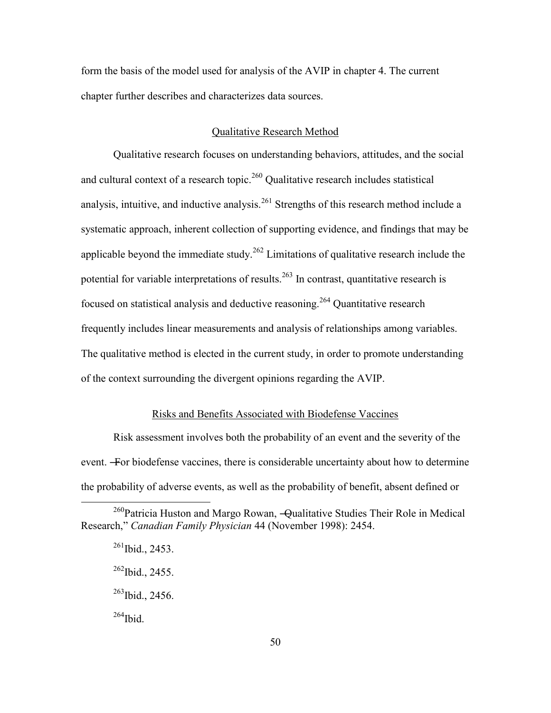form the basis of the model used for analysis of the AVIP in chapter 4. The current chapter further describes and characterizes data sources.

## Qualitative Research Method

Qualitative research focuses on understanding behaviors, attitudes, and the social and cultural context of a research topic.<sup>260</sup> Qualitative research includes statistical analysis, intuitive, and inductive analysis.<sup>261</sup> Strengths of this research method include a systematic approach, inherent collection of supporting evidence, and findings that may be applicable beyond the immediate study.<sup>262</sup> Limitations of qualitative research include the potential for variable interpretations of results.<sup>263</sup> In contrast, quantitative research is focused on statistical analysis and deductive reasoning.<sup>264</sup> Quantitative research frequently includes linear measurements and analysis of relationships among variables. The qualitative method is elected in the current study, in order to promote understanding of the context surrounding the divergent opinions regarding the AVIP.

## Risks and Benefits Associated with Biodefense Vaccines

Risk assessment involves both the probability of an event and the severity of the event. ―For biodefense vaccines, there is considerable uncertainty about how to determine the probability of adverse events, as well as the probability of benefit, absent defined or

<sup>&</sup>lt;sup>260</sup>Patricia Huston and Margo Rowan, -Qualitative Studies Their Role in Medical Research," *Canadian Family Physician* 44 (November 1998): 2454.

 $^{261}$ Ibid., 2453.  $262$  Ibid., 2455.  $263$  Ibid., 2456.

 $264$ Ibid.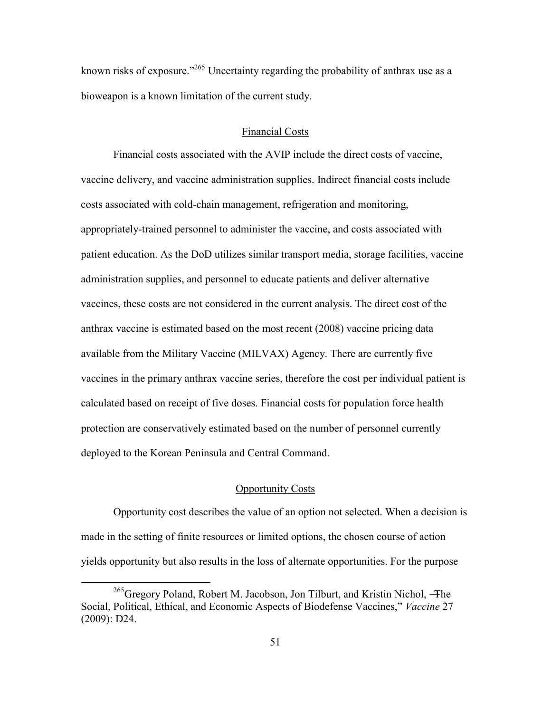known risks of exposure."<sup>265</sup> Uncertainty regarding the probability of anthrax use as a bioweapon is a known limitation of the current study.

### Financial Costs

Financial costs associated with the AVIP include the direct costs of vaccine, vaccine delivery, and vaccine administration supplies. Indirect financial costs include costs associated with cold-chain management, refrigeration and monitoring, appropriately-trained personnel to administer the vaccine, and costs associated with patient education. As the DoD utilizes similar transport media, storage facilities, vaccine administration supplies, and personnel to educate patients and deliver alternative vaccines, these costs are not considered in the current analysis. The direct cost of the anthrax vaccine is estimated based on the most recent (2008) vaccine pricing data available from the Military Vaccine (MILVAX) Agency. There are currently five vaccines in the primary anthrax vaccine series, therefore the cost per individual patient is calculated based on receipt of five doses. Financial costs for population force health protection are conservatively estimated based on the number of personnel currently deployed to the Korean Peninsula and Central Command.

#### Opportunity Costs

Opportunity cost describes the value of an option not selected. When a decision is made in the setting of finite resources or limited options, the chosen course of action yields opportunity but also results in the loss of alternate opportunities. For the purpose

 $^{265}$ Gregory Poland, Robert M. Jacobson, Jon Tilburt, and Kristin Nichol,  $\pm$ he Social, Political, Ethical, and Economic Aspects of Biodefense Vaccines." *Vaccine* 27 (2009): D24.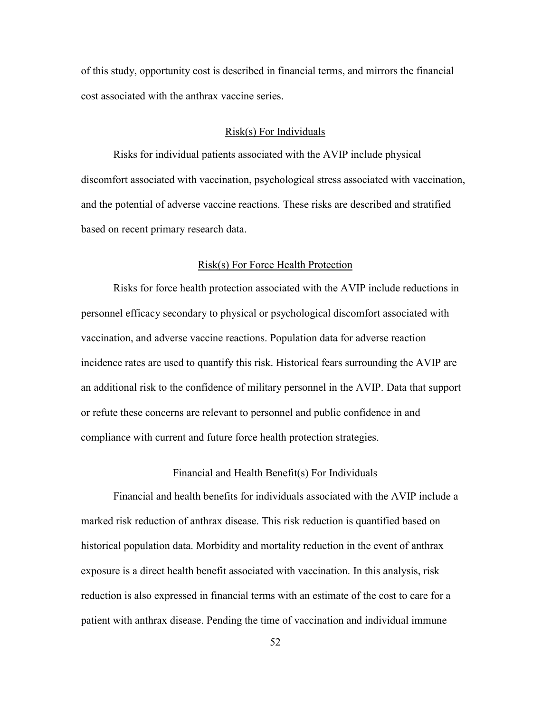of this study, opportunity cost is described in financial terms, and mirrors the financial cost associated with the anthrax vaccine series.

## Risk(s) For Individuals

Risks for individual patients associated with the AVIP include physical discomfort associated with vaccination, psychological stress associated with vaccination, and the potential of adverse vaccine reactions. These risks are described and stratified based on recent primary research data.

## Risk(s) For Force Health Protection

Risks for force health protection associated with the AVIP include reductions in personnel efficacy secondary to physical or psychological discomfort associated with vaccination, and adverse vaccine reactions. Population data for adverse reaction incidence rates are used to quantify this risk. Historical fears surrounding the AVIP are an additional risk to the confidence of military personnel in the AVIP. Data that support or refute these concerns are relevant to personnel and public confidence in and compliance with current and future force health protection strategies.

#### Financial and Health Benefit(s) For Individuals

Financial and health benefits for individuals associated with the AVIP include a marked risk reduction of anthrax disease. This risk reduction is quantified based on historical population data. Morbidity and mortality reduction in the event of anthrax exposure is a direct health benefit associated with vaccination. In this analysis, risk reduction is also expressed in financial terms with an estimate of the cost to care for a patient with anthrax disease. Pending the time of vaccination and individual immune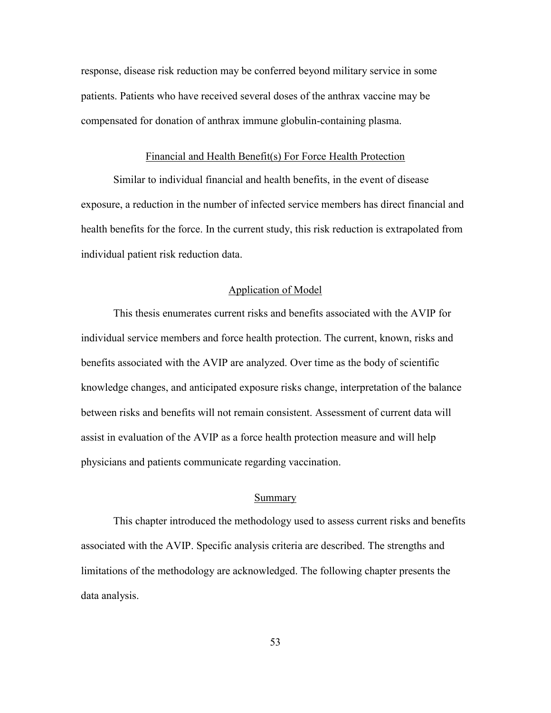response, disease risk reduction may be conferred beyond military service in some patients. Patients who have received several doses of the anthrax vaccine may be compensated for donation of anthrax immune globulin-containing plasma.

#### Financial and Health Benefit(s) For Force Health Protection

Similar to individual financial and health benefits, in the event of disease exposure, a reduction in the number of infected service members has direct financial and health benefits for the force. In the current study, this risk reduction is extrapolated from individual patient risk reduction data.

## Application of Model

This thesis enumerates current risks and benefits associated with the AVIP for individual service members and force health protection. The current, known, risks and benefits associated with the AVIP are analyzed. Over time as the body of scientific knowledge changes, and anticipated exposure risks change, interpretation of the balance between risks and benefits will not remain consistent. Assessment of current data will assist in evaluation of the AVIP as a force health protection measure and will help physicians and patients communicate regarding vaccination.

#### Summary

This chapter introduced the methodology used to assess current risks and benefits associated with the AVIP. Specific analysis criteria are described. The strengths and limitations of the methodology are acknowledged. The following chapter presents the data analysis.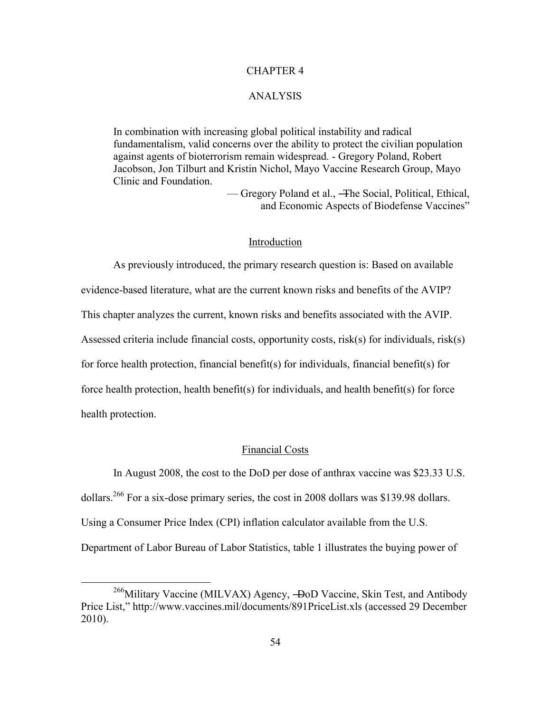# CHAPTER 4

## ANALYSIS

In combination with increasing global political instability and radical fundamentalism, valid concerns over the ability to protect the civilian population against agents of bioterrorism remain widespread. - Gregory Poland, Robert Jacobson, Jon Tilburt and Kristin Nichol, Mayo Vaccine Research Group, Mayo Clinic and Foundation.

> — Gregory Poland et al., ―The Social, Political, Ethical, and Economic Aspects of Biodefense Vaccines"

#### Introduction

As previously introduced, the primary research question is: Based on available evidence-based literature, what are the current known risks and benefits of the AVIP? This chapter analyzes the current, known risks and benefits associated with the AVIP. Assessed criteria include financial costs, opportunity costs, risk(s) for individuals, risk(s) for force health protection, financial benefit(s) for individuals, financial benefit(s) for force health protection, health benefit(s) for individuals, and health benefit(s) for force health protection.

#### Financial Costs

In August 2008, the cost to the DoD per dose of anthrax vaccine was \$23.33 U.S. dollars.<sup>266</sup> For a six-dose primary series, the cost in 2008 dollars was \$139.98 dollars. Using a Consumer Price Index (CPI) inflation calculator available from the U.S. Department of Labor Bureau of Labor Statistics, table 1 illustrates the buying power of

 $266$ Military Vaccine (MILVAX) Agency,  $-\text{DoD}$  Vaccine, Skin Test, and Antibody Price List," http://www.vaccines.mil/documents/891PriceList.xls (accessed 29 December 2010).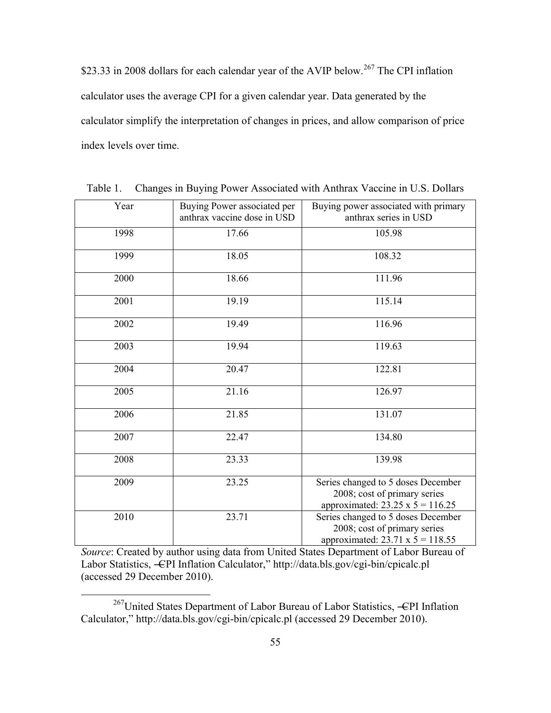\$23.33 in 2008 dollars for each calendar year of the AVIP below.<sup>267</sup> The CPI inflation calculator uses the average CPI for a given calendar year. Data generated by the calculator simplify the interpretation of changes in prices, and allow comparison of price index levels over time.

| Year | Buying Power associated per<br>anthrax vaccine dose in USD | Buying power associated with primary<br>anthrax series in USD                                                 |
|------|------------------------------------------------------------|---------------------------------------------------------------------------------------------------------------|
| 1998 | 17.66                                                      | 105.98                                                                                                        |
| 1999 | 18.05                                                      | 108.32                                                                                                        |
| 2000 | 18.66                                                      | 111.96                                                                                                        |
| 2001 | 19.19                                                      | 115.14                                                                                                        |
| 2002 | 19.49                                                      | 116.96                                                                                                        |
| 2003 | 19.94                                                      | 119.63                                                                                                        |
| 2004 | 20.47                                                      | 122.81                                                                                                        |
| 2005 | 21.16                                                      | 126.97                                                                                                        |
| 2006 | 21.85                                                      | 131.07                                                                                                        |
| 2007 | 22.47                                                      | 134.80                                                                                                        |
| 2008 | 23.33                                                      | 139.98                                                                                                        |
| 2009 | 23.25                                                      | Series changed to 5 doses December<br>2008; cost of primary series<br>approximated: $23.25 \times 5 = 116.25$ |
| 2010 | 23.71                                                      | Series changed to 5 doses December<br>2008; cost of primary series<br>approximated: 23.71 x $5 = 118.55$      |

Table 1. Changes in Buying Power Associated with Anthrax Vaccine in U.S. Dollars

*Source*: Created by author using data from United States Department of Labor Bureau of Labor Statistics, -CPI Inflation Calculator," http://data.bls.gov/cgi-bin/cpicalc.pl (accessed 29 December 2010).

<sup>&</sup>lt;sup>267</sup>United States Department of Labor Bureau of Labor Statistics, -CPI Inflation Calculator," http://data.bls.gov/cgi-bin/cpicalc.pl (accessed 29 December 2010).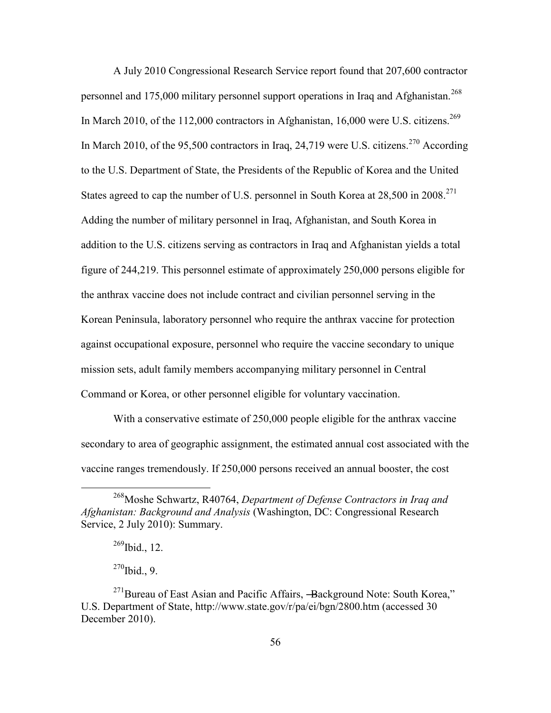A July 2010 Congressional Research Service report found that 207,600 contractor personnel and 175,000 military personnel support operations in Iraq and Afghanistan.<sup>268</sup> In March 2010, of the 112,000 contractors in Afghanistan, 16,000 were U.S. citizens.<sup>269</sup> In March 2010, of the 95,500 contractors in Iraq, 24,719 were U.S. citizens.<sup>270</sup> According to the U.S. Department of State, the Presidents of the Republic of Korea and the United States agreed to cap the number of U.S. personnel in South Korea at  $28,500$  in  $2008$ <sup>271</sup> Adding the number of military personnel in Iraq, Afghanistan, and South Korea in addition to the U.S. citizens serving as contractors in Iraq and Afghanistan yields a total figure of 244,219. This personnel estimate of approximately 250,000 persons eligible for the anthrax vaccine does not include contract and civilian personnel serving in the Korean Peninsula, laboratory personnel who require the anthrax vaccine for protection against occupational exposure, personnel who require the vaccine secondary to unique mission sets, adult family members accompanying military personnel in Central Command or Korea, or other personnel eligible for voluntary vaccination.

With a conservative estimate of 250,000 people eligible for the anthrax vaccine secondary to area of geographic assignment, the estimated annual cost associated with the vaccine ranges tremendously. If 250,000 persons received an annual booster, the cost

 $269$  Ibid., 12.

 $\overline{a}$ 

 $270$ Ibid., 9.

<sup>268</sup>Moshe Schwartz, R40764, *Department of Defense Contractors in Iraq and Afghanistan: Background and Analysis* (Washington, DC: Congressional Research Service, 2 July 2010): Summary.

 $^{271}$ Bureau of East Asian and Pacific Affairs,  $\rightarrow$ Background Note: South Korea," U.S. Department of State, http://www.state.gov/r/pa/ei/bgn/2800.htm (accessed 30 December 2010).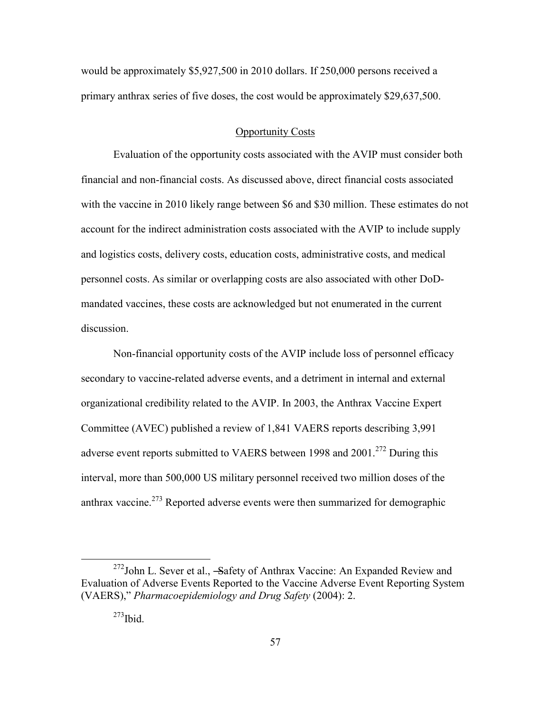would be approximately \$5,927,500 in 2010 dollars. If 250,000 persons received a primary anthrax series of five doses, the cost would be approximately \$29,637,500.

## Opportunity Costs

Evaluation of the opportunity costs associated with the AVIP must consider both financial and non-financial costs. As discussed above, direct financial costs associated with the vaccine in 2010 likely range between \$6 and \$30 million. These estimates do not account for the indirect administration costs associated with the AVIP to include supply and logistics costs, delivery costs, education costs, administrative costs, and medical personnel costs. As similar or overlapping costs are also associated with other DoDmandated vaccines, these costs are acknowledged but not enumerated in the current discussion.

Non-financial opportunity costs of the AVIP include loss of personnel efficacy secondary to vaccine-related adverse events, and a detriment in internal and external organizational credibility related to the AVIP. In 2003, the Anthrax Vaccine Expert Committee (AVEC) published a review of 1,841 VAERS reports describing 3,991 adverse event reports submitted to VAERS between 1998 and  $2001$ <sup>272</sup> During this interval, more than 500,000 US military personnel received two million doses of the anthrax vaccine.<sup>273</sup> Reported adverse events were then summarized for demographic

<sup>&</sup>lt;sup>272</sup>John L. Sever et al., -Safety of Anthrax Vaccine: An Expanded Review and Evaluation of Adverse Events Reported to the Vaccine Adverse Event Reporting System (VAERS),‖ *Pharmacoepidemiology and Drug Safety* (2004): 2.

 $273$ Ibid.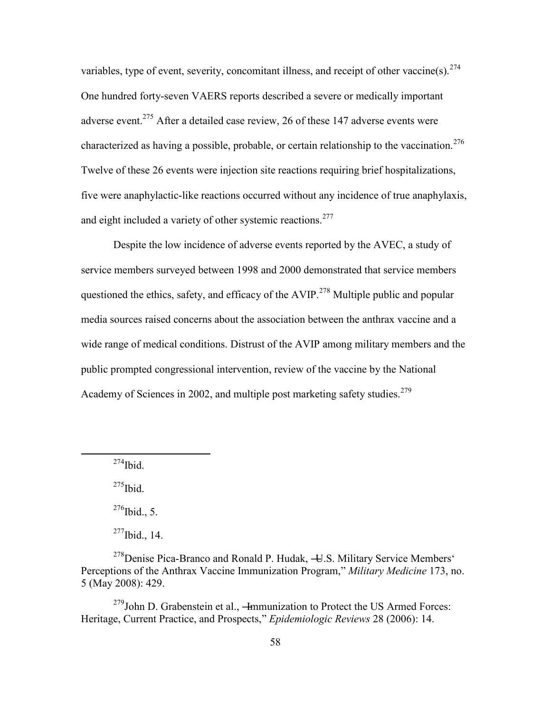variables, type of event, severity, concomitant illness, and receipt of other vaccine(s).  $274$ One hundred forty-seven VAERS reports described a severe or medically important adverse event.<sup>275</sup> After a detailed case review, 26 of these 147 adverse events were characterized as having a possible, probable, or certain relationship to the vaccination.<sup>276</sup> Twelve of these 26 events were injection site reactions requiring brief hospitalizations, five were anaphylactic-like reactions occurred without any incidence of true anaphylaxis, and eight included a variety of other systemic reactions.<sup>277</sup>

Despite the low incidence of adverse events reported by the AVEC, a study of service members surveyed between 1998 and 2000 demonstrated that service members questioned the ethics, safety, and efficacy of the AVIP.<sup>278</sup> Multiple public and popular media sources raised concerns about the association between the anthrax vaccine and a wide range of medical conditions. Distrust of the AVIP among military members and the public prompted congressional intervention, review of the vaccine by the National Academy of Sciences in 2002, and multiple post marketing safety studies.<sup>279</sup>

 $^{274}$ Ibid.

 $\overline{a}$ 

 $^{275}$ Ibid.

 $^{276}$ Ibid., 5.

 $277$ Ibid., 14.

 $278$ Denise Pica-Branco and Ronald P. Hudak,  $\leftarrow$  L.S. Military Service Members' Perceptions of the Anthrax Vaccine Immunization Program," *Military Medicine* 173, no. 5 (May 2008): 429.

 $^{279}$ John D. Grabenstein et al.,  $-$ Immunization to Protect the US Armed Forces: Heritage, Current Practice, and Prospects," *Epidemiologic Reviews* 28 (2006): 14.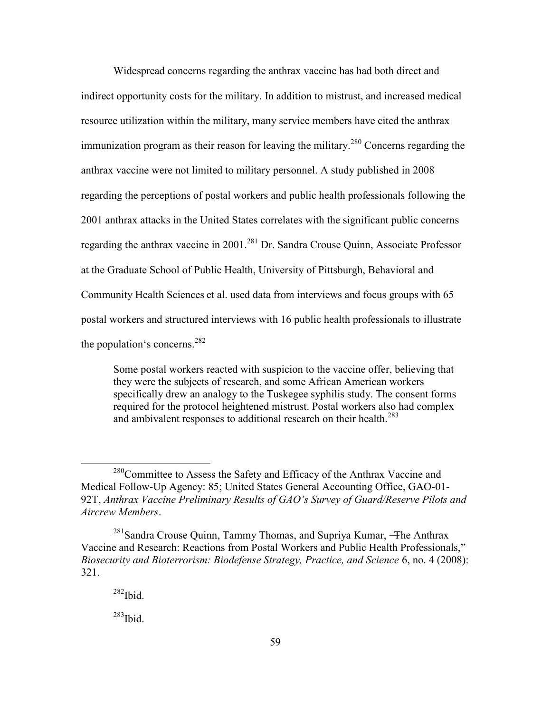Widespread concerns regarding the anthrax vaccine has had both direct and indirect opportunity costs for the military. In addition to mistrust, and increased medical resource utilization within the military, many service members have cited the anthrax immunization program as their reason for leaving the military.<sup>280</sup> Concerns regarding the anthrax vaccine were not limited to military personnel. A study published in 2008 regarding the perceptions of postal workers and public health professionals following the 2001 anthrax attacks in the United States correlates with the significant public concerns regarding the anthrax vaccine in 2001.<sup>281</sup> Dr. Sandra Crouse Ouinn, Associate Professor at the Graduate School of Public Health, University of Pittsburgh, Behavioral and Community Health Sciences et al. used data from interviews and focus groups with 65 postal workers and structured interviews with 16 public health professionals to illustrate the population's concerns.  $282$ 

Some postal workers reacted with suspicion to the vaccine offer, believing that they were the subjects of research, and some African American workers specifically drew an analogy to the Tuskegee syphilis study. The consent forms required for the protocol heightened mistrust. Postal workers also had complex and ambivalent responses to additional research on their health.<sup>283</sup>

<sup>&</sup>lt;sup>280</sup>Committee to Assess the Safety and Efficacy of the Anthrax Vaccine and Medical Follow-Up Agency: 85; United States General Accounting Office, GAO-01- 92T, *Anthrax Vaccine Preliminary Results of GAO's Survey of Guard/Reserve Pilots and Aircrew Members*.

<sup>&</sup>lt;sup>281</sup>Sandra Crouse Quinn, Tammy Thomas, and Supriya Kumar, -The Anthrax Vaccine and Research: Reactions from Postal Workers and Public Health Professionals," *Biosecurity and Bioterrorism: Biodefense Strategy, Practice, and Science* 6, no. 4 (2008): 321.

 $282$ Thid.

 $283$ Ibid.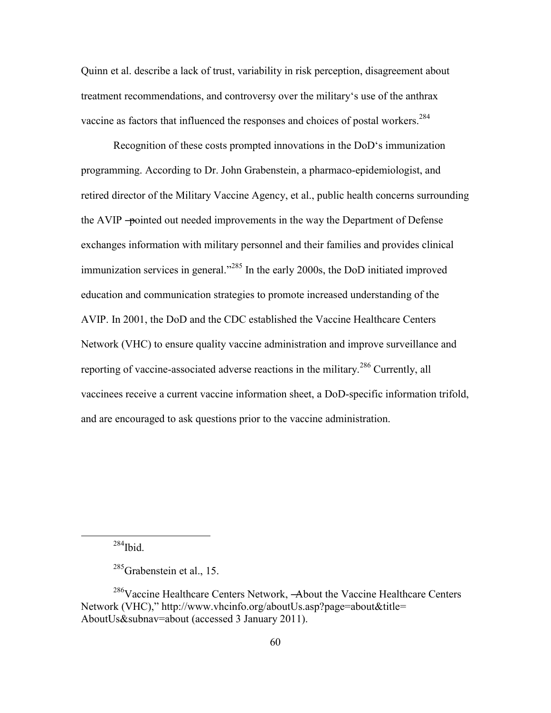Quinn et al. describe a lack of trust, variability in risk perception, disagreement about treatment recommendations, and controversy over the military's use of the anthrax vaccine as factors that influenced the responses and choices of postal workers.<sup>284</sup>

Recognition of these costs prompted innovations in the DoD's immunization programming. According to Dr. John Grabenstein, a pharmaco-epidemiologist, and retired director of the Military Vaccine Agency, et al., public health concerns surrounding the AVIP ―pointed out needed improvements in the way the Department of Defense exchanges information with military personnel and their families and provides clinical immunization services in general.<sup> $285$ </sup> In the early 2000s, the DoD initiated improved education and communication strategies to promote increased understanding of the AVIP. In 2001, the DoD and the CDC established the Vaccine Healthcare Centers Network (VHC) to ensure quality vaccine administration and improve surveillance and reporting of vaccine-associated adverse reactions in the military.<sup>286</sup> Currently, all vaccinees receive a current vaccine information sheet, a DoD-specific information trifold, and are encouraged to ask questions prior to the vaccine administration.

 $284$ Ibid.

<sup>&</sup>lt;sup>285</sup>Grabenstein et al., 15.

<sup>&</sup>lt;sup>286</sup>Vaccine Healthcare Centers Network, —About the Vaccine Healthcare Centers Network (VHC)," http://www.vhcinfo.org/aboutUs.asp?page=about&title= AboutUs&subnav=about (accessed 3 January 2011).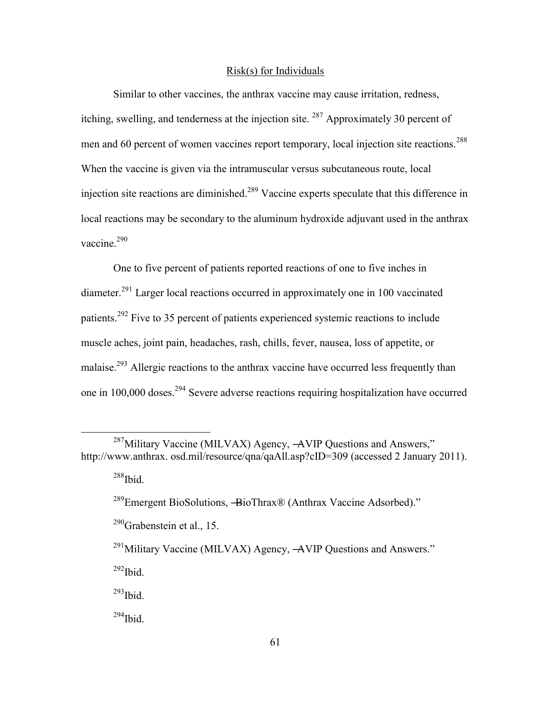### Risk(s) for Individuals

Similar to other vaccines, the anthrax vaccine may cause irritation, redness, itching, swelling, and tenderness at the injection site. <sup>287</sup> Approximately 30 percent of men and 60 percent of women vaccines report temporary, local injection site reactions.<sup>288</sup> When the vaccine is given via the intramuscular versus subcutaneous route, local injection site reactions are diminished.<sup>289</sup> Vaccine experts speculate that this difference in local reactions may be secondary to the aluminum hydroxide adjuvant used in the anthrax vaccine.<sup>290</sup>

One to five percent of patients reported reactions of one to five inches in diameter.<sup>291</sup> Larger local reactions occurred in approximately one in 100 vaccinated patients.<sup>292</sup> Five to 35 percent of patients experienced systemic reactions to include muscle aches, joint pain, headaches, rash, chills, fever, nausea, loss of appetite, or malaise.<sup>293</sup> Allergic reactions to the anthrax vaccine have occurred less frequently than one in 100,000 doses.<sup>294</sup> Severe adverse reactions requiring hospitalization have occurred

 $\overline{a}$ 

 $292$ Ibid.

 $293$ Ibid.

 $287$ Military Vaccine (MILVAX) Agency,  $\rightarrow$  VIP Questions and Answers," http://www.anthrax.osd.mil/resource/qna/qaAll.asp?cID=309 (accessed 2 January 2011).

 $288$ Ibid.

<sup>&</sup>lt;sup>289</sup>Emergent BioSolutions, -BioThrax® (Anthrax Vaccine Adsorbed)."

 $290$ Grabenstein et al., 15.

 $^{291}$ Military Vaccine (MILVAX) Agency,  $\rightarrow$  VIP Questions and Answers."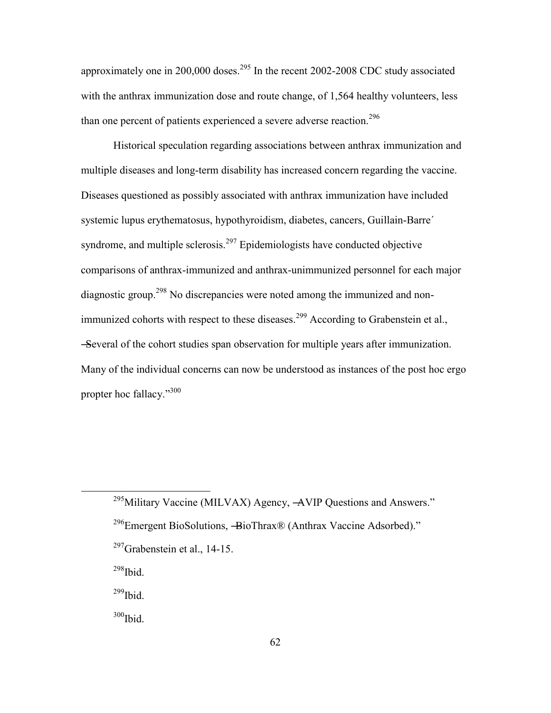approximately one in 200,000 doses.<sup>295</sup> In the recent 2002-2008 CDC study associated with the anthrax immunization dose and route change, of 1,564 healthy volunteers, less than one percent of patients experienced a severe adverse reaction.<sup>296</sup>

Historical speculation regarding associations between anthrax immunization and multiple diseases and long-term disability has increased concern regarding the vaccine. Diseases questioned as possibly associated with anthrax immunization have included systemic lupus erythematosus, hypothyroidism, diabetes, cancers, Guillain-Barre´ syndrome, and multiple sclerosis.<sup>297</sup> Epidemiologists have conducted objective comparisons of anthrax-immunized and anthrax-unimmunized personnel for each major diagnostic group.<sup>298</sup> No discrepancies were noted among the immunized and nonimmunized cohorts with respect to these diseases.<sup>299</sup> According to Grabenstein et al., ―Several of the cohort studies span observation for multiple years after immunization. Many of the individual concerns can now be understood as instances of the post hoc ergo propter hoc fallacy."300

 $298$ Ibid.

 $\overline{a}$ 

 $299$ Ibid.

 $^{295}$ Military Vaccine (MILVAX) Agency,  $\rightarrow$  VIP Questions and Answers."

<sup>&</sup>lt;sup>296</sup>Emergent BioSolutions,  $\rightarrow$ BioThrax® (Anthrax Vaccine Adsorbed)."

 $297$ Grabenstein et al., 14-15.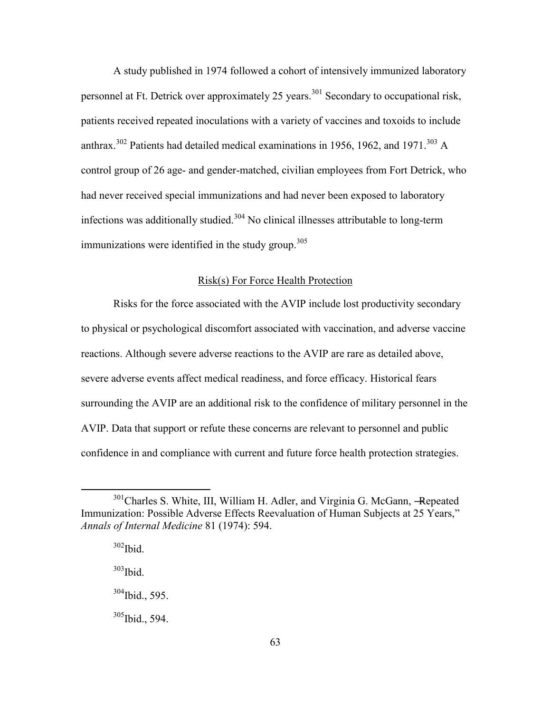A study published in 1974 followed a cohort of intensively immunized laboratory personnel at Ft. Detrick over approximately 25 years.<sup>301</sup> Secondary to occupational risk, patients received repeated inoculations with a variety of vaccines and toxoids to include anthrax.<sup>302</sup> Patients had detailed medical examinations in 1956, 1962, and 1971.<sup>303</sup> A control group of 26 age- and gender-matched, civilian employees from Fort Detrick, who had never received special immunizations and had never been exposed to laboratory infections was additionally studied.<sup>304</sup> No clinical illnesses attributable to long-term immunizations were identified in the study group. $305$ 

## Risk(s) For Force Health Protection

Risks for the force associated with the AVIP include lost productivity secondary to physical or psychological discomfort associated with vaccination, and adverse vaccine reactions. Although severe adverse reactions to the AVIP are rare as detailed above, severe adverse events affect medical readiness, and force efficacy. Historical fears surrounding the AVIP are an additional risk to the confidence of military personnel in the AVIP. Data that support or refute these concerns are relevant to personnel and public confidence in and compliance with current and future force health protection strategies.

 $\overline{a}$ 

 $303$  Ibid.

 $304$  Ibid., 595.

<sup>305</sup>Ibid., 594.

<sup>&</sup>lt;sup>301</sup>Charles S. White, III, William H. Adler, and Virginia G. McGann, -Repeated Immunization: Possible Adverse Effects Reevaluation of Human Subjects at 25 Years," *Annals of Internal Medicine* 81 (1974): 594.

 $302$  Ibid.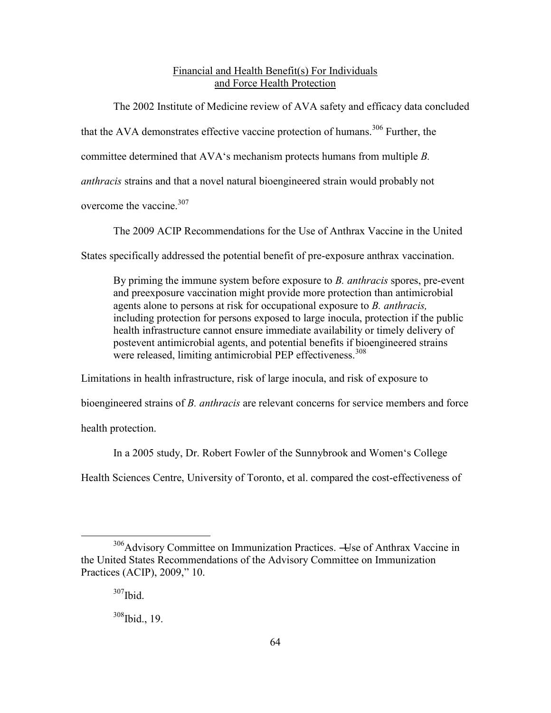# Financial and Health Benefit(s) For Individuals and Force Health Protection

The 2002 Institute of Medicine review of AVA safety and efficacy data concluded that the AVA demonstrates effective vaccine protection of humans.<sup>306</sup> Further, the committee determined that AVA's mechanism protects humans from multiple *B. anthracis* strains and that a novel natural bioengineered strain would probably not overcome the vaccine.  $307$ 

The 2009 ACIP Recommendations for the Use of Anthrax Vaccine in the United

States specifically addressed the potential benefit of pre-exposure anthrax vaccination.

By priming the immune system before exposure to *B. anthracis* spores, pre-event and preexposure vaccination might provide more protection than antimicrobial agents alone to persons at risk for occupational exposure to *B. anthracis,*  including protection for persons exposed to large inocula, protection if the public health infrastructure cannot ensure immediate availability or timely delivery of postevent antimicrobial agents, and potential benefits if bioengineered strains were released, limiting antimicrobial PEP effectiveness.<sup>308</sup>

Limitations in health infrastructure, risk of large inocula, and risk of exposure to

bioengineered strains of *B. anthracis* are relevant concerns for service members and force

health protection.

In a 2005 study, Dr. Robert Fowler of the Sunnybrook and Women's College

Health Sciences Centre, University of Toronto, et al. compared the cost-effectiveness of

 $\overline{a}$ 

<sup>306</sup>Advisory Committee on Immunization Practices. ―Use of Anthrax Vaccine in the United States Recommendations of the Advisory Committee on Immunization Practices (ACIP), 2009," 10.

 $307$ Ibid.

<sup>308</sup>Ibid., 19.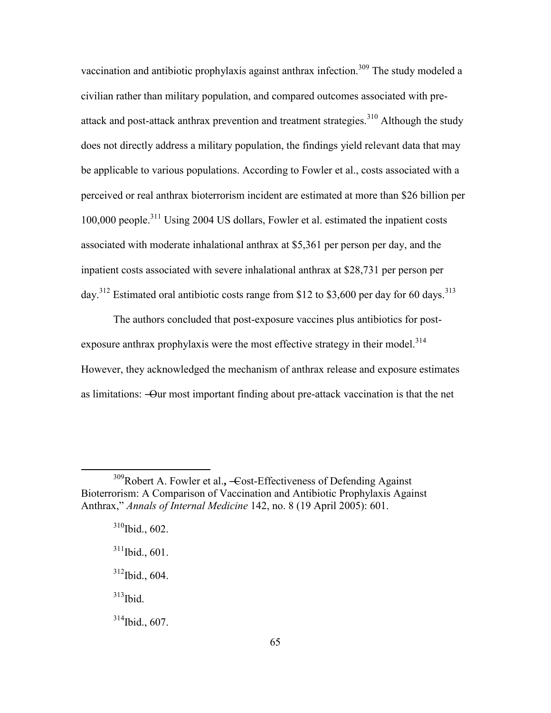vaccination and antibiotic prophylaxis against anthrax infection.<sup>309</sup> The study modeled a civilian rather than military population, and compared outcomes associated with preattack and post-attack anthrax prevention and treatment strategies.<sup>310</sup> Although the study does not directly address a military population, the findings yield relevant data that may be applicable to various populations. According to Fowler et al., costs associated with a perceived or real anthrax bioterrorism incident are estimated at more than \$26 billion per 100,000 people.<sup>311</sup> Using 2004 US dollars, Fowler et al. estimated the inpatient costs associated with moderate inhalational anthrax at \$5,361 per person per day, and the inpatient costs associated with severe inhalational anthrax at \$28,731 per person per day.<sup>312</sup> Estimated oral antibiotic costs range from \$12 to \$3,600 per day for 60 days.<sup>313</sup>

The authors concluded that post-exposure vaccines plus antibiotics for postexposure anthrax prophylaxis were the most effective strategy in their model.<sup>314</sup> However, they acknowledged the mechanism of anthrax release and exposure estimates as limitations: ―Our most important finding about pre-attack vaccination is that the net

- 
- $312$ Ibid., 604.
- $313$  Ibid.

 $\overline{a}$ 

<sup>314</sup>Ibid., 607.

<sup>&</sup>lt;sup>309</sup>Robert A. Fowler et al., 
<del>C</del>ost-Effectiveness of Defending Against Bioterrorism: A Comparison of Vaccination and Antibiotic Prophylaxis Against Anthrax,‖ *Annals of Internal Medicine* 142, no. 8 (19 April 2005): 601.

 $310$ Ibid., 602.  $311$ Ibid., 601.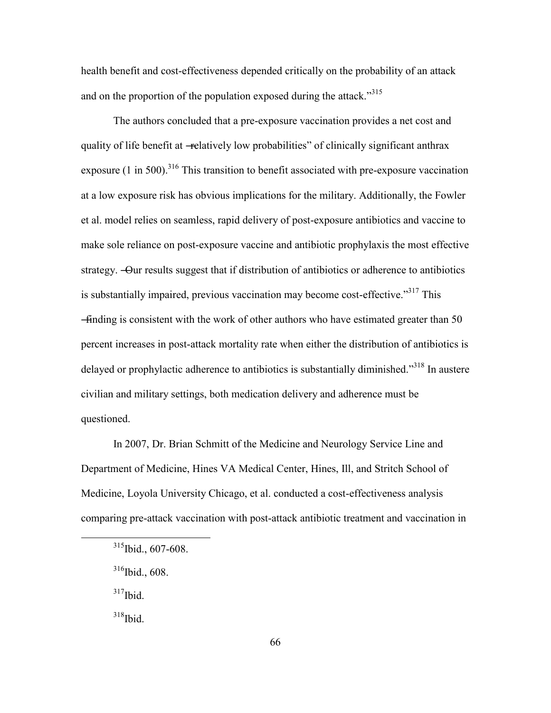health benefit and cost-effectiveness depended critically on the probability of an attack and on the proportion of the population exposed during the attack."<sup>315</sup>

The authors concluded that a pre-exposure vaccination provides a net cost and quality of life benefit at -relatively low probabilities" of clinically significant anthrax exposure (1 in 500).<sup>316</sup> This transition to benefit associated with pre-exposure vaccination at a low exposure risk has obvious implications for the military. Additionally, the Fowler et al. model relies on seamless, rapid delivery of post-exposure antibiotics and vaccine to make sole reliance on post-exposure vaccine and antibiotic prophylaxis the most effective strategy. ―Our results suggest that if distribution of antibiotics or adherence to antibiotics is substantially impaired, previous vaccination may become cost-effective."<sup>317</sup> This ―finding is consistent with the work of other authors who have estimated greater than 50 percent increases in post-attack mortality rate when either the distribution of antibiotics is delayed or prophylactic adherence to antibiotics is substantially diminished."<sup>318</sup> In austere civilian and military settings, both medication delivery and adherence must be questioned.

In 2007, Dr. Brian Schmitt of the Medicine and Neurology Service Line and Department of Medicine, Hines VA Medical Center, Hines, Ill, and Stritch School of Medicine, Loyola University Chicago, et al. conducted a cost-effectiveness analysis comparing pre-attack vaccination with post-attack antibiotic treatment and vaccination in

 $317$ Ibid.

 $\overline{a}$ 

<sup>&</sup>lt;sup>315</sup>Ibid., 607-608.

 $316$ Ibid., 608.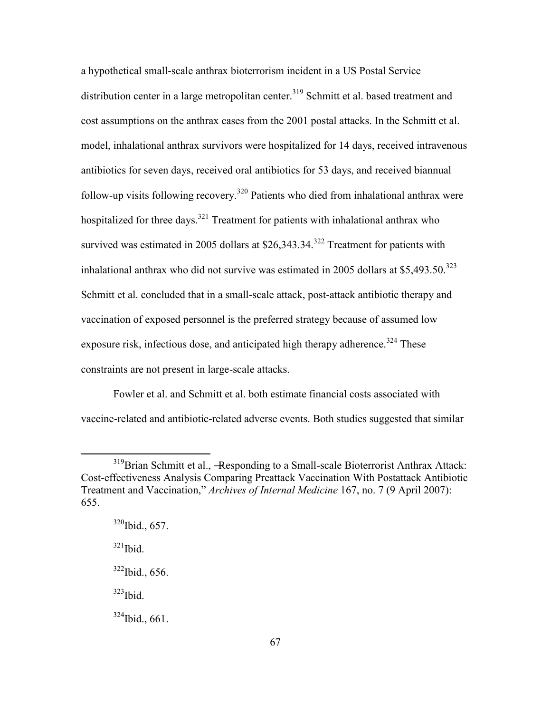a hypothetical small-scale anthrax bioterrorism incident in a US Postal Service distribution center in a large metropolitan center.<sup>319</sup> Schmitt et al. based treatment and cost assumptions on the anthrax cases from the 2001 postal attacks. In the Schmitt et al. model, inhalational anthrax survivors were hospitalized for 14 days, received intravenous antibiotics for seven days, received oral antibiotics for 53 days, and received biannual follow-up visits following recovery.<sup>320</sup> Patients who died from inhalational anthrax were hospitalized for three days.<sup>321</sup> Treatment for patients with inhalational anthrax who survived was estimated in 2005 dollars at  $$26.343.34$ <sup>322</sup> Treatment for patients with inhalational anthrax who did not survive was estimated in 2005 dollars at  $$5.493.50.<sup>323</sup>$ Schmitt et al. concluded that in a small-scale attack, post-attack antibiotic therapy and vaccination of exposed personnel is the preferred strategy because of assumed low exposure risk, infectious dose, and anticipated high therapy adherence.<sup>324</sup> These constraints are not present in large-scale attacks.

Fowler et al. and Schmitt et al. both estimate financial costs associated with vaccine-related and antibiotic-related adverse events. Both studies suggested that similar

 $\overline{a}$ 

 $319$ Brian Schmitt et al., -Responding to a Small-scale Bioterrorist Anthrax Attack: Cost-effectiveness Analysis Comparing Preattack Vaccination With Postattack Antibiotic Treatment and Vaccination," *Archives of Internal Medicine* 167, no. 7 (9 April 2007): 655.

 $320$  Ibid., 657.  $321$  Ibid.  $322$  Ibid., 656.  $323$ Ibid. <sup>324</sup>Ibid., 661.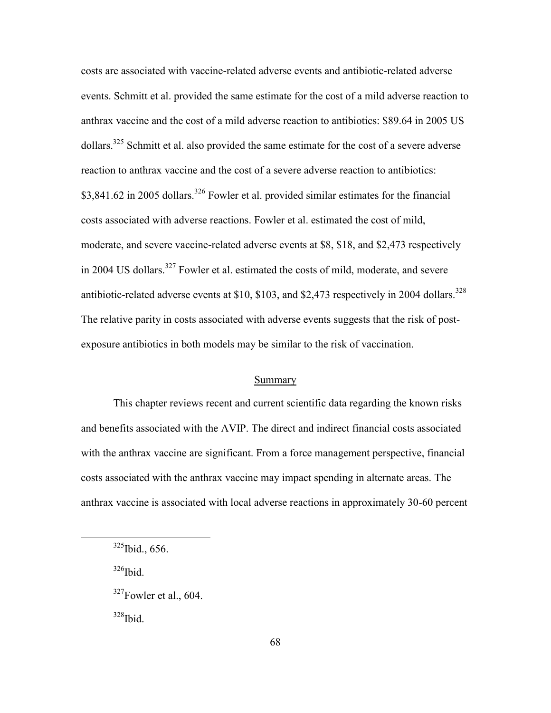costs are associated with vaccine-related adverse events and antibiotic-related adverse events. Schmitt et al. provided the same estimate for the cost of a mild adverse reaction to anthrax vaccine and the cost of a mild adverse reaction to antibiotics: \$89.64 in 2005 US dollars.<sup>325</sup> Schmitt et al. also provided the same estimate for the cost of a severe adverse reaction to anthrax vaccine and the cost of a severe adverse reaction to antibiotics: \$3,841.62 in 2005 dollars.<sup>326</sup> Fowler et al. provided similar estimates for the financial costs associated with adverse reactions. Fowler et al. estimated the cost of mild, moderate, and severe vaccine-related adverse events at \$8, \$18, and \$2,473 respectively in 2004 US dollars.<sup>327</sup> Fowler et al. estimated the costs of mild, moderate, and severe antibiotic-related adverse events at \$10, \$103, and \$2,473 respectively in 2004 dollars.<sup>328</sup> The relative parity in costs associated with adverse events suggests that the risk of postexposure antibiotics in both models may be similar to the risk of vaccination.

### Summary

This chapter reviews recent and current scientific data regarding the known risks and benefits associated with the AVIP. The direct and indirect financial costs associated with the anthrax vaccine are significant. From a force management perspective, financial costs associated with the anthrax vaccine may impact spending in alternate areas. The anthrax vaccine is associated with local adverse reactions in approximately 30-60 percent

 $326$  Ibid.

 $\overline{a}$ 

<sup>&</sup>lt;sup>325</sup>Ibid., 656.

 $327$ Fowler et al., 604.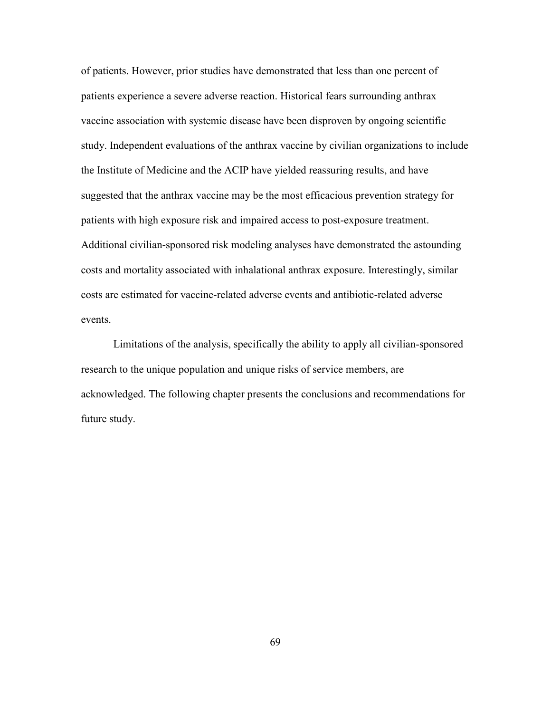of patients. However, prior studies have demonstrated that less than one percent of patients experience a severe adverse reaction. Historical fears surrounding anthrax vaccine association with systemic disease have been disproven by ongoing scientific study. Independent evaluations of the anthrax vaccine by civilian organizations to include the Institute of Medicine and the ACIP have yielded reassuring results, and have suggested that the anthrax vaccine may be the most efficacious prevention strategy for patients with high exposure risk and impaired access to post-exposure treatment. Additional civilian-sponsored risk modeling analyses have demonstrated the astounding costs and mortality associated with inhalational anthrax exposure. Interestingly, similar costs are estimated for vaccine-related adverse events and antibiotic-related adverse events.

Limitations of the analysis, specifically the ability to apply all civilian-sponsored research to the unique population and unique risks of service members, are acknowledged. The following chapter presents the conclusions and recommendations for future study.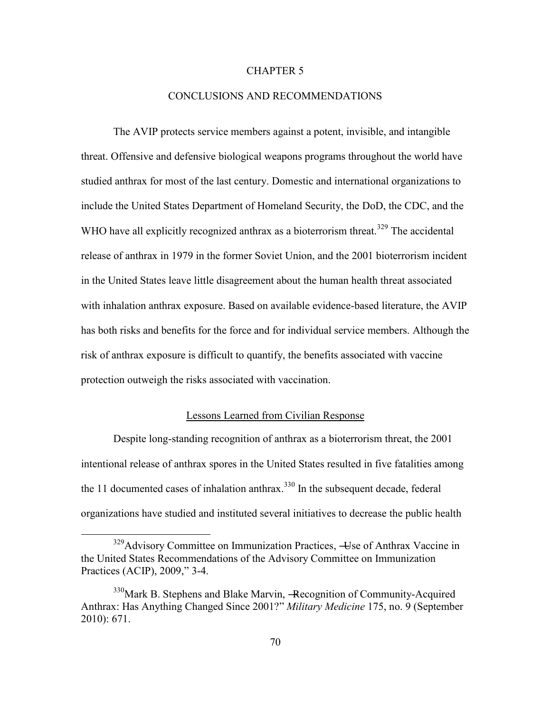## CHAPTER 5

### CONCLUSIONS AND RECOMMENDATIONS

The AVIP protects service members against a potent, invisible, and intangible threat. Offensive and defensive biological weapons programs throughout the world have studied anthrax for most of the last century. Domestic and international organizations to include the United States Department of Homeland Security, the DoD, the CDC, and the WHO have all explicitly recognized anthrax as a bioterrorism threat.<sup>329</sup> The accidental release of anthrax in 1979 in the former Soviet Union, and the 2001 bioterrorism incident in the United States leave little disagreement about the human health threat associated with inhalation anthrax exposure. Based on available evidence-based literature, the AVIP has both risks and benefits for the force and for individual service members. Although the risk of anthrax exposure is difficult to quantify, the benefits associated with vaccine protection outweigh the risks associated with vaccination.

# Lessons Learned from Civilian Response

Despite long-standing recognition of anthrax as a bioterrorism threat, the 2001 intentional release of anthrax spores in the United States resulted in five fatalities among the 11 documented cases of inhalation anthrax.<sup>330</sup> In the subsequent decade, federal organizations have studied and instituted several initiatives to decrease the public health

 $\overline{a}$ 

<sup>&</sup>lt;sup>329</sup>Advisory Committee on Immunization Practices, —Use of Anthrax Vaccine in the United States Recommendations of the Advisory Committee on Immunization Practices (ACIP), 2009," 3-4.

<sup>&</sup>lt;sup>330</sup>Mark B. Stephens and Blake Marvin, -Recognition of Community-Acquired Anthrax: Has Anything Changed Since 2001?" *Military Medicine* 175, no. 9 (September 2010): 671.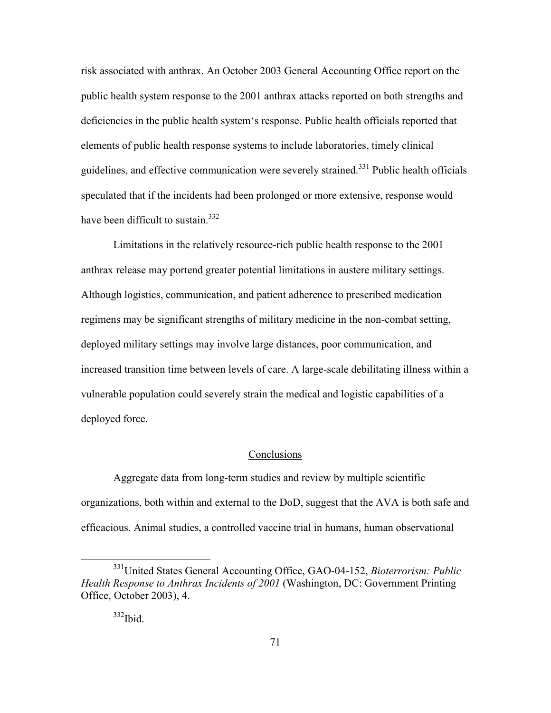risk associated with anthrax. An October 2003 General Accounting Office report on the public health system response to the 2001 anthrax attacks reported on both strengths and deficiencies in the public health system's response. Public health officials reported that elements of public health response systems to include laboratories, timely clinical guidelines, and effective communication were severely strained.<sup>331</sup> Public health officials speculated that if the incidents had been prolonged or more extensive, response would have been difficult to sustain.<sup>332</sup>

Limitations in the relatively resource-rich public health response to the 2001 anthrax release may portend greater potential limitations in austere military settings. Although logistics, communication, and patient adherence to prescribed medication regimens may be significant strengths of military medicine in the non-combat setting, deployed military settings may involve large distances, poor communication, and increased transition time between levels of care. A large-scale debilitating illness within a vulnerable population could severely strain the medical and logistic capabilities of a deployed force.

### **Conclusions**

Aggregate data from long-term studies and review by multiple scientific organizations, both within and external to the DoD, suggest that the AVA is both safe and efficacious. Animal studies, a controlled vaccine trial in humans, human observational

 $\overline{a}$ 

<sup>331</sup>United States General Accounting Office, GAO-04-152, *Bioterrorism: Public Health Response to Anthrax Incidents of 2001* (Washington, DC: Government Printing Office, October 2003), 4.

 $332$ Ibid.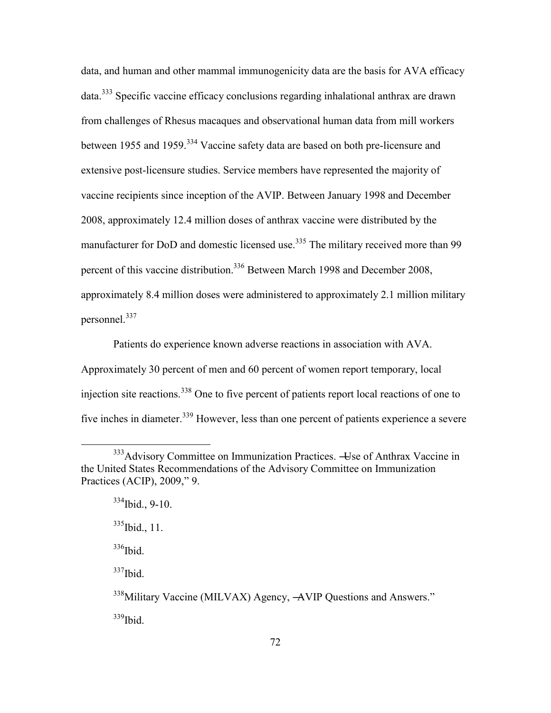data, and human and other mammal immunogenicity data are the basis for AVA efficacy data.<sup>333</sup> Specific vaccine efficacy conclusions regarding inhalational anthrax are drawn from challenges of Rhesus macaques and observational human data from mill workers between 1955 and 1959.<sup>334</sup> Vaccine safety data are based on both pre-licensure and extensive post-licensure studies. Service members have represented the majority of vaccine recipients since inception of the AVIP. Between January 1998 and December 2008, approximately 12.4 million doses of anthrax vaccine were distributed by the manufacturer for DoD and domestic licensed use.<sup>335</sup> The military received more than 99 percent of this vaccine distribution.<sup>336</sup> Between March 1998 and December 2008, approximately 8.4 million doses were administered to approximately 2.1 million military personnel.<sup>337</sup>

Patients do experience known adverse reactions in association with AVA. Approximately 30 percent of men and 60 percent of women report temporary, local injection site reactions.<sup>338</sup> One to five percent of patients report local reactions of one to five inches in diameter.<sup>339</sup> However, less than one percent of patients experience a severe

 $335$  Ibid., 11.

 $336$  Ibid.

 $\overline{a}$ 

<sup>&</sup>lt;sup>333</sup>Advisory Committee on Immunization Practices. —Use of Anthrax Vaccine in the United States Recommendations of the Advisory Committee on Immunization Practices (ACIP), 2009," 9.

 $334$  Ibid., 9-10.

<sup>&</sup>lt;sup>338</sup>Military Vaccine (MILVAX) Agency, -AVIP Questions and Answers." 339<sub>Ibid.</sub>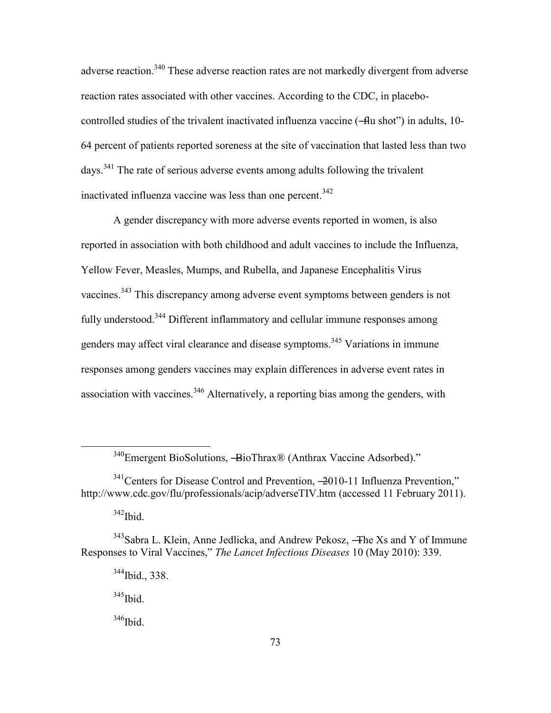adverse reaction.<sup>340</sup> These adverse reaction rates are not markedly divergent from adverse reaction rates associated with other vaccines. According to the CDC, in placebocontrolled studies of the trivalent inactivated influenza vaccine (—flu shot") in adults, 10-64 percent of patients reported soreness at the site of vaccination that lasted less than two days.<sup>341</sup> The rate of serious adverse events among adults following the trivalent inactivated influenza vaccine was less than one percent.<sup>342</sup>

A gender discrepancy with more adverse events reported in women, is also reported in association with both childhood and adult vaccines to include the Influenza, Yellow Fever, Measles, Mumps, and Rubella, and Japanese Encephalitis Virus vaccines.<sup>343</sup> This discrepancy among adverse event symptoms between genders is not fully understood.<sup>344</sup> Different inflammatory and cellular immune responses among genders may affect viral clearance and disease symptoms.<sup>345</sup> Variations in immune responses among genders vaccines may explain differences in adverse event rates in association with vaccines.  $346$  Alternatively, a reporting bias among the genders, with

 $342$ Ibid.

 $\overline{a}$ 

 $345$ Ibid.

 $340$ Emergent BioSolutions,  $-\text{BioThrax} \otimes (\text{Anthrax vaccine Adsorbed})$ .

 $341$ Centers for Disease Control and Prevention,  $-2010-11$  Influenza Prevention," http://www.cdc.gov/flu/professionals/acip/adverseTIV.htm (accessed 11 February 2011).

<sup>&</sup>lt;sup>343</sup>Sabra L. Klein, Anne Jedlicka, and Andrew Pekosz, –The Xs and Y of Immune Responses to Viral Vaccines," *The Lancet Infectious Diseases* 10 (May 2010): 339.

<sup>344</sup>Ibid., 338.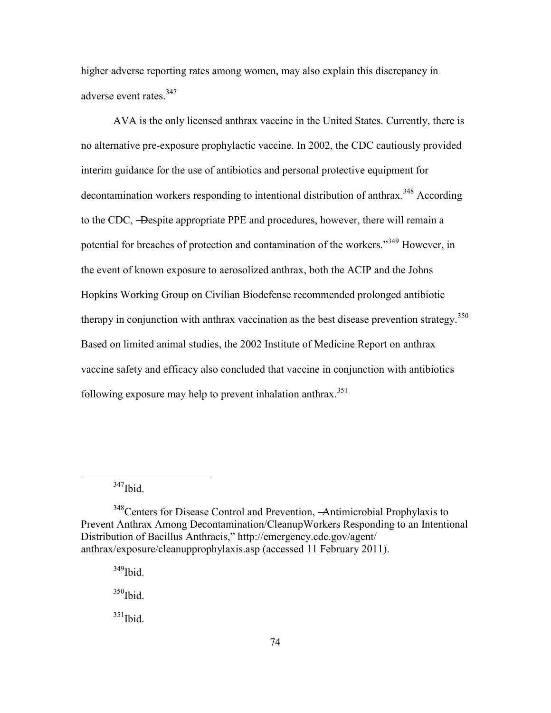higher adverse reporting rates among women, may also explain this discrepancy in adverse event rates.<sup>347</sup>

AVA is the only licensed anthrax vaccine in the United States. Currently, there is no alternative pre-exposure prophylactic vaccine. In 2002, the CDC cautiously provided interim guidance for the use of antibiotics and personal protective equipment for decontamination workers responding to intentional distribution of anthrax.<sup>348</sup> According to the CDC, ―Despite appropriate PPE and procedures, however, there will remain a potential for breaches of protection and contamination of the workers."<sup>349</sup> However, in the event of known exposure to aerosolized anthrax, both the ACIP and the Johns Hopkins Working Group on Civilian Biodefense recommended prolonged antibiotic therapy in conjunction with anthrax vaccination as the best disease prevention strategy.<sup>350</sup> Based on limited animal studies, the 2002 Institute of Medicine Report on anthrax vaccine safety and efficacy also concluded that vaccine in conjunction with antibiotics following exposure may help to prevent inhalation anthrax.<sup>351</sup>

 $\overline{a}$ 

 $350$  Ibid.

 $347$ Ibid.

<sup>&</sup>lt;sup>348</sup>Centers for Disease Control and Prevention, -Antimicrobial Prophylaxis to Prevent Anthrax Among Decontamination/CleanupWorkers Responding to an Intentional Distribution of Bacillus Anthracis," http://emergency.cdc.gov/agent/ anthrax/exposure/cleanupprophylaxis.asp (accessed 11 February 2011).

 $349$ Ibid.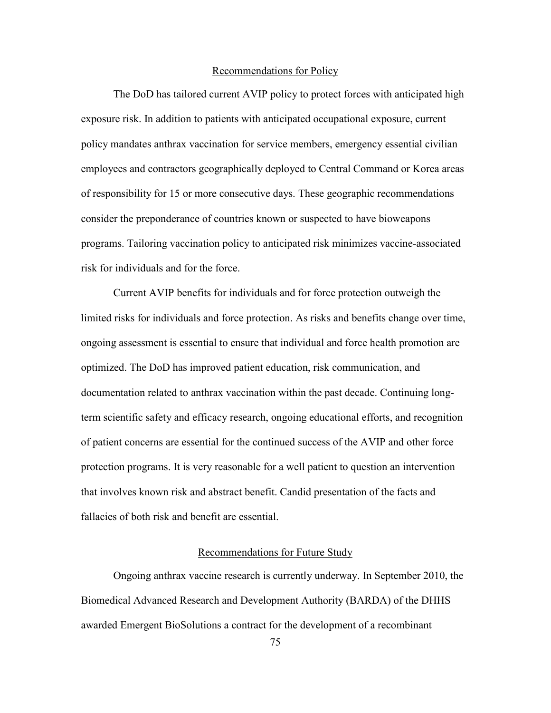### Recommendations for Policy

The DoD has tailored current AVIP policy to protect forces with anticipated high exposure risk. In addition to patients with anticipated occupational exposure, current policy mandates anthrax vaccination for service members, emergency essential civilian employees and contractors geographically deployed to Central Command or Korea areas of responsibility for 15 or more consecutive days. These geographic recommendations consider the preponderance of countries known or suspected to have bioweapons programs. Tailoring vaccination policy to anticipated risk minimizes vaccine-associated risk for individuals and for the force.

Current AVIP benefits for individuals and for force protection outweigh the limited risks for individuals and force protection. As risks and benefits change over time, ongoing assessment is essential to ensure that individual and force health promotion are optimized. The DoD has improved patient education, risk communication, and documentation related to anthrax vaccination within the past decade. Continuing longterm scientific safety and efficacy research, ongoing educational efforts, and recognition of patient concerns are essential for the continued success of the AVIP and other force protection programs. It is very reasonable for a well patient to question an intervention that involves known risk and abstract benefit. Candid presentation of the facts and fallacies of both risk and benefit are essential.

# Recommendations for Future Study

Ongoing anthrax vaccine research is currently underway. In September 2010, the Biomedical Advanced Research and Development Authority (BARDA) of the DHHS awarded Emergent BioSolutions a contract for the development of a recombinant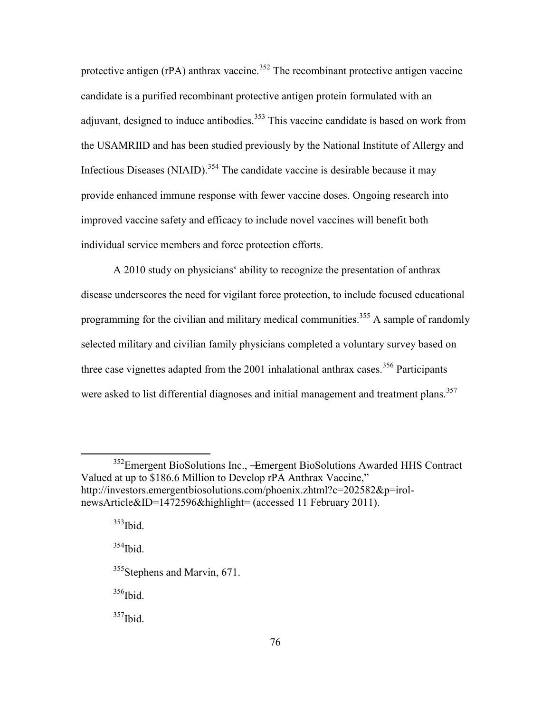protective antigen  $rPA$ ) anthrax vaccine.<sup>352</sup> The recombinant protective antigen vaccine candidate is a purified recombinant protective antigen protein formulated with an adjuvant, designed to induce antibodies.<sup>353</sup> This vaccine candidate is based on work from the USAMRIID and has been studied previously by the National Institute of Allergy and Infectious Diseases (NIAID).<sup>354</sup> The candidate vaccine is desirable because it may provide enhanced immune response with fewer vaccine doses. Ongoing research into improved vaccine safety and efficacy to include novel vaccines will benefit both individual service members and force protection efforts.

A 2010 study on physicians' ability to recognize the presentation of anthrax disease underscores the need for vigilant force protection, to include focused educational programming for the civilian and military medical communities.<sup>355</sup> A sample of randomly selected military and civilian family physicians completed a voluntary survey based on three case vignettes adapted from the  $2001$  inhalational anthrax cases.<sup>356</sup> Participants were asked to list differential diagnoses and initial management and treatment plans.<sup>357</sup>

 $\overline{a}$ 

 $354$ Ibid.

 $355$ Stephens and Marvin, 671.

 $356$ Ibid.

<sup>&</sup>lt;sup>352</sup>Emergent BioSolutions Inc., <del>-E</del>mergent BioSolutions Awarded HHS Contract Valued at up to \$186.6 Million to Develop rPA Anthrax Vaccine." http://investors.emergentbiosolutions.com/phoenix.zhtml?c=202582&p=irolnewsArticle&ID=1472596&highlight= (accessed 11 February 2011).

 $353$  Ibid.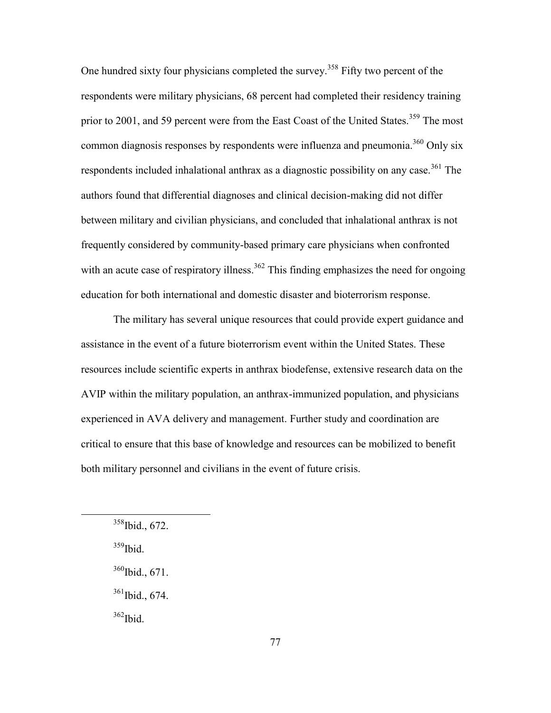One hundred sixty four physicians completed the survey.<sup>358</sup> Fifty two percent of the respondents were military physicians, 68 percent had completed their residency training prior to 2001, and 59 percent were from the East Coast of the United States.<sup>359</sup> The most common diagnosis responses by respondents were influenza and pneumonia.<sup>360</sup> Only six respondents included inhalational anthrax as a diagnostic possibility on any case.<sup>361</sup> The authors found that differential diagnoses and clinical decision-making did not differ between military and civilian physicians, and concluded that inhalational anthrax is not frequently considered by community-based primary care physicians when confronted with an acute case of respiratory illness.<sup>362</sup> This finding emphasizes the need for ongoing education for both international and domestic disaster and bioterrorism response.

The military has several unique resources that could provide expert guidance and assistance in the event of a future bioterrorism event within the United States. These resources include scientific experts in anthrax biodefense, extensive research data on the AVIP within the military population, an anthrax-immunized population, and physicians experienced in AVA delivery and management. Further study and coordination are critical to ensure that this base of knowledge and resources can be mobilized to benefit both military personnel and civilians in the event of future crisis.

 $359$ Ibid.

 $\overline{a}$ 

 $361$  Ibid., 674.

 $358$  Ibid., 672.

 $360$  Ibid., 671.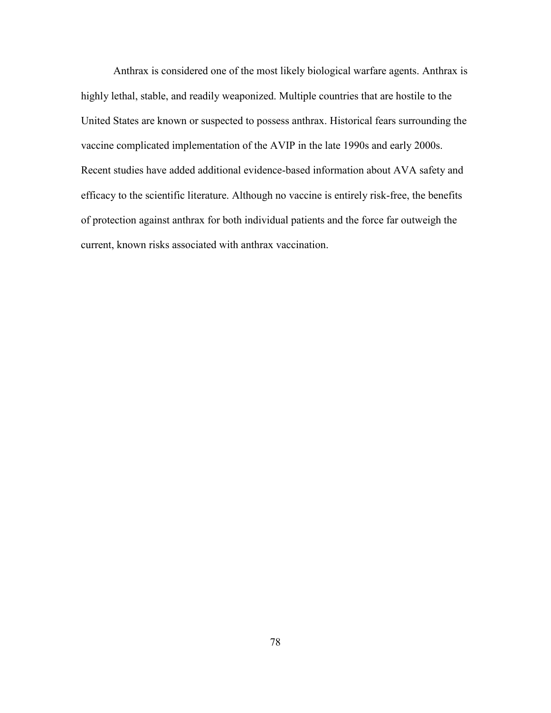Anthrax is considered one of the most likely biological warfare agents. Anthrax is highly lethal, stable, and readily weaponized. Multiple countries that are hostile to the United States are known or suspected to possess anthrax. Historical fears surrounding the vaccine complicated implementation of the AVIP in the late 1990s and early 2000s. Recent studies have added additional evidence-based information about AVA safety and efficacy to the scientific literature. Although no vaccine is entirely risk-free, the benefits of protection against anthrax for both individual patients and the force far outweigh the current, known risks associated with anthrax vaccination.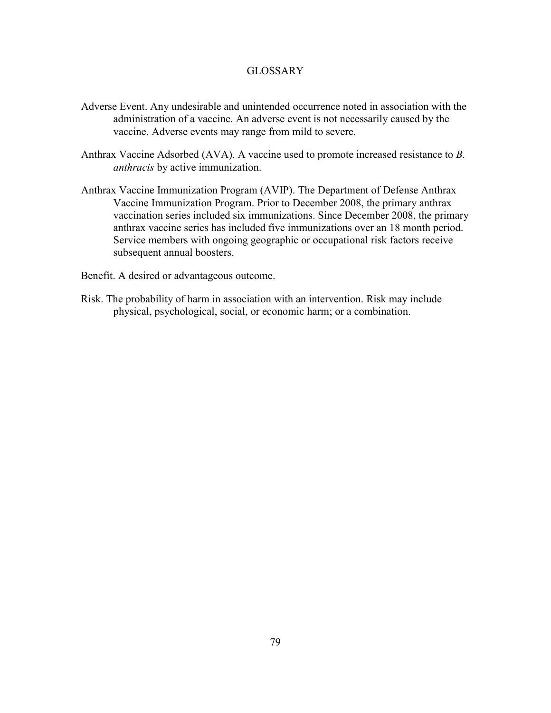# **GLOSSARY**

- Adverse Event. Any undesirable and unintended occurrence noted in association with the administration of a vaccine. An adverse event is not necessarily caused by the vaccine. Adverse events may range from mild to severe.
- Anthrax Vaccine Adsorbed (AVA). A vaccine used to promote increased resistance to *B. anthracis* by active immunization.
- Anthrax Vaccine Immunization Program (AVIP). The Department of Defense Anthrax Vaccine Immunization Program. Prior to December 2008, the primary anthrax vaccination series included six immunizations. Since December 2008, the primary anthrax vaccine series has included five immunizations over an 18 month period. Service members with ongoing geographic or occupational risk factors receive subsequent annual boosters.

Benefit. A desired or advantageous outcome.

Risk. The probability of harm in association with an intervention. Risk may include physical, psychological, social, or economic harm; or a combination.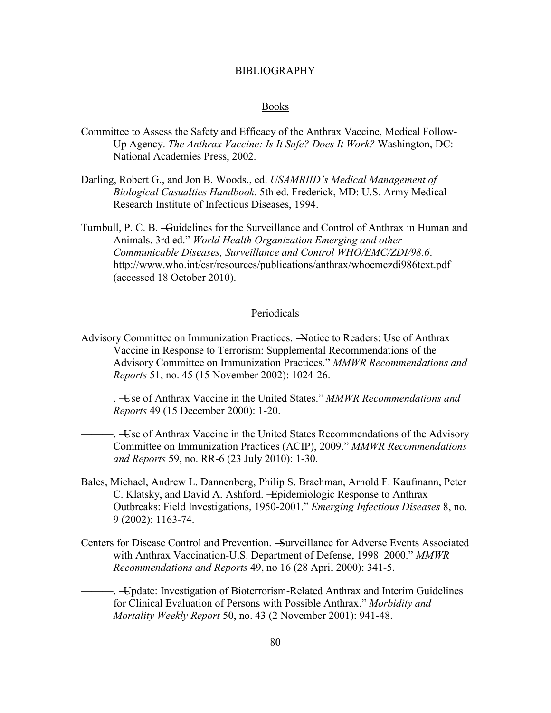### BIBLIOGRAPHY

### Books

- Committee to Assess the Safety and Efficacy of the Anthrax Vaccine, Medical Follow-Up Agency. *The Anthrax Vaccine: Is It Safe? Does It Work?* Washington, DC: National Academies Press, 2002.
- Darling, Robert G., and Jon B. Woods., ed. *USAMRIID's Medical Management of Biological Casualties Handbook*. 5th ed. Frederick, MD: U.S. Army Medical Research Institute of Infectious Diseases, 1994.
- Turnbull, P. C. B. ―Guidelines for the Surveillance and Control of Anthrax in Human and Animals. 3rd ed." *World Health Organization Emerging and other Communicable Diseases, Surveillance and Control WHO/EMC/ZDI/98.6*. http://www.who.int/csr/resources/publications/anthrax/whoemczdi986text.pdf (accessed 18 October 2010).

#### Periodicals

- Advisory Committee on Immunization Practices. ―Notice to Readers: Use of Anthrax Vaccine in Response to Terrorism: Supplemental Recommendations of the Advisory Committee on Immunization Practices." *MMWR Recommendations and Reports* 51, no. 45 (15 November 2002): 1024-26.
- ———. ―Use of Anthrax Vaccine in the United States.‖ *MMWR Recommendations and Reports* 49 (15 December 2000): 1-20.
	- ———. ―Use of Anthrax Vaccine in the United States Recommendations of the Advisory Committee on Immunization Practices (ACIP), 2009." *MMWR Recommendations and Reports* 59, no. RR-6 (23 July 2010): 1-30.
- Bales, Michael, Andrew L. Dannenberg, Philip S. Brachman, Arnold F. Kaufmann, Peter C. Klatsky, and David A. Ashford. ―Epidemiologic Response to Anthrax Outbreaks: Field Investigations, 1950-2001." *Emerging Infectious Diseases* 8, no. 9 (2002): 1163-74.
- Centers for Disease Control and Prevention. ―Surveillance for Adverse Events Associated with Anthrax Vaccination-U.S. Department of Defense, 1998–2000." *MMWR Recommendations and Reports* 49, no 16 (28 April 2000): 341-5.

———. ―Update: Investigation of Bioterrorism-Related Anthrax and Interim Guidelines for Clinical Evaluation of Persons with Possible Anthrax.‖ *Morbidity and Mortality Weekly Report* 50, no. 43 (2 November 2001): 941-48.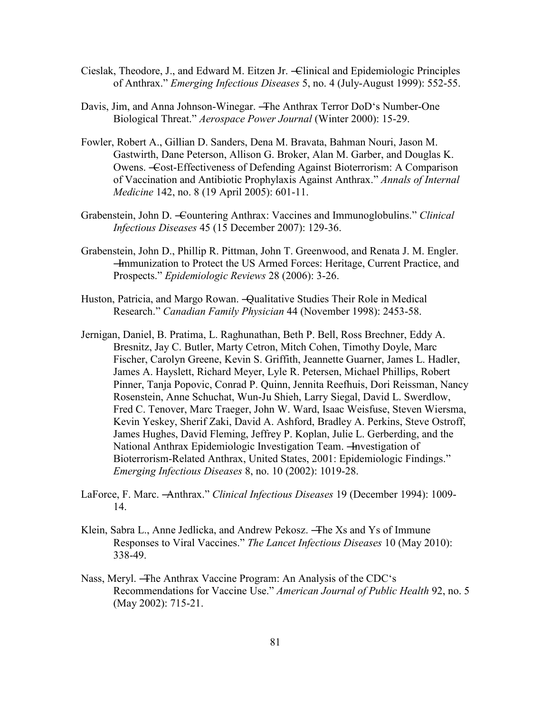- Cieslak, Theodore, J., and Edward M. Eitzen Jr. ―Clinical and Epidemiologic Principles of Anthrax.‖ *Emerging Infectious Diseases* 5, no. 4 (July-August 1999): 552-55.
- Davis, Jim, and Anna Johnson-Winegar. ―The Anthrax Terror DoD's Number-One Biological Threat.‖ *Aerospace Power Journal* (Winter 2000): 15-29.
- Fowler, Robert A., Gillian D. Sanders, Dena M. Bravata, Bahman Nouri, Jason M. Gastwirth, Dane Peterson, Allison G. Broker, Alan M. Garber, and Douglas K. Owens. ―Cost-Effectiveness of Defending Against Bioterrorism: A Comparison of Vaccination and Antibiotic Prophylaxis Against Anthrax.‖ *Annals of Internal Medicine* 142, no. 8 (19 April 2005): 601-11.
- Grabenstein, John D. Countering Anthrax: Vaccines and Immunoglobulins." *Clinical Infectious Diseases* 45 (15 December 2007): 129-36.
- Grabenstein, John D., Phillip R. Pittman, John T. Greenwood, and Renata J. M. Engler. ―Immunization to Protect the US Armed Forces: Heritage, Current Practice, and Prospects.‖ *Epidemiologic Reviews* 28 (2006): 3-26.
- Huston, Patricia, and Margo Rowan. —Qualitative Studies Their Role in Medical Research." *Canadian Family Physician* 44 (November 1998): 2453-58.
- Jernigan, Daniel, B. Pratima, L. Raghunathan, Beth P. Bell, Ross Brechner, Eddy A. Bresnitz, Jay C. Butler, Marty Cetron, Mitch Cohen, Timothy Doyle, Marc Fischer, Carolyn Greene, Kevin S. Griffith, Jeannette Guarner, James L. Hadler, James A. Hayslett, Richard Meyer, Lyle R. Petersen, Michael Phillips, Robert Pinner, Tanja Popovic, Conrad P. Quinn, Jennita Reefhuis, Dori Reissman, Nancy Rosenstein, Anne Schuchat, Wun-Ju Shieh, Larry Siegal, David L. Swerdlow, Fred C. Tenover, Marc Traeger, John W. Ward, Isaac Weisfuse, Steven Wiersma, Kevin Yeskey, Sherif Zaki, David A. Ashford, Bradley A. Perkins, Steve Ostroff, James Hughes, David Fleming, Jeffrey P. Koplan, Julie L. Gerberding, and the National Anthrax Epidemiologic Investigation Team. - Hnvestigation of Bioterrorism-Related Anthrax, United States, 2001: Epidemiologic Findings." *Emerging Infectious Diseases* 8, no. 10 (2002): 1019-28.
- LaForce, F. Marc. Anthrax." *Clinical Infectious Diseases* 19 (December 1994): 1009-14.
- Klein, Sabra L., Anne Jedlicka, and Andrew Pekosz. ―The Xs and Ys of Immune Responses to Viral Vaccines." *The Lancet Infectious Diseases* 10 (May 2010): 338-49.
- Nass, Meryl. ―The Anthrax Vaccine Program: An Analysis of the CDC's Recommendations for Vaccine Use." *American Journal of Public Health* 92, no. 5 (May 2002): 715-21.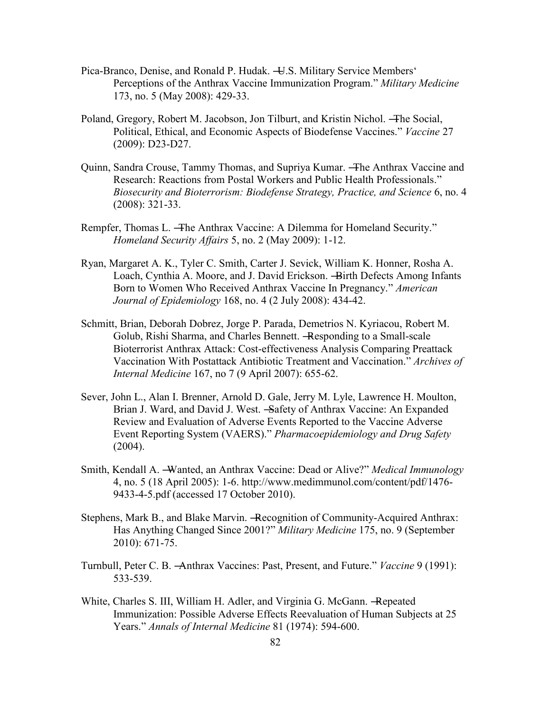- Pica-Branco, Denise, and Ronald P. Hudak. –U.S. Military Service Members' Perceptions of the Anthrax Vaccine Immunization Program.‖ *Military Medicine* 173, no. 5 (May 2008): 429-33.
- Poland, Gregory, Robert M. Jacobson, Jon Tilburt, and Kristin Nichol. ―The Social, Political, Ethical, and Economic Aspects of Biodefense Vaccines." *Vaccine* 27 (2009): D23-D27.
- Quinn, Sandra Crouse, Tammy Thomas, and Supriya Kumar. ―The Anthrax Vaccine and Research: Reactions from Postal Workers and Public Health Professionals." *Biosecurity and Bioterrorism: Biodefense Strategy, Practice, and Science* 6, no. 4 (2008): 321-33.
- Rempfer, Thomas L. -The Anthrax Vaccine: A Dilemma for Homeland Security." *Homeland Security Affairs* 5, no. 2 (May 2009): 1-12.
- Ryan, Margaret A. K., Tyler C. Smith, Carter J. Sevick, William K. Honner, Rosha A. Loach, Cynthia A. Moore, and J. David Erickson. ―Birth Defects Among Infants Born to Women Who Received Anthrax Vaccine In Pregnancy." *American Journal of Epidemiology* 168, no. 4 (2 July 2008): 434-42.
- Schmitt, Brian, Deborah Dobrez, Jorge P. Parada, Demetrios N. Kyriacou, Robert M. Golub, Rishi Sharma, and Charles Bennett. ―Responding to a Small-scale Bioterrorist Anthrax Attack: Cost-effectiveness Analysis Comparing Preattack Vaccination With Postattack Antibiotic Treatment and Vaccination.‖ *Archives of Internal Medicine* 167, no 7 (9 April 2007): 655-62.
- Sever, John L., Alan I. Brenner, Arnold D. Gale, Jerry M. Lyle, Lawrence H. Moulton, Brian J. Ward, and David J. West. - Safety of Anthrax Vaccine: An Expanded Review and Evaluation of Adverse Events Reported to the Vaccine Adverse Event Reporting System (VAERS)." *Pharmacoepidemiology and Drug Safety*  $(2004)$ .
- Smith, Kendall A. -Wanted, an Anthrax Vaccine: Dead or Alive?" *Medical Immunology* 4, no. 5 (18 April 2005): 1-6. http://www.medimmunol.com/content/pdf/1476- 9433-4-5.pdf (accessed 17 October 2010).
- Stephens, Mark B., and Blake Marvin. ―Recognition of Community-Acquired Anthrax: Has Anything Changed Since 2001?" *Military Medicine* 175, no. 9 (September 2010): 671-75.
- Turnbull, Peter C. B. Anthrax Vaccines: Past, Present, and Future." *Vaccine* 9 (1991): 533-539.
- White, Charles S. III, William H. Adler, and Virginia G. McGann. ―Repeated Immunization: Possible Adverse Effects Reevaluation of Human Subjects at 25 Years.‖ *Annals of Internal Medicine* 81 (1974): 594-600.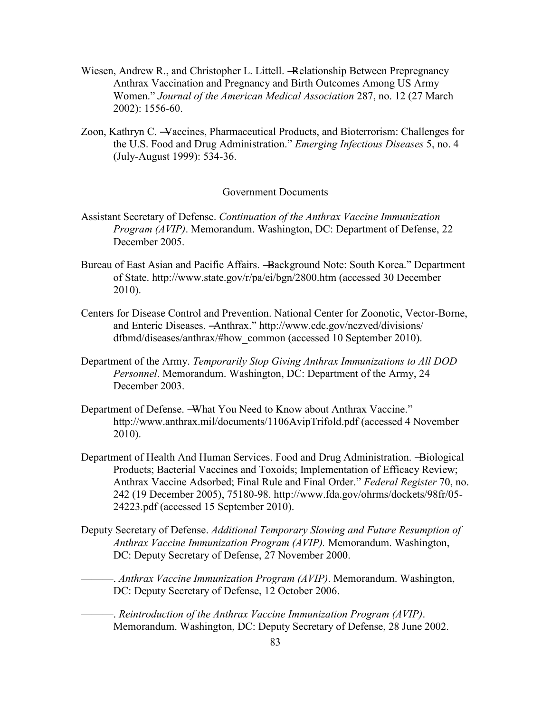- Wiesen, Andrew R., and Christopher L. Littell. ―Relationship Between Prepregnancy Anthrax Vaccination and Pregnancy and Birth Outcomes Among US Army Women.‖ *Journal of the American Medical Association* 287, no. 12 (27 March 2002): 1556-60.
- Zoon, Kathryn C. ―Vaccines, Pharmaceutical Products, and Bioterrorism: Challenges for the U.S. Food and Drug Administration." *Emerging Infectious Diseases* 5, no. 4 (July-August 1999): 534-36.

## Government Documents

- Assistant Secretary of Defense. *Continuation of the Anthrax Vaccine Immunization Program (AVIP)*. Memorandum. Washington, DC: Department of Defense, 22 December 2005.
- Bureau of East Asian and Pacific Affairs. —Background Note: South Korea." Department of State. http://www.state.gov/r/pa/ei/bgn/2800.htm (accessed 30 December 2010).
- Centers for Disease Control and Prevention. National Center for Zoonotic, Vector-Borne, and Enteric Diseases. - Anthrax." http://www.cdc.gov/nczved/divisions/ dfbmd/diseases/anthrax/#how\_common (accessed 10 September 2010).
- Department of the Army. *Temporarily Stop Giving Anthrax Immunizations to All DOD Personnel*. Memorandum. Washington, DC: Department of the Army, 24 December 2003.
- Department of Defense. What You Need to Know about Anthrax Vaccine." http://www.anthrax.mil/documents/1106AvipTrifold.pdf (accessed 4 November 2010).
- Department of Health And Human Services. Food and Drug Administration. ―Biological Products; Bacterial Vaccines and Toxoids; Implementation of Efficacy Review; Anthrax Vaccine Adsorbed; Final Rule and Final Order." *Federal Register* 70, no. 242 (19 December 2005), 75180-98. http://www.fda.gov/ohrms/dockets/98fr/05- 24223.pdf (accessed 15 September 2010).
- Deputy Secretary of Defense. *Additional Temporary Slowing and Future Resumption of Anthrax Vaccine Immunization Program (AVIP).* Memorandum. Washington, DC: Deputy Secretary of Defense, 27 November 2000.
	- ———. *Anthrax Vaccine Immunization Program (AVIP)*. Memorandum. Washington, DC: Deputy Secretary of Defense, 12 October 2006.
	- ———. *Reintroduction of the Anthrax Vaccine Immunization Program (AVIP)*. Memorandum. Washington, DC: Deputy Secretary of Defense, 28 June 2002.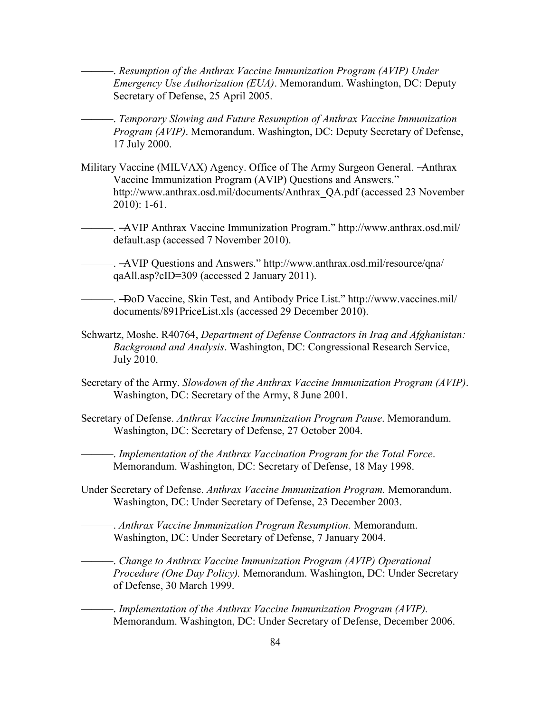———. *Resumption of the Anthrax Vaccine Immunization Program (AVIP) Under Emergency Use Authorization (EUA)*. Memorandum. Washington, DC: Deputy Secretary of Defense, 25 April 2005.

- ———. *Temporary Slowing and Future Resumption of Anthrax Vaccine Immunization Program (AVIP)*. Memorandum. Washington, DC: Deputy Secretary of Defense, 17 July 2000.
- Military Vaccine (MILVAX) Agency. Office of The Army Surgeon General. ―Anthrax Vaccine Immunization Program (AVIP) Questions and Answers." [http://www.anthrax.osd.mil/documents/Anthrax\\_QA.pdf](http://www.anthrax.osd.mil/documents/Anthrax_QA.pdf) (accessed 23 November 2010): 1-61.
- —. AVIP Anthrax Vaccine Immunization Program." http://www.anthrax.osd.mil/ default.asp (accessed 7 November 2010).
	- —. AVIP Questions and Answers." http://www.anthrax.osd.mil/resource/gna/ qaAll.asp?cID=309 (accessed 2 January 2011).
- ———. ―DoD Vaccine, Skin Test, and Antibody Price List.‖ http://www.vaccines.mil/ documents/891PriceList.xls (accessed 29 December 2010).
- Schwartz, Moshe. R40764, *Department of Defense Contractors in Iraq and Afghanistan: Background and Analysis*. Washington, DC: Congressional Research Service, July 2010.
- Secretary of the Army. *Slowdown of the Anthrax Vaccine Immunization Program (AVIP)*. Washington, DC: Secretary of the Army, 8 June 2001.
- Secretary of Defense. *Anthrax Vaccine Immunization Program Pause*. Memorandum. Washington, DC: Secretary of Defense, 27 October 2004.

———. *Implementation of the Anthrax Vaccination Program for the Total Force*. Memorandum. Washington, DC: Secretary of Defense, 18 May 1998.

Under Secretary of Defense. *Anthrax Vaccine Immunization Program.* Memorandum. Washington, DC: Under Secretary of Defense, 23 December 2003.

———. *Anthrax Vaccine Immunization Program Resumption.* Memorandum. Washington, DC: Under Secretary of Defense, 7 January 2004.

———. *Change to Anthrax Vaccine Immunization Program (AVIP) Operational Procedure (One Day Policy).* Memorandum. Washington, DC: Under Secretary of Defense, 30 March 1999.

– Implementation of the Anthrax Vaccine Immunization Program (AVIP). Memorandum. Washington, DC: Under Secretary of Defense, December 2006.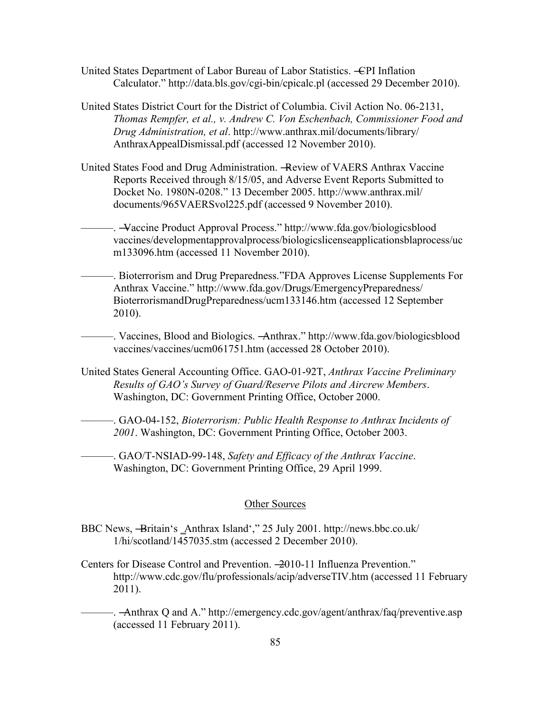- United States Department of Labor Bureau of Labor Statistics. ―CPI Inflation Calculator." http://data.bls.gov/cgi-bin/cpicalc.pl (accessed 29 December 2010).
- United States District Court for the District of Columbia. Civil Action No. 06-2131, *Thomas Rempfer, et al., v. Andrew C. Von Eschenbach, Commissioner Food and Drug Administration, et al*. http://www.anthrax.mil/documents/library/ AnthraxAppealDismissal.pdf (accessed 12 November 2010).
- United States Food and Drug Administration. ―Review of VAERS Anthrax Vaccine Reports Received through 8/15/05, and Adverse Event Reports Submitted to Docket No. 1980N-0208." 13 December 2005. http://www.anthrax.mil/ documents/965VAERSvol225.pdf (accessed 9 November 2010).
	- Vaccine Product Approval Process." http://www.fda.gov/biologicsblood vaccines/developmentapprovalprocess/biologicslicenseapplicationsblaprocess/uc m133096.htm (accessed 11 November 2010).
	- ———. Bioterrorism and Drug Preparedness.‖FDA Approves License Supplements For Anthrax Vaccine." http://www.fda.gov/Drugs/EmergencyPreparedness/ BioterrorismandDrugPreparedness/ucm133146.htm (accessed 12 September 2010).

—. Vaccines, Blood and Biologics. —Anthrax." http://www.fda.gov/biologicsblood vaccines/vaccines/ucm061751.htm (accessed 28 October 2010).

United States General Accounting Office. GAO-01-92T, *Anthrax Vaccine Preliminary Results of GAO's Survey of Guard/Reserve Pilots and Aircrew Members*. Washington, DC: Government Printing Office, October 2000.

———. GAO-04-152, *Bioterrorism: Public Health Response to Anthrax Incidents of 2001*. Washington, DC: Government Printing Office, October 2003.

———. GAO/T-NSIAD-99-148, *Safety and Efficacy of the Anthrax Vaccine*. Washington, DC: Government Printing Office, 29 April 1999.

#### Other Sources

- BBC News, -Britain's \_Anthrax Island'," 25 July 2001. http://news.bbc.co.uk/ 1/hi/scotland/1457035.stm (accessed 2 December 2010).
- Centers for Disease Control and Prevention. –2010-11 Influenza Prevention." http://www.cdc.gov/flu/professionals/acip/adverseTIV.htm (accessed 11 February 2011).
- —. Anthrax Q and A." http://emergency.cdc.gov/agent/anthrax/faq/preventive.asp (accessed 11 February 2011).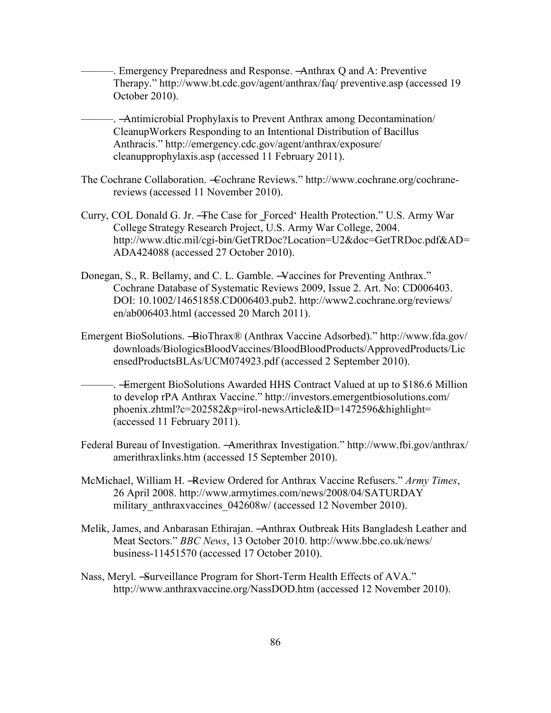- –. Emergency Preparedness and Response. —Anthrax Q and A: Preventive Therapy." http://www.bt.cdc.gov/agent/anthrax/faq/ preventive.asp (accessed 19 October 2010).
- -. -Antimicrobial Prophylaxis to Prevent Anthrax among Decontamination/ CleanupWorkers Responding to an Intentional Distribution of Bacillus Anthracis." http://emergency.cdc.gov/agent/anthrax/exposure/ cleanupprophylaxis.asp (accessed 11 February 2011).
- The Cochrane Collaboration. Cochrane Reviews." http://www.cochrane.org/cochranereviews (accessed 11 November 2010).
- Curry, COL Donald G. Jr. The Case for Forced Health Protection." U.S. Army War College Strategy Research Project, U.S. Army War College, 2004. http://www.dtic.mil/cgi-bin/GetTRDoc?Location=U2&doc=GetTRDoc.pdf&AD= ADA424088 (accessed 27 October 2010).
- Donegan, S., R. Bellamy, and C. L. Gamble. Vaccines for Preventing Anthrax." Cochrane Database of Systematic Reviews 2009, Issue 2. Art. No: CD006403. DOI: 10.1002/14651858.CD006403.pub2. http://www2.cochrane.org/reviews/ en/ab006403.html (accessed 20 March 2011).
- Emergent BioSolutions. -BioThrax® (Anthrax Vaccine Adsorbed)." http://www.fda.gov/ downloads/BiologicsBloodVaccines/BloodBloodProducts/ApprovedProducts/Lic ensedProductsBLAs/UCM074923.pdf (accessed 2 September 2010).
- ———. ―Emergent BioSolutions Awarded HHS Contract Valued at up to \$186.6 Million to develop rPA Anthrax Vaccine." http://investors.emergentbiosolutions.com/ phoenix.zhtml?c=202582&p=irol-newsArticle&ID=1472596&highlight= (accessed 11 February 2011).
- Federal Bureau of Investigation. —Amerithrax Investigation." http://www.fbi.gov/anthrax/ amerithraxlinks.htm (accessed 15 September 2010).
- McMichael, William H. Review Ordered for Anthrax Vaccine Refusers." Army Times, 26 April 2008. http://www.armytimes.com/news/2008/04/SATURDAY military anthraxvaccines 042608w/ (accessed 12 November 2010).
- Melik, James, and Anbarasan Ethirajan. ―Anthrax Outbreak Hits Bangladesh Leather and Meat Sectors." *BBC News*, 13 October 2010. http://www.bbc.co.uk/news/ business-11451570 (accessed 17 October 2010).
- Nass, Meryl. -Surveillance Program for Short-Term Health Effects of AVA." http://www.anthraxvaccine.org/NassDOD.htm (accessed 12 November 2010).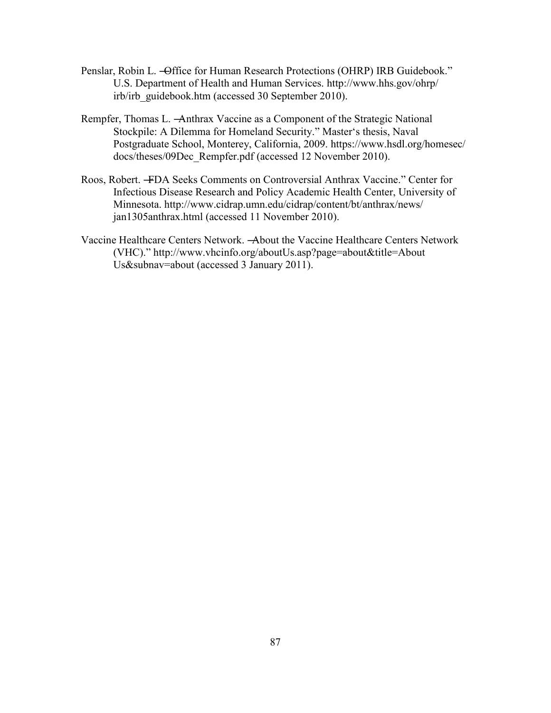- Penslar, Robin L. Office for Human Research Protections (OHRP) IRB Guidebook." U.S. Department of Health and Human Services. http://www.hhs.gov/ohrp/ irb/irb\_guidebook.htm (accessed 30 September 2010).
- Rempfer, Thomas L. ―Anthrax Vaccine as a Component of the Strategic National Stockpile: A Dilemma for Homeland Security." Master's thesis, Naval Postgraduate School, Monterey, California, 2009. https://www.hsdl.org/homesec/ docs/theses/09Dec\_Rempfer.pdf (accessed 12 November 2010).
- Roos, Robert. FDA Seeks Comments on Controversial Anthrax Vaccine." Center for Infectious Disease Research and Policy Academic Health Center, University of Minnesota. http://www.cidrap.umn.edu/cidrap/content/bt/anthrax/news/ jan1305anthrax.html (accessed 11 November 2010).
- Vaccine Healthcare Centers Network. ―About the Vaccine Healthcare Centers Network (VHC).‖ http://www.vhcinfo.org/aboutUs.asp?page=about&title=About Us&subnav=about (accessed 3 January 2011).